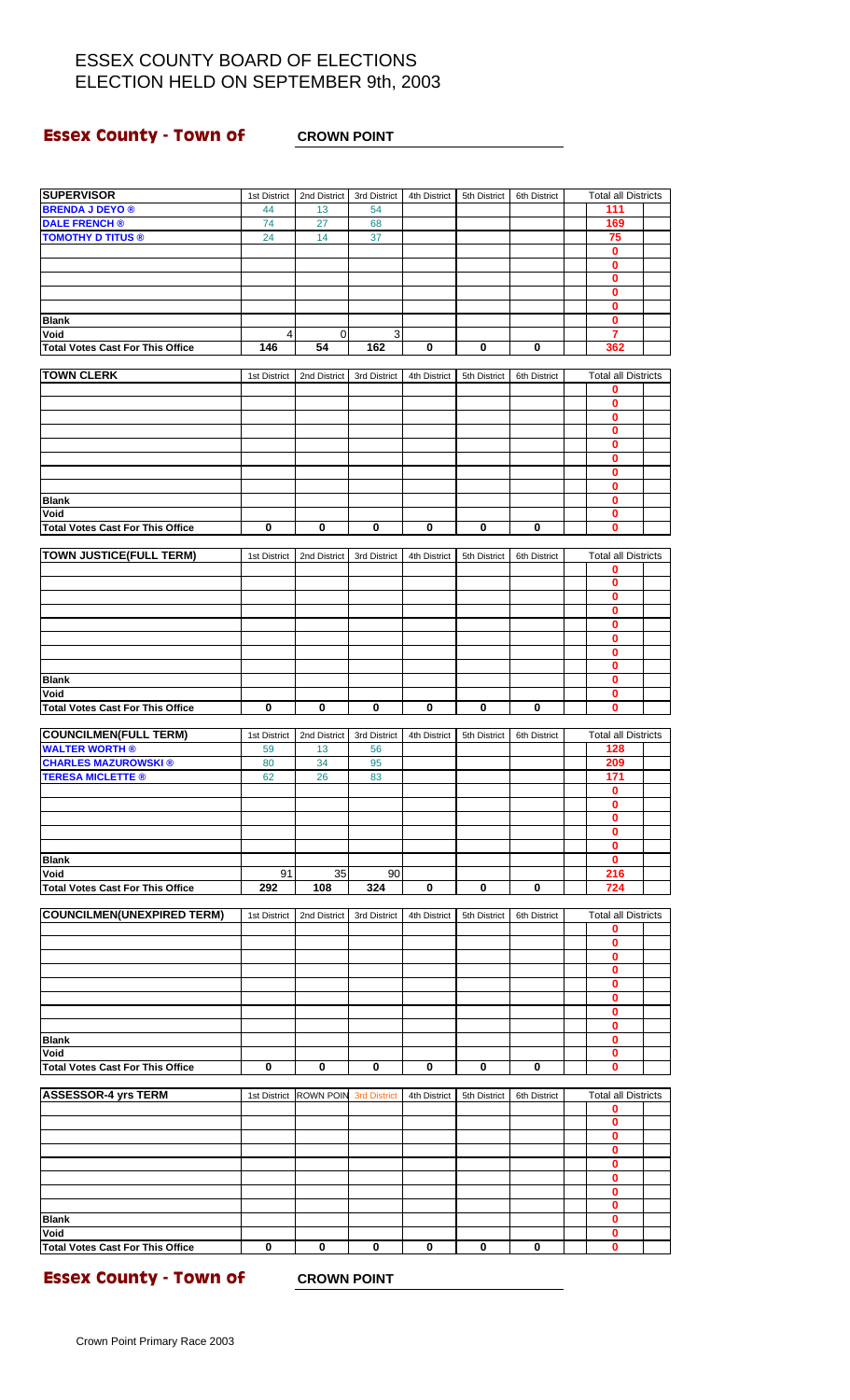### **Essex County - Town of CROWN POINT**

| <b>SUPERVISOR</b>                                      | 1st District | 2nd District     | 3rd District        | 4th District | 5th District | 6th District | <b>Total all Districts</b>   |  |
|--------------------------------------------------------|--------------|------------------|---------------------|--------------|--------------|--------------|------------------------------|--|
| <b>BRENDA J DEYO ®</b>                                 | 44           | 13               | 54                  |              |              |              | 111                          |  |
| <b>DALE FRENCH®</b>                                    | 74           | 27               | 68                  |              |              |              | 169                          |  |
| <b>TOMOTHY D TITUS ®</b>                               | 24           | 14               | 37                  |              |              |              | 75<br>0                      |  |
|                                                        |              |                  |                     |              |              |              | 0                            |  |
|                                                        |              |                  |                     |              |              |              | 0                            |  |
|                                                        |              |                  |                     |              |              |              | 0                            |  |
| <b>Blank</b>                                           |              |                  |                     |              |              |              | 0<br>$\mathbf{0}$            |  |
| Void                                                   | 4            | $\mathbf 0$      | 3                   |              |              |              | 7                            |  |
| <b>Total Votes Cast For This Office</b>                | 146          | 54               | 162                 | 0            | 0            | 0            | 362                          |  |
| <b>TOWN CLERK</b>                                      |              |                  |                     |              |              |              | <b>Total all Districts</b>   |  |
|                                                        | 1st District | 2nd District     | 3rd District        | 4th District | 5th District | 6th District | 0                            |  |
|                                                        |              |                  |                     |              |              |              | $\mathbf{0}$                 |  |
|                                                        |              |                  |                     |              |              |              | 0                            |  |
|                                                        |              |                  |                     |              |              |              | 0<br>$\overline{\mathbf{0}}$ |  |
|                                                        |              |                  |                     |              |              |              | 0                            |  |
|                                                        |              |                  |                     |              |              |              | $\bf{0}$                     |  |
|                                                        |              |                  |                     |              |              |              | $\mathbf 0$                  |  |
| <b>Blank</b><br>Void                                   |              |                  |                     |              |              |              | 0<br>0                       |  |
| <b>Total Votes Cast For This Office</b>                | 0            | 0                | $\bf{0}$            | 0            | 0            | 0            | 0                            |  |
|                                                        |              |                  |                     |              |              |              |                              |  |
| <b>TOWN JUSTICE(FULL TERM)</b>                         | 1st District | 2nd District     | 3rd District        | 4th District | 5th District | 6th District | <b>Total all Districts</b>   |  |
|                                                        |              |                  |                     |              |              |              | 0<br>0                       |  |
|                                                        |              |                  |                     |              |              |              | $\mathbf{0}$                 |  |
|                                                        |              |                  |                     |              |              |              | 0                            |  |
|                                                        |              |                  |                     |              |              |              | 0                            |  |
|                                                        |              |                  |                     |              |              |              | 0<br>0                       |  |
|                                                        |              |                  |                     |              |              |              | 0                            |  |
| <b>Blank</b>                                           |              |                  |                     |              |              |              | 0                            |  |
| Void                                                   |              |                  |                     |              |              |              | $\mathbf 0$                  |  |
| <b>Total Votes Cast For This Office</b>                | 0            | $\mathbf 0$      | $\bf{0}$            | 0            | 0            | 0            | 0                            |  |
| <b>COUNCILMEN(FULL TERM)</b>                           | 1st District | 2nd District     | 3rd District        | 4th District | 5th District | 6th District | <b>Total all Districts</b>   |  |
| <b>WALTER WORTH®</b>                                   | 59           | 13               | 56                  |              |              |              | 128                          |  |
| <b>CHARLES MAZUROWSKI®</b><br><b>TERESA MICLETTE ®</b> | 80<br>62     | 34<br>26         | 95<br>83            |              |              |              | 209<br>171                   |  |
|                                                        |              |                  |                     |              |              |              | 0                            |  |
|                                                        |              |                  |                     |              |              |              | $\mathbf 0$                  |  |
|                                                        |              |                  |                     |              |              |              | 0                            |  |
|                                                        |              |                  |                     |              |              |              | 0<br>0                       |  |
| <b>Blank</b>                                           |              |                  |                     |              |              |              | 0                            |  |
| Void                                                   | 91           | 35               | 90                  |              |              |              | 216                          |  |
| <b>Total Votes Cast For This Office</b>                | 292          | 108              | 324                 | 0            | 0            | 0            | 724                          |  |
| <b>COUNCILMEN(UNEXPIRED TERM)</b>                      | 1st District | 2nd District     | 3rd District        | 4th District | 5th District | 6th District | <b>Total all Districts</b>   |  |
|                                                        |              |                  |                     |              |              |              | $\mathbf 0$                  |  |
|                                                        |              |                  |                     |              |              |              | 0                            |  |
|                                                        |              |                  |                     |              |              |              | 0<br>0                       |  |
|                                                        |              |                  |                     |              |              |              | 0                            |  |
|                                                        |              |                  |                     |              |              |              | $\mathbf 0$                  |  |
|                                                        |              |                  |                     |              |              |              | 0                            |  |
| <b>Blank</b>                                           |              |                  |                     |              |              |              | 0<br>0                       |  |
| Void                                                   |              |                  |                     |              |              |              | $\mathbf{0}$                 |  |
| <b>Total Votes Cast For This Office</b>                | 0            | 0                | 0                   | 0            | 0            | 0            | 0                            |  |
| <b>ASSESSOR-4 yrs TERM</b>                             | 1st District | <b>ROWN POIN</b> | <b>3rd District</b> | 4th District | 5th District | 6th District | <b>Total all Districts</b>   |  |
|                                                        |              |                  |                     |              |              |              | 0                            |  |
|                                                        |              |                  |                     |              |              |              | 0                            |  |
|                                                        |              |                  |                     |              |              |              | 0                            |  |
|                                                        |              |                  |                     |              |              |              | 0<br>0                       |  |
|                                                        |              |                  |                     |              |              |              | 0                            |  |
|                                                        |              |                  |                     |              |              |              | 0                            |  |
|                                                        |              |                  |                     |              |              |              | 0                            |  |
| <b>Blank</b><br>Void                                   |              |                  |                     |              |              |              | 0<br>0                       |  |
| <b>Total Votes Cast For This Office</b>                | 0            | 0                | 0                   | 0            | 0            | 0            | $\overline{\mathbf{0}}$      |  |
|                                                        |              |                  |                     |              |              |              |                              |  |

**Essex County - Town of CROWN POINT**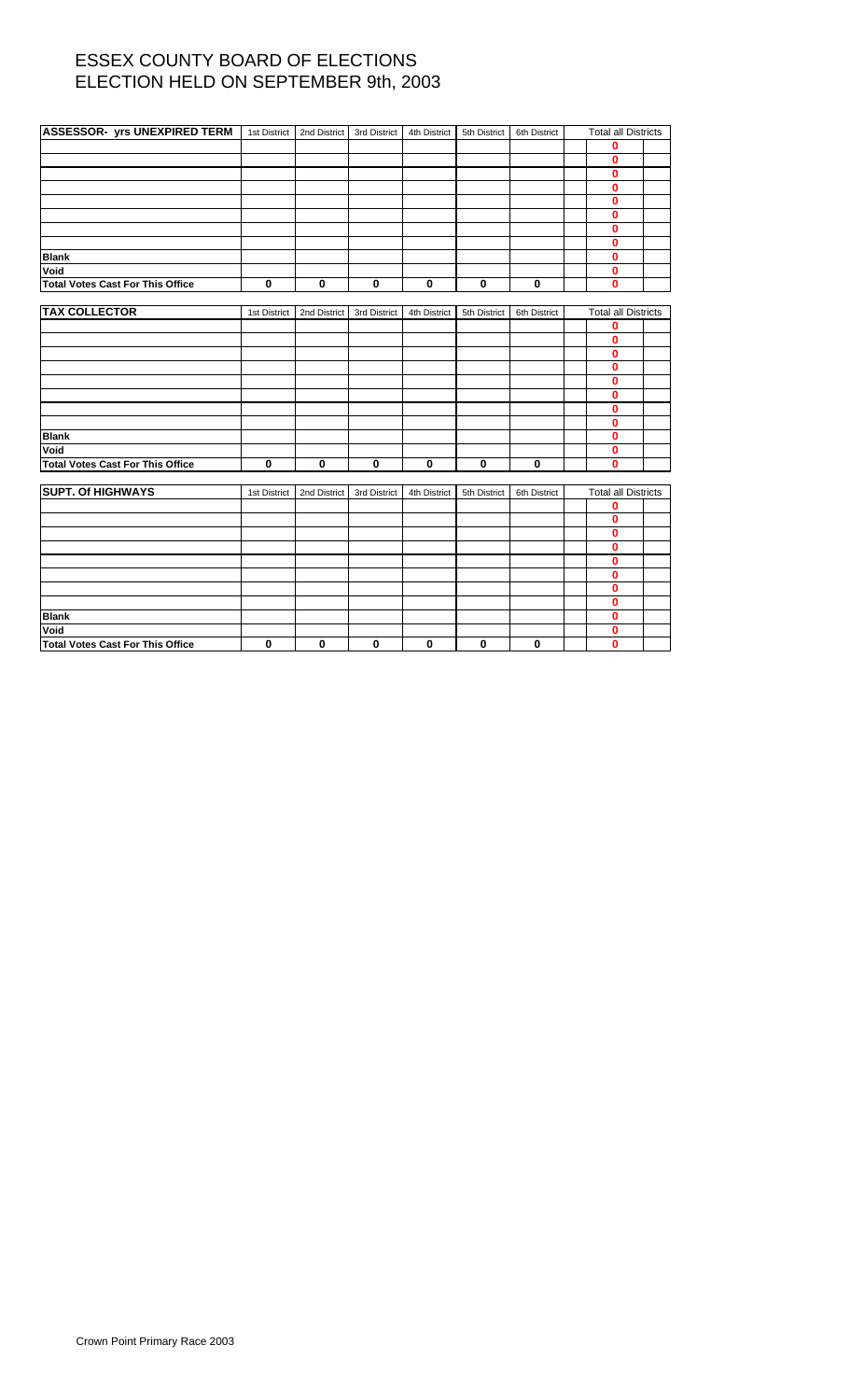| ASSESSOR- yrs UNEXPIRED TERM   1st District   2nd District |                         |              | 3rd District | 4th District            | 5th District | 6th District | <b>Total all Districts</b> |  |
|------------------------------------------------------------|-------------------------|--------------|--------------|-------------------------|--------------|--------------|----------------------------|--|
|                                                            |                         |              |              |                         |              |              | 0                          |  |
|                                                            |                         |              |              |                         |              |              | 0                          |  |
|                                                            |                         |              |              |                         |              |              | 0                          |  |
|                                                            |                         |              |              |                         |              |              | $\mathbf{0}$               |  |
|                                                            |                         |              |              |                         |              |              | $\mathbf{0}$               |  |
|                                                            |                         |              |              |                         |              |              | $\mathbf{0}$               |  |
|                                                            |                         |              |              |                         |              |              | $\mathbf{0}$               |  |
|                                                            |                         |              |              |                         |              |              | $\mathbf{0}$               |  |
| <b>Blank</b>                                               |                         |              |              |                         |              |              | $\overline{\mathbf{0}}$    |  |
| Void                                                       |                         |              |              |                         |              |              | $\mathbf{0}$               |  |
| <b>Total Votes Cast For This Office</b>                    | $\overline{\mathbf{0}}$ | $\mathbf 0$  | $\bf{0}$     | $\overline{\mathbf{0}}$ | $\mathbf 0$  | $\mathbf 0$  | $\mathbf{0}$               |  |
|                                                            |                         |              |              |                         |              |              |                            |  |
| <b>TAX COLLECTOR</b>                                       | 1st District            | 2nd District | 3rd District | 4th District            | 5th District | 6th District | <b>Total all Districts</b> |  |
|                                                            |                         |              |              |                         |              |              | $\bf{0}$                   |  |
|                                                            |                         |              |              |                         |              |              | 0                          |  |
|                                                            |                         |              |              |                         |              |              | $\mathbf{0}$               |  |
|                                                            |                         |              |              |                         |              |              | $\mathbf{0}$               |  |
|                                                            |                         |              |              |                         |              |              | $\mathbf{0}$               |  |
|                                                            |                         |              |              |                         |              |              | $\mathbf{0}$               |  |
|                                                            |                         |              |              |                         |              |              | $\mathbf{0}$               |  |
|                                                            |                         |              |              |                         |              |              | $\mathbf{0}$               |  |
| <b>Blank</b>                                               |                         |              |              |                         |              |              | $\mathbf{0}$               |  |
| Void                                                       |                         |              |              |                         |              |              | $\mathbf 0$                |  |
| <b>Total Votes Cast For This Office</b>                    | $\bf{0}$                | $\pmb{0}$    | 0            | $\pmb{0}$               | $\pmb{0}$    | $\pmb{0}$    | $\mathbf{0}$               |  |
|                                                            |                         |              |              |                         |              |              |                            |  |
| <b>SUPT. Of HIGHWAYS</b>                                   | 1st District            | 2nd District | 3rd District | 4th District            | 5th District | 6th District | <b>Total all Districts</b> |  |
|                                                            |                         |              |              |                         |              |              | $\bf{0}$                   |  |
|                                                            |                         |              |              |                         |              |              | $\mathbf{0}$               |  |
|                                                            |                         |              |              |                         |              |              | $\mathbf{0}$               |  |
|                                                            |                         |              |              |                         |              |              | $\mathbf{0}$               |  |
|                                                            |                         |              |              |                         |              |              | $\mathbf{0}$               |  |
|                                                            |                         |              |              |                         |              |              | $\mathbf{0}$               |  |
|                                                            |                         |              |              |                         |              |              | $\mathbf{0}$               |  |
|                                                            |                         |              |              |                         |              |              | $\overline{\mathbf{0}}$    |  |
| <b>Blank</b>                                               |                         |              |              |                         |              |              | $\mathbf{0}$               |  |
| Void                                                       |                         |              |              |                         |              |              | 0                          |  |
| <b>Total Votes Cast For This Office</b>                    | $\mathbf 0$             | $\mathbf 0$  | 0            | $\mathbf 0$             | $\mathbf 0$  | $\mathbf 0$  | $\mathbf{0}$               |  |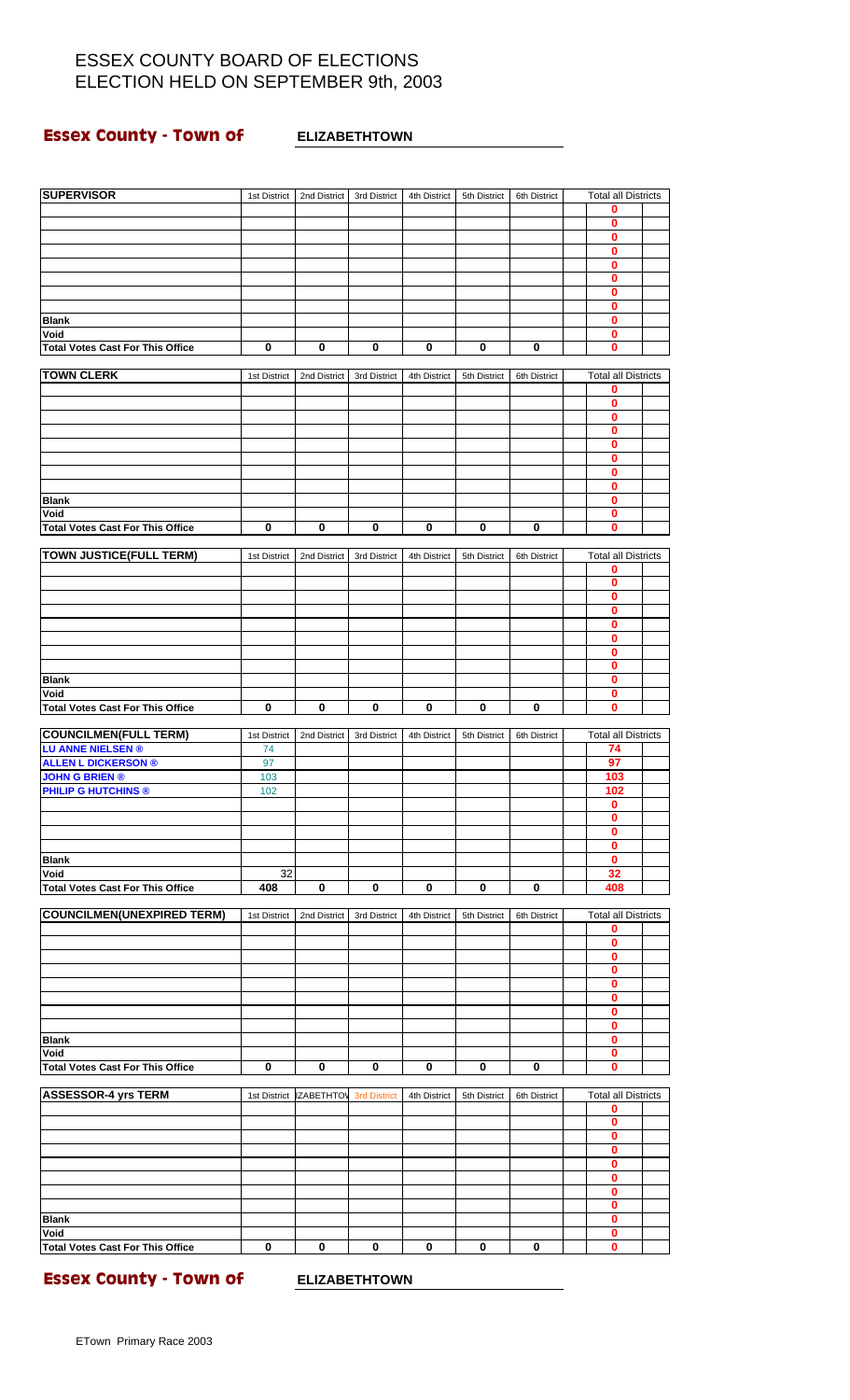# **Essex County - Town of ELIZABETHTOWN**

| <b>SUPERVISOR</b>                                   | 1st District | 2nd District      | 3rd District        | 4th District | 5th District | 6th District | Total all Districts        |  |
|-----------------------------------------------------|--------------|-------------------|---------------------|--------------|--------------|--------------|----------------------------|--|
|                                                     |              |                   |                     |              |              |              | 0                          |  |
|                                                     |              |                   |                     |              |              |              | 0<br>$\mathbf 0$           |  |
|                                                     |              |                   |                     |              |              |              | $\bf{0}$                   |  |
|                                                     |              |                   |                     |              |              |              | 0                          |  |
|                                                     |              |                   |                     |              |              |              | $\bf{0}$                   |  |
|                                                     |              |                   |                     |              |              |              | 0<br>0                     |  |
| <b>Blank</b>                                        |              |                   |                     |              |              |              | $\bf{0}$                   |  |
| Void                                                |              |                   |                     |              |              |              | 0                          |  |
| <b>Total Votes Cast For This Office</b>             | 0            | 0                 | $\pmb{0}$           | 0            | 0            | 0            | 0                          |  |
| <b>TOWN CLERK</b>                                   | 1st District | 2nd District      | 3rd District        | 4th District | 5th District | 6th District | <b>Total all Districts</b> |  |
|                                                     |              |                   |                     |              |              |              | 0                          |  |
|                                                     |              |                   |                     |              |              |              | $\mathbf{0}$               |  |
|                                                     |              |                   |                     |              |              |              | 0<br>$\mathbf 0$           |  |
|                                                     |              |                   |                     |              |              |              | $\bf{0}$                   |  |
|                                                     |              |                   |                     |              |              |              | 0                          |  |
|                                                     |              |                   |                     |              |              |              | $\mathbf 0$                |  |
| <b>Blank</b>                                        |              |                   |                     |              |              |              | 0<br>$\mathbf 0$           |  |
| Void                                                |              |                   |                     |              |              |              | 0                          |  |
| <b>Total Votes Cast For This Office</b>             | 0            | 0                 | 0                   | 0            | 0            | 0            | 0                          |  |
| <b>TOWN JUSTICE(FULL TERM)</b>                      | 1st District | 2nd District      | 3rd District        | 4th District | 5th District | 6th District | <b>Total all Districts</b> |  |
|                                                     |              |                   |                     |              |              |              | 0                          |  |
|                                                     |              |                   |                     |              |              |              | 0                          |  |
|                                                     |              |                   |                     |              |              |              | $\bf{0}$                   |  |
|                                                     |              |                   |                     |              |              |              | 0<br>0                     |  |
|                                                     |              |                   |                     |              |              |              | 0                          |  |
|                                                     |              |                   |                     |              |              |              | $\mathbf 0$                |  |
| <b>Blank</b>                                        |              |                   |                     |              |              |              | 0<br>0                     |  |
| Void                                                |              |                   |                     |              |              |              | $\mathbf 0$                |  |
| <b>Total Votes Cast For This Office</b>             | 0            | 0                 | 0                   | 0            | 0            | 0            | 0                          |  |
| <b>COUNCILMEN(FULL TERM)</b>                        | 1st District | 2nd District      | 3rd District        | 4th District | 5th District | 6th District | <b>Total all Districts</b> |  |
| <b>LU ANNE NIELSEN®</b>                             | 74           |                   |                     |              |              |              | 74                         |  |
| <b>ALLEN L DICKERSON ®</b>                          | 97           |                   |                     |              |              |              | 97                         |  |
| <b>JOHN G BRIEN ®</b><br><b>PHILIP G HUTCHINS ®</b> | 103<br>102   |                   |                     |              |              |              | 103<br>102                 |  |
|                                                     |              |                   |                     |              |              |              | 0                          |  |
|                                                     |              |                   |                     |              |              |              | $\bf{0}$                   |  |
|                                                     |              |                   |                     |              |              |              | 0<br>$\mathbf 0$           |  |
| <b>Blank</b>                                        |              |                   |                     |              |              |              | $\mathbf 0$                |  |
| Void                                                | 32           |                   |                     |              |              |              | 32                         |  |
| <b>Total Votes Cast For This Office</b>             | 408          | $\bf{0}$          | 0                   | 0            | 0            | 0            | 408                        |  |
| <b>COUNCILMEN(UNEXPIRED TERM)</b>                   | 1st District | 2nd District      | 3rd District        | 4th District | 5th District | 6th District | <b>Total all Districts</b> |  |
|                                                     |              |                   |                     |              |              |              | 0                          |  |
|                                                     |              |                   |                     |              |              |              | $\mathbf 0$                |  |
|                                                     |              |                   |                     |              |              |              | 0<br>$\bf{0}$              |  |
|                                                     |              |                   |                     |              |              |              | 0                          |  |
|                                                     |              |                   |                     |              |              |              | $\mathbf 0$                |  |
|                                                     |              |                   |                     |              |              |              | $\mathbf 0$<br>0           |  |
| <b>Blank</b>                                        |              |                   |                     |              |              |              | 0                          |  |
| Void                                                |              |                   |                     |              |              |              | $\mathbf 0$                |  |
| <b>Total Votes Cast For This Office</b>             | $\mathbf 0$  | $\bf{0}$          | 0                   | 0            | 0            | 0            | 0                          |  |
| <b>ASSESSOR-4 yrs TERM</b>                          | 1st District | <b>IZABETHTOV</b> | <b>3rd District</b> | 4th District | 5th District | 6th District | <b>Total all Districts</b> |  |
|                                                     |              |                   |                     |              |              |              | 0                          |  |
|                                                     |              |                   |                     |              |              |              | $\mathbf 0$<br>0           |  |
|                                                     |              |                   |                     |              |              |              | 0                          |  |
|                                                     |              |                   |                     |              |              |              | 0                          |  |
|                                                     |              |                   |                     |              |              |              | $\mathbf 0$                |  |
|                                                     |              |                   |                     |              |              |              | 0<br>$\mathbf 0$           |  |
| <b>Blank</b>                                        |              |                   |                     |              |              |              | 0                          |  |
| Void                                                |              |                   |                     |              |              |              | $\mathbf 0$                |  |
| <b>Total Votes Cast For This Office</b>             | 0            | 0                 | $\mathbf 0$         | $\bf{0}$     | 0            | 0            | 0                          |  |

**Essex County - Town of ELIZABETHTOWN**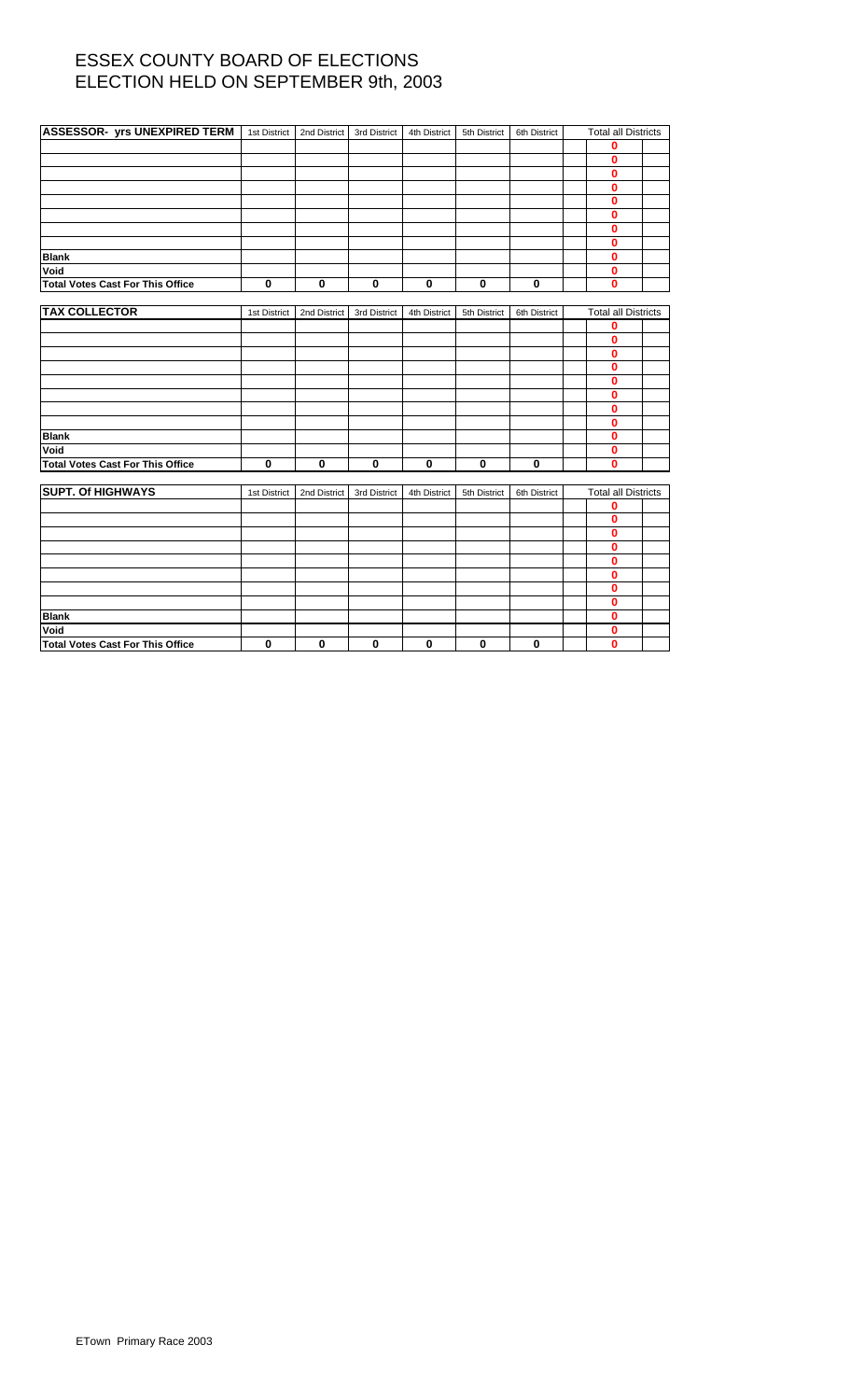| <b>ASSESSOR- yrs UNEXPIRED TERM</b>     | 1st District | 2nd District | 3rd District | 4th District | 5th District | 6th District | <b>Total all Districts</b> |  |
|-----------------------------------------|--------------|--------------|--------------|--------------|--------------|--------------|----------------------------|--|
|                                         |              |              |              |              |              |              | 0                          |  |
|                                         |              |              |              |              |              |              | 0                          |  |
|                                         |              |              |              |              |              |              | 0                          |  |
|                                         |              |              |              |              |              |              | $\bf{0}$                   |  |
|                                         |              |              |              |              |              |              | $\mathbf{0}$               |  |
|                                         |              |              |              |              |              |              | 0                          |  |
|                                         |              |              |              |              |              |              | 0                          |  |
|                                         |              |              |              |              |              |              | $\bf{0}$                   |  |
| <b>Blank</b>                            |              |              |              |              |              |              | $\bf{0}$                   |  |
| Void                                    |              |              |              |              |              |              | $\mathbf{0}$               |  |
| <b>Total Votes Cast For This Office</b> | $\bf{0}$     | $\bf{0}$     | $\mathbf 0$  | $\mathbf 0$  | $\mathbf 0$  | $\mathbf 0$  | $\bf{0}$                   |  |
|                                         |              |              |              |              |              |              |                            |  |
| <b>TAX COLLECTOR</b>                    | 1st District | 2nd District | 3rd District | 4th District | 5th District | 6th District | <b>Total all Districts</b> |  |
|                                         |              |              |              |              |              |              | 0                          |  |
|                                         |              |              |              |              |              |              | $\bf{0}$                   |  |
|                                         |              |              |              |              |              |              | 0                          |  |
|                                         |              |              |              |              |              |              | 0                          |  |
|                                         |              |              |              |              |              |              | 0                          |  |
|                                         |              |              |              |              |              |              | 0                          |  |
|                                         |              |              |              |              |              |              | 0                          |  |
|                                         |              |              |              |              |              |              | $\bf{0}$                   |  |
| <b>Blank</b>                            |              |              |              |              |              |              | 0                          |  |
| Void                                    |              |              |              |              |              |              | 0                          |  |
| <b>Total Votes Cast For This Office</b> | $\mathbf 0$  | 0            | $\mathbf 0$  | 0            | $\mathbf 0$  | $\mathbf 0$  | $\bf{0}$                   |  |
| <b>SUPT. Of HIGHWAYS</b>                |              |              |              |              |              |              |                            |  |
|                                         | 1st District | 2nd District | 3rd District | 4th District | 5th District | 6th District | <b>Total all Districts</b> |  |
|                                         |              |              |              |              |              |              | 0<br>$\bf{0}$              |  |
|                                         |              |              |              |              |              |              | 0                          |  |
|                                         |              |              |              |              |              |              | 0                          |  |
|                                         |              |              |              |              |              |              | 0                          |  |
|                                         |              |              |              |              |              |              | 0                          |  |
|                                         |              |              |              |              |              |              | 0                          |  |
|                                         |              |              |              |              |              |              | 0                          |  |
| <b>Blank</b>                            |              |              |              |              |              |              | 0                          |  |
| Void                                    |              |              |              |              |              |              | 0                          |  |
| <b>Total Votes Cast For This Office</b> | 0            | 0            | $\mathbf 0$  | $\bf{0}$     | $\mathbf 0$  | 0            | 0                          |  |
|                                         |              |              |              |              |              |              |                            |  |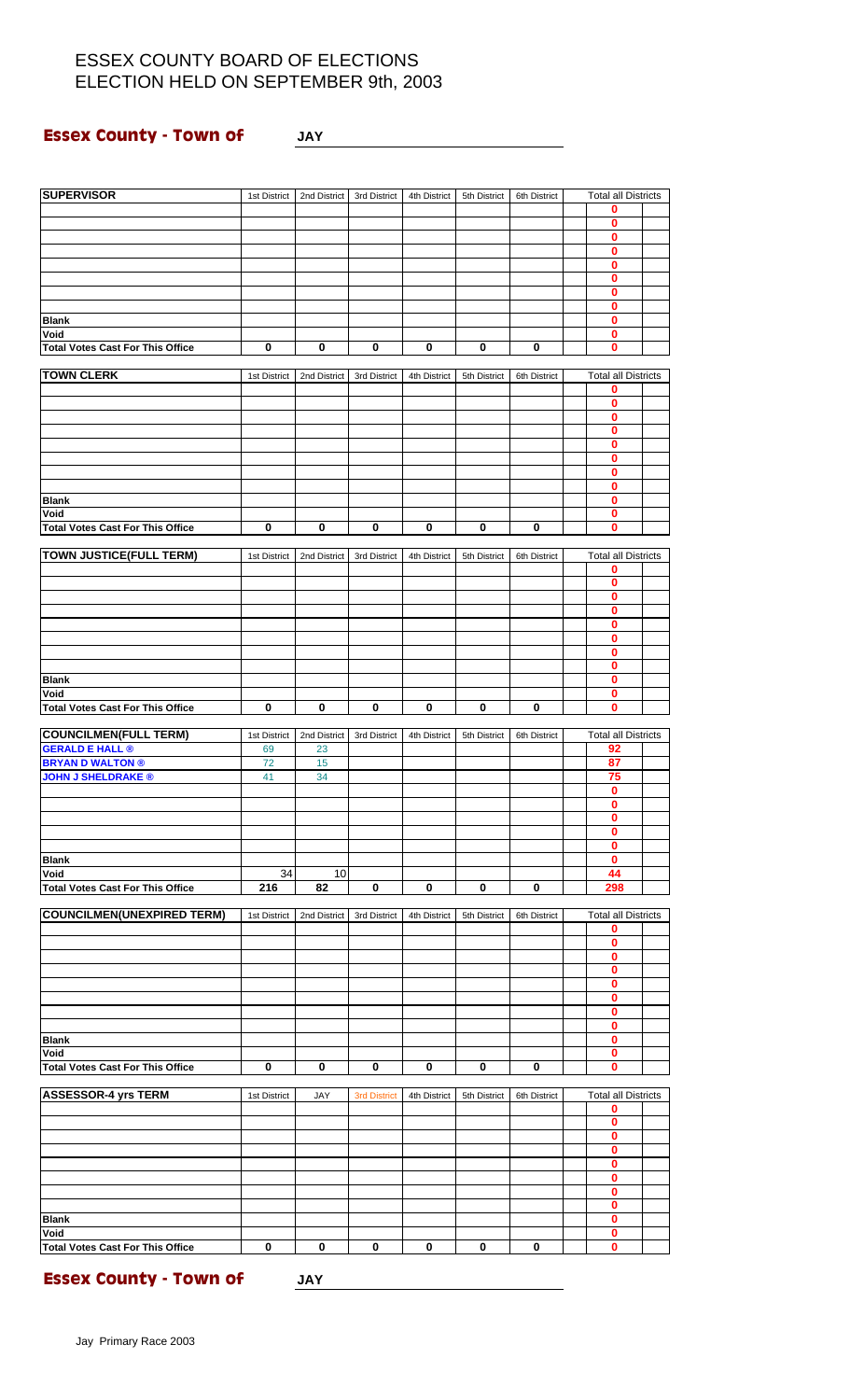**Essex County - Town of JAY**

| <b>SUPERVISOR</b>                                      | 1st District | 2nd District | 3rd District        | 4th District | 5th District | 6th District | <b>Total all Districts</b>          |  |
|--------------------------------------------------------|--------------|--------------|---------------------|--------------|--------------|--------------|-------------------------------------|--|
|                                                        |              |              |                     |              |              |              | 0                                   |  |
|                                                        |              |              |                     |              |              |              | $\bf{0}$<br>$\overline{\mathbf{0}}$ |  |
|                                                        |              |              |                     |              |              |              | $\bf{0}$                            |  |
|                                                        |              |              |                     |              |              |              | $\bf{0}$                            |  |
|                                                        |              |              |                     |              |              |              | $\bf{0}$                            |  |
|                                                        |              |              |                     |              |              |              | 0                                   |  |
| <b>Blank</b>                                           |              |              |                     |              |              |              | $\bf{0}$<br>$\mathbf{0}$            |  |
| Void                                                   |              |              |                     |              |              |              | 0                                   |  |
| <b>Total Votes Cast For This Office</b>                | $\mathbf 0$  | $\pmb{0}$    | 0                   | 0            | 0            | $\pmb{0}$    | $\mathbf{0}$                        |  |
| <b>TOWN CLERK</b>                                      |              |              |                     |              |              |              |                                     |  |
|                                                        | 1st District | 2nd District | 3rd District        | 4th District | 5th District | 6th District | <b>Total all Districts</b><br>0     |  |
|                                                        |              |              |                     |              |              |              | $\bf{0}$                            |  |
|                                                        |              |              |                     |              |              |              | 0                                   |  |
|                                                        |              |              |                     |              |              |              | $\bf{0}$                            |  |
|                                                        |              |              |                     |              |              |              | $\bf{0}$<br>0                       |  |
|                                                        |              |              |                     |              |              |              | $\bf{0}$                            |  |
|                                                        |              |              |                     |              |              |              | $\bf{0}$                            |  |
| <b>Blank</b>                                           |              |              |                     |              |              |              | 0                                   |  |
| Void<br><b>Total Votes Cast For This Office</b>        | $\bf{0}$     | $\bf{0}$     | 0                   | $\bf{0}$     | 0            | $\pmb{0}$    | $\bf{0}$<br>$\mathbf{0}$            |  |
|                                                        |              |              |                     |              |              |              |                                     |  |
| <b>TOWN JUSTICE(FULL TERM)</b>                         | 1st District | 2nd District | 3rd District        | 4th District | 5th District | 6th District | <b>Total all Districts</b>          |  |
|                                                        |              |              |                     |              |              |              | 0                                   |  |
|                                                        |              |              |                     |              |              |              | $\bf{0}$                            |  |
|                                                        |              |              |                     |              |              |              | $\mathbf 0$<br>$\bf{0}$             |  |
|                                                        |              |              |                     |              |              |              | 0                                   |  |
|                                                        |              |              |                     |              |              |              | $\bf{0}$                            |  |
|                                                        |              |              |                     |              |              |              | $\pmb{0}$                           |  |
|                                                        |              |              |                     |              |              |              | $\bf{0}$                            |  |
| <b>Blank</b><br>Void                                   |              |              |                     |              |              |              | 0<br>$\bf{0}$                       |  |
| <b>Total Votes Cast For This Office</b>                | 0            | 0            | 0                   | 0            | 0            | $\bf{0}$     | $\mathbf 0$                         |  |
|                                                        |              |              |                     |              |              |              |                                     |  |
| <b>COUNCILMEN(FULL TERM)</b><br><b>GERALD E HALL ®</b> | 1st District | 2nd District | 3rd District        | 4th District | 5th District | 6th District | <b>Total all Districts</b><br>92    |  |
| <b>BRYAN D WALTON ®</b>                                | 69<br>72     | 23<br>15     |                     |              |              |              | 87                                  |  |
| <b>JOHN J SHELDRAKE ®</b>                              | 41           | 34           |                     |              |              |              | 75                                  |  |
|                                                        |              |              |                     |              |              |              | $\bf{0}$                            |  |
|                                                        |              |              |                     |              |              |              | $\mathbf{0}$                        |  |
|                                                        |              |              |                     |              |              |              | 0<br>$\bf{0}$                       |  |
|                                                        |              |              |                     |              |              |              | $\bf{0}$                            |  |
| <b>Blank</b>                                           |              |              |                     |              |              |              | 0                                   |  |
| Void                                                   | 34           | 10           |                     |              |              |              | 44                                  |  |
| <b>Total Votes Cast For This Office</b>                | 216          | 82           | $\mathbf 0$         | $\mathbf 0$  | $\bf{0}$     | $\mathbf 0$  | 298                                 |  |
| <b>COUNCILMEN(UNEXPIRED TERM)</b>                      | 1st District | 2nd District | 3rd District        | 4th District | 5th District | 6th District | <b>Total all Districts</b>          |  |
|                                                        |              |              |                     |              |              |              | $\mathbf 0$                         |  |
|                                                        |              |              |                     |              |              |              | 0                                   |  |
|                                                        |              |              |                     |              |              |              | $\overline{\mathbf{0}}$             |  |
|                                                        |              |              |                     |              |              |              | 0<br>0                              |  |
|                                                        |              |              |                     |              |              |              | $\bf{0}$                            |  |
|                                                        |              |              |                     |              |              |              | $\mathbf{0}$                        |  |
|                                                        |              |              |                     |              |              |              | 0                                   |  |
| <b>Blank</b><br>Void                                   |              |              |                     |              |              |              | $\pmb{0}$<br>$\mathbf{0}$           |  |
| <b>Total Votes Cast For This Office</b>                | 0            | 0            | 0                   | 0            | 0            | 0            | 0                                   |  |
|                                                        |              |              |                     |              |              |              |                                     |  |
| <b>ASSESSOR-4 yrs TERM</b>                             | 1st District | <b>JAY</b>   | <b>3rd District</b> | 4th District | 5th District | 6th District | <b>Total all Districts</b>          |  |
|                                                        |              |              |                     |              |              |              | 0                                   |  |
|                                                        |              |              |                     |              |              |              | $\bf{0}$<br>$\overline{\mathbf{0}}$ |  |
|                                                        |              |              |                     |              |              |              | 0                                   |  |
|                                                        |              |              |                     |              |              |              | $\bf{0}$                            |  |
|                                                        |              |              |                     |              |              |              | $\bf{0}$                            |  |
|                                                        |              |              |                     |              |              |              | $\bf{0}$<br>$\bf{0}$                |  |
| <b>Blank</b>                                           |              |              |                     |              |              |              | $\bf{0}$                            |  |
| Void                                                   |              |              |                     |              |              |              | $\bf{0}$                            |  |
| <b>Total Votes Cast For This Office</b>                | $\mathbf 0$  | 0            | 0                   | 0            | 0            | 0            | $\mathbf{0}$                        |  |

**Essex County - Town of JAY**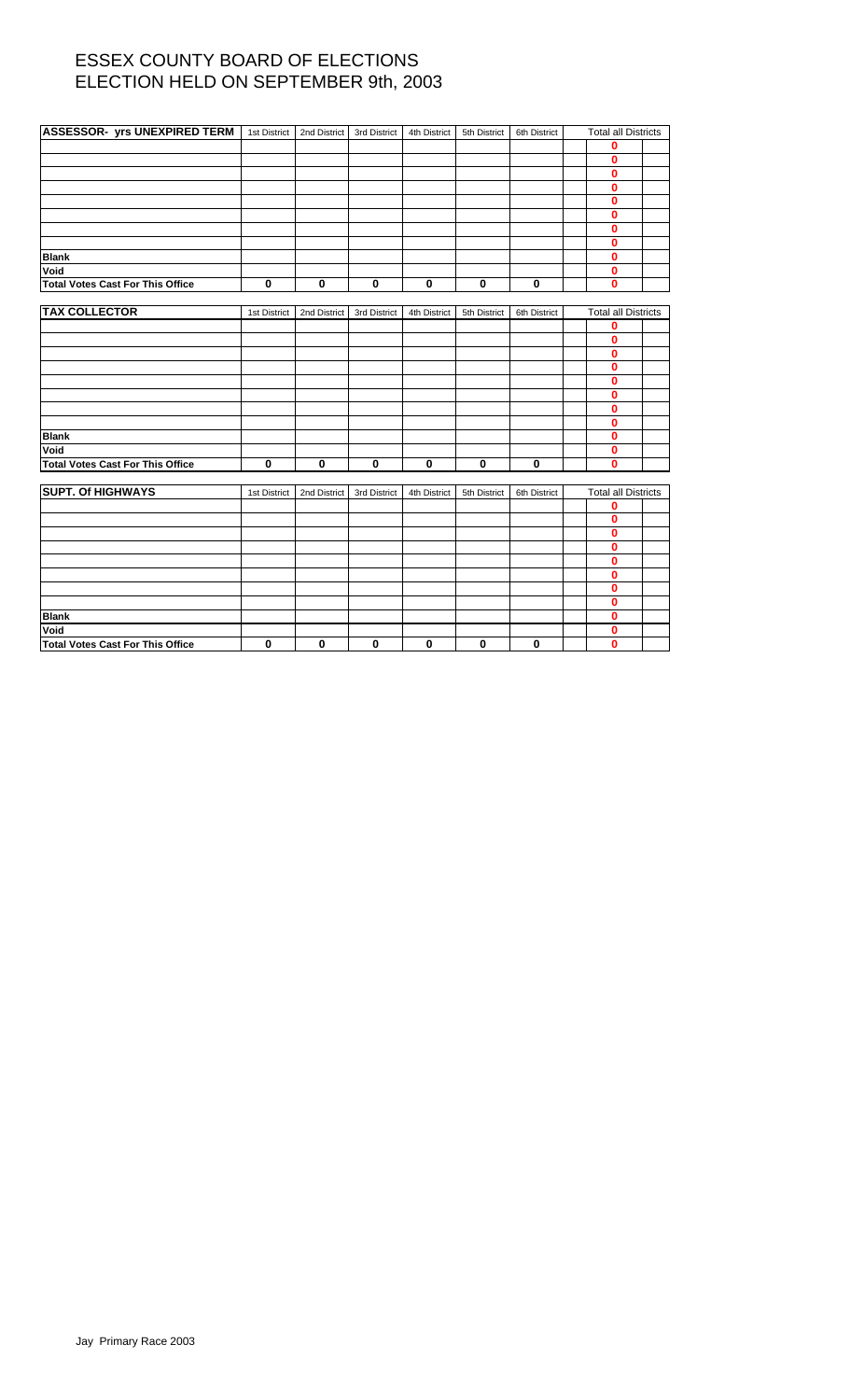| ASSESSOR- yrs UNEXPIRED TERM   1st District |              | 2nd District | 3rd District | 4th District | 5th District | 6th District | <b>Total all Districts</b> |  |
|---------------------------------------------|--------------|--------------|--------------|--------------|--------------|--------------|----------------------------|--|
|                                             |              |              |              |              |              |              | 0                          |  |
|                                             |              |              |              |              |              |              | 0                          |  |
|                                             |              |              |              |              |              |              | 0                          |  |
|                                             |              |              |              |              |              |              | 0                          |  |
|                                             |              |              |              |              |              |              | 0                          |  |
|                                             |              |              |              |              |              |              | 0                          |  |
|                                             |              |              |              |              |              |              | 0                          |  |
|                                             |              |              |              |              |              |              | 0                          |  |
| <b>Blank</b>                                |              |              |              |              |              |              | 0                          |  |
| Void                                        |              |              |              |              |              |              | 0                          |  |
| <b>Total Votes Cast For This Office</b>     | $\mathbf 0$  | 0            | $\mathbf 0$  | $\pmb{0}$    | $\mathbf 0$  | $\mathbf 0$  | 0                          |  |
|                                             |              |              |              |              |              |              |                            |  |
| <b>TAX COLLECTOR</b>                        | 1st District | 2nd District | 3rd District | 4th District | 5th District | 6th District | <b>Total all Districts</b> |  |
|                                             |              |              |              |              |              |              | 0                          |  |
|                                             |              |              |              |              |              |              | 0                          |  |
|                                             |              |              |              |              |              |              | 0                          |  |
|                                             |              |              |              |              |              |              | 0                          |  |
|                                             |              |              |              |              |              |              | 0                          |  |
|                                             |              |              |              |              |              |              | 0                          |  |
|                                             |              |              |              |              |              |              | 0                          |  |
|                                             |              |              |              |              |              |              | 0                          |  |
| <b>Blank</b>                                |              |              |              |              |              |              | 0                          |  |
| Void                                        |              |              |              |              |              |              | 0                          |  |
| <b>Total Votes Cast For This Office</b>     | $\mathbf 0$  | 0            | $\pmb{0}$    | $\bf{0}$     | $\bf{0}$     | $\bf{0}$     | 0                          |  |
|                                             |              |              |              |              |              |              |                            |  |
| <b>SUPT. Of HIGHWAYS</b>                    | 1st District | 2nd District | 3rd District | 4th District | 5th District | 6th District | <b>Total all Districts</b> |  |
|                                             |              |              |              |              |              |              | 0                          |  |
|                                             |              |              |              |              |              |              | 0                          |  |
|                                             |              |              |              |              |              |              | 0                          |  |
|                                             |              |              |              |              |              |              | 0                          |  |
|                                             |              |              |              |              |              |              | 0                          |  |
|                                             |              |              |              |              |              |              | 0                          |  |
|                                             |              |              |              |              |              |              | 0                          |  |
|                                             |              |              |              |              |              |              | 0                          |  |
| <b>Blank</b>                                |              |              |              |              |              |              | 0                          |  |
| Void                                        |              |              |              |              |              |              | 0                          |  |
| <b>Total Votes Cast For This Office</b>     | 0            | 0            | $\bf{0}$     | 0            | $\mathbf 0$  | $\mathbf 0$  | $\bf{0}$                   |  |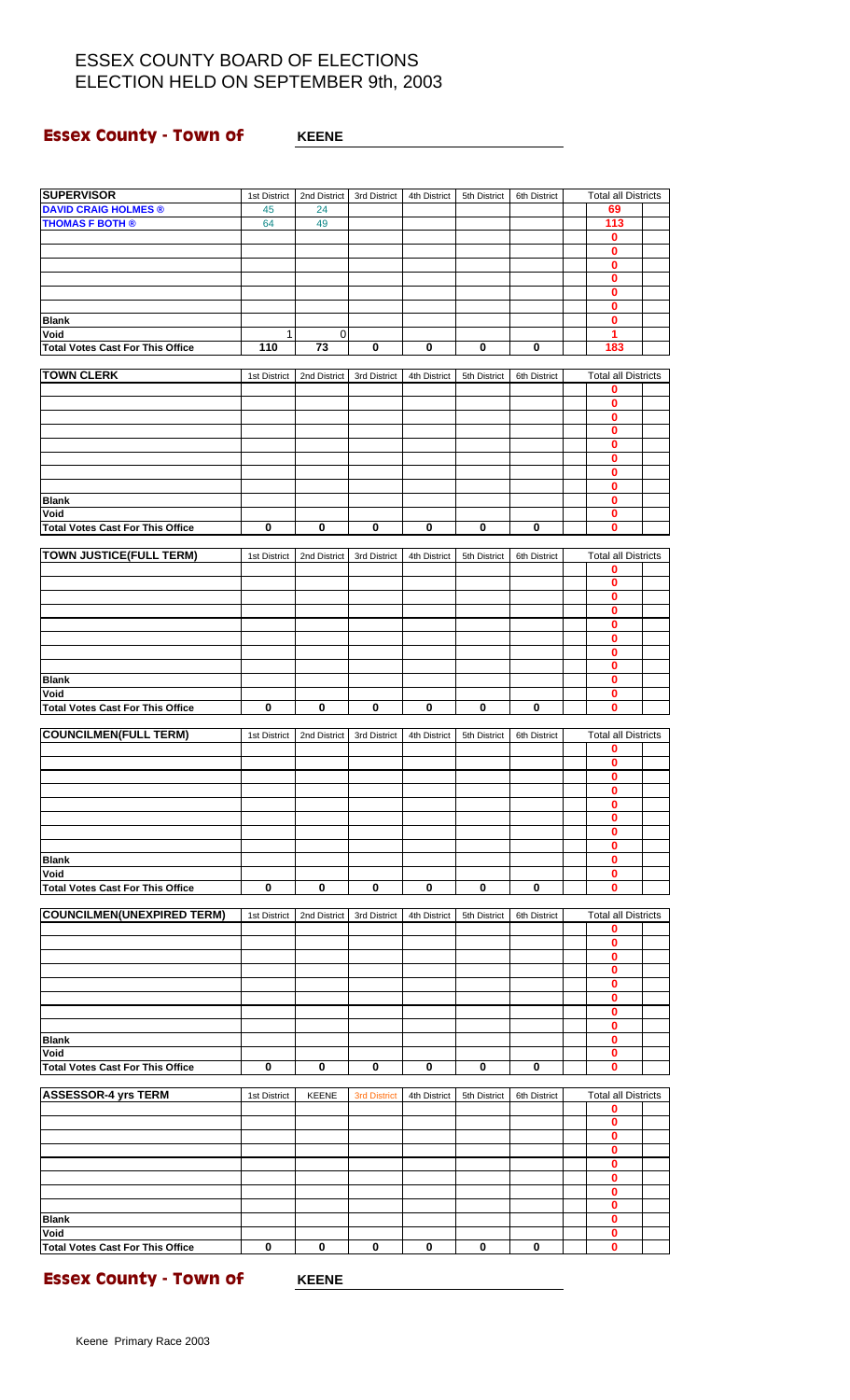### **Essex County - Town of WHEENE**

| <b>SUPERVISOR</b>                               | 1st District | 2nd District | 3rd District        | 4th District | 5th District | 6th District | <b>Total all Districts</b>      |  |
|-------------------------------------------------|--------------|--------------|---------------------|--------------|--------------|--------------|---------------------------------|--|
| <b>DAVID CRAIG HOLMES ®</b>                     | 45           | 24           |                     |              |              |              | 69                              |  |
| <b>THOMAS F BOTH ®</b>                          | 64           | 49           |                     |              |              |              | 113                             |  |
|                                                 |              |              |                     |              |              |              | 0                               |  |
|                                                 |              |              |                     |              |              |              | $\bf{0}$                        |  |
|                                                 |              |              |                     |              |              |              | 0                               |  |
|                                                 |              |              |                     |              |              |              | 0                               |  |
|                                                 |              |              |                     |              |              |              | 0                               |  |
| <b>Blank</b>                                    |              |              |                     |              |              |              | 0<br>0                          |  |
| Void                                            | 1            | 0            |                     |              |              |              | 1                               |  |
| <b>Total Votes Cast For This Office</b>         | 110          | 73           | 0                   | $\bf{0}$     | 0            | 0            | 183                             |  |
|                                                 |              |              |                     |              |              |              |                                 |  |
| <b>TOWN CLERK</b>                               | 1st District | 2nd District | 3rd District        | 4th District | 5th District | 6th District | <b>Total all Districts</b>      |  |
|                                                 |              |              |                     |              |              |              | 0                               |  |
|                                                 |              |              |                     |              |              |              | 0                               |  |
|                                                 |              |              |                     |              |              |              | 0                               |  |
|                                                 |              |              |                     |              |              |              | 0                               |  |
|                                                 |              |              |                     |              |              |              | 0                               |  |
|                                                 |              |              |                     |              |              |              | 0                               |  |
|                                                 |              |              |                     |              |              |              | 0<br>0                          |  |
| <b>Blank</b>                                    |              |              |                     |              |              |              | 0                               |  |
| Void                                            |              |              |                     |              |              |              | 0                               |  |
| <b>Total Votes Cast For This Office</b>         | 0            | $\bf{0}$     | $\bf{0}$            | $\bf{0}$     | 0            | 0            | $\bf{0}$                        |  |
|                                                 |              |              |                     |              |              |              |                                 |  |
| <b>TOWN JUSTICE(FULL TERM)</b>                  | 1st District | 2nd District | 3rd District        | 4th District | 5th District | 6th District | <b>Total all Districts</b>      |  |
|                                                 |              |              |                     |              |              |              | 0                               |  |
|                                                 |              |              |                     |              |              |              | 0                               |  |
|                                                 |              |              |                     |              |              |              | 0                               |  |
|                                                 |              |              |                     |              |              |              | 0                               |  |
|                                                 |              |              |                     |              |              |              | 0                               |  |
|                                                 |              |              |                     |              |              |              | 0<br>0                          |  |
|                                                 |              |              |                     |              |              |              | 0                               |  |
| <b>Blank</b>                                    |              |              |                     |              |              |              | 0                               |  |
| Void                                            |              |              |                     |              |              |              | 0                               |  |
| <b>Total Votes Cast For This Office</b>         | 0            | $\bf{0}$     | 0                   | $\pmb{0}$    | $\pmb{0}$    | 0            | 0                               |  |
|                                                 |              |              |                     |              |              |              |                                 |  |
| <b>COUNCILMEN(FULL TERM)</b>                    | 1st District | 2nd District | 3rd District        | 4th District | 5th District | 6th District | <b>Total all Districts</b>      |  |
|                                                 |              |              |                     |              |              |              | 0                               |  |
|                                                 |              |              |                     |              |              |              | 0                               |  |
|                                                 |              |              |                     |              |              |              | 0<br>0                          |  |
|                                                 |              |              |                     |              |              |              | 0                               |  |
|                                                 |              |              |                     |              |              |              | 0                               |  |
|                                                 |              |              |                     |              |              |              | 0                               |  |
|                                                 |              |              |                     |              |              |              | 0                               |  |
| <b>Blank</b>                                    |              |              |                     |              |              |              | 0                               |  |
| Void                                            |              |              |                     |              |              |              | 0                               |  |
| <b>Total Votes Cast For This Office</b>         | 0            | $\mathbf 0$  | 0                   | $\pmb{0}$    | $\mathbf 0$  | 0            | 0                               |  |
|                                                 |              |              |                     |              |              |              |                                 |  |
| <b>COUNCILMEN(UNEXPIRED TERM)</b>               | 1st District | 2nd District | 3rd District        | 4th District | 5th District | 6th District | <b>Total all Districts</b>      |  |
|                                                 |              |              |                     |              |              |              | 0<br>0                          |  |
|                                                 |              |              |                     |              |              |              | 0                               |  |
|                                                 |              |              |                     |              |              |              | 0                               |  |
|                                                 |              |              |                     |              |              |              | 0                               |  |
|                                                 |              |              |                     |              |              |              | 0                               |  |
|                                                 |              |              |                     |              |              |              | 0                               |  |
|                                                 |              |              |                     |              |              |              | 0                               |  |
| <b>Blank</b>                                    |              |              |                     |              |              |              | 0                               |  |
| Void                                            |              |              |                     |              |              |              | 0                               |  |
| <b>Total Votes Cast For This Office</b>         | 0            | 0            | 0                   | 0            | 0            | 0            | 0                               |  |
|                                                 |              |              |                     |              |              |              |                                 |  |
| <b>ASSESSOR-4 yrs TERM</b>                      | 1st District | <b>KEENE</b> | <b>3rd District</b> | 4th District | 5th District | 6th District | <b>Total all Districts</b><br>0 |  |
|                                                 |              |              |                     |              |              |              | 0                               |  |
|                                                 |              |              |                     |              |              |              | 0                               |  |
|                                                 |              |              |                     |              |              |              | 0                               |  |
|                                                 |              |              |                     |              |              |              | 0                               |  |
|                                                 |              |              |                     |              |              |              | 0                               |  |
|                                                 |              |              |                     |              |              |              | 0                               |  |
|                                                 |              |              |                     |              |              |              | 0                               |  |
| <b>Blank</b>                                    |              |              |                     |              |              |              | 0                               |  |
| Void<br><b>Total Votes Cast For This Office</b> | $\bf{0}$     | $\mathbf 0$  | $\mathbf 0$         | $\bf{0}$     | $\mathbf 0$  |              | 0<br>$\bf{0}$                   |  |
|                                                 |              |              |                     |              |              | 0            |                                 |  |

**Essex County - Town of WHEENE**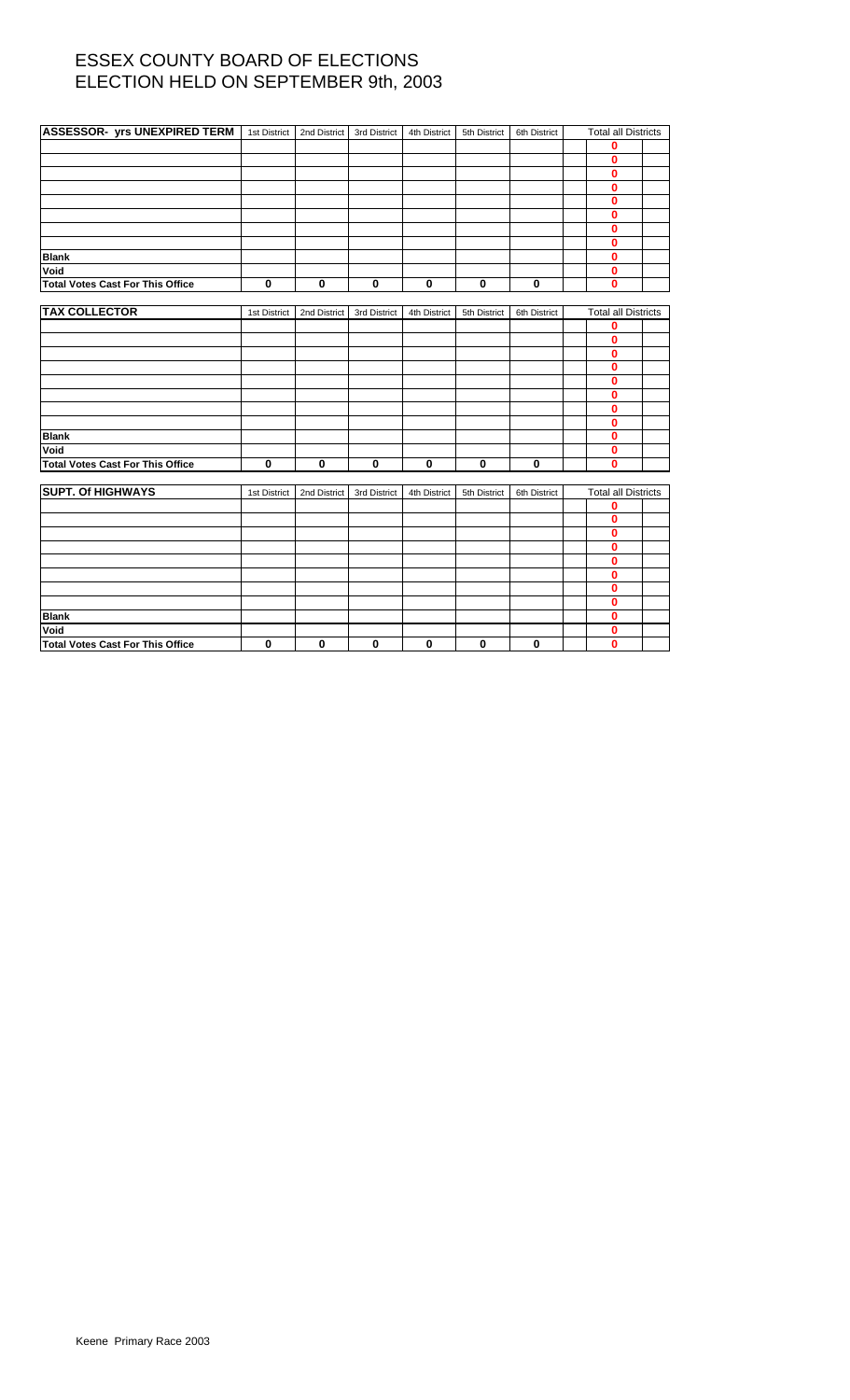| <b>ASSESSOR- yrs UNEXPIRED TERM</b>     | 1st District | 2nd District | 3rd District | 4th District | 5th District | 6th District | <b>Total all Districts</b> |  |
|-----------------------------------------|--------------|--------------|--------------|--------------|--------------|--------------|----------------------------|--|
|                                         |              |              |              |              |              |              | 0                          |  |
|                                         |              |              |              |              |              |              | 0                          |  |
|                                         |              |              |              |              |              |              | 0                          |  |
|                                         |              |              |              |              |              |              | $\bf{0}$                   |  |
|                                         |              |              |              |              |              |              | $\bf{0}$                   |  |
|                                         |              |              |              |              |              |              | 0                          |  |
|                                         |              |              |              |              |              |              | 0                          |  |
|                                         |              |              |              |              |              |              | $\bf{0}$                   |  |
| <b>Blank</b>                            |              |              |              |              |              |              | $\bf{0}$                   |  |
| Void                                    |              |              |              |              |              |              | 0                          |  |
| Total Votes Cast For This Office        | $\mathbf 0$  | 0            | $\mathbf 0$  | $\bf{0}$     | $\mathbf 0$  | $\mathbf 0$  | 0                          |  |
|                                         |              |              |              |              |              |              |                            |  |
| <b>TAX COLLECTOR</b>                    | 1st District | 2nd District | 3rd District | 4th District | 5th District | 6th District | <b>Total all Districts</b> |  |
|                                         |              |              |              |              |              |              | 0                          |  |
|                                         |              |              |              |              |              |              | 0                          |  |
|                                         |              |              |              |              |              |              | 0                          |  |
|                                         |              |              |              |              |              |              | 0                          |  |
|                                         |              |              |              |              |              |              | 0                          |  |
|                                         |              |              |              |              |              |              | 0                          |  |
|                                         |              |              |              |              |              |              | $\bf{0}$                   |  |
|                                         |              |              |              |              |              |              | $\bf{0}$                   |  |
| <b>Blank</b>                            |              |              |              |              |              |              | 0                          |  |
| Void                                    |              |              |              |              |              |              | 0                          |  |
| <b>Total Votes Cast For This Office</b> | $\mathbf 0$  | 0            | $\pmb{0}$    | 0            | $\bf{0}$     | $\pmb{0}$    | $\bf{0}$                   |  |
| <b>SUPT. Of HIGHWAYS</b>                |              |              |              |              |              |              |                            |  |
|                                         | 1st District | 2nd District | 3rd District | 4th District | 5th District | 6th District | <b>Total all Districts</b> |  |
|                                         |              |              |              |              |              |              | 0<br>0                     |  |
|                                         |              |              |              |              |              |              | 0                          |  |
|                                         |              |              |              |              |              |              | 0                          |  |
|                                         |              |              |              |              |              |              | 0                          |  |
|                                         |              |              |              |              |              |              | $\bf{0}$                   |  |
|                                         |              |              |              |              |              |              | $\bf{0}$                   |  |
|                                         |              |              |              |              |              |              | 0                          |  |
| <b>Blank</b>                            |              |              |              |              |              |              | 0                          |  |
| Void                                    |              |              |              |              |              |              | 0                          |  |
| <b>Total Votes Cast For This Office</b> | 0            | $\bf{0}$     | $\bf{0}$     | 0            | $\mathbf 0$  | 0            | 0                          |  |
|                                         |              |              |              |              |              |              |                            |  |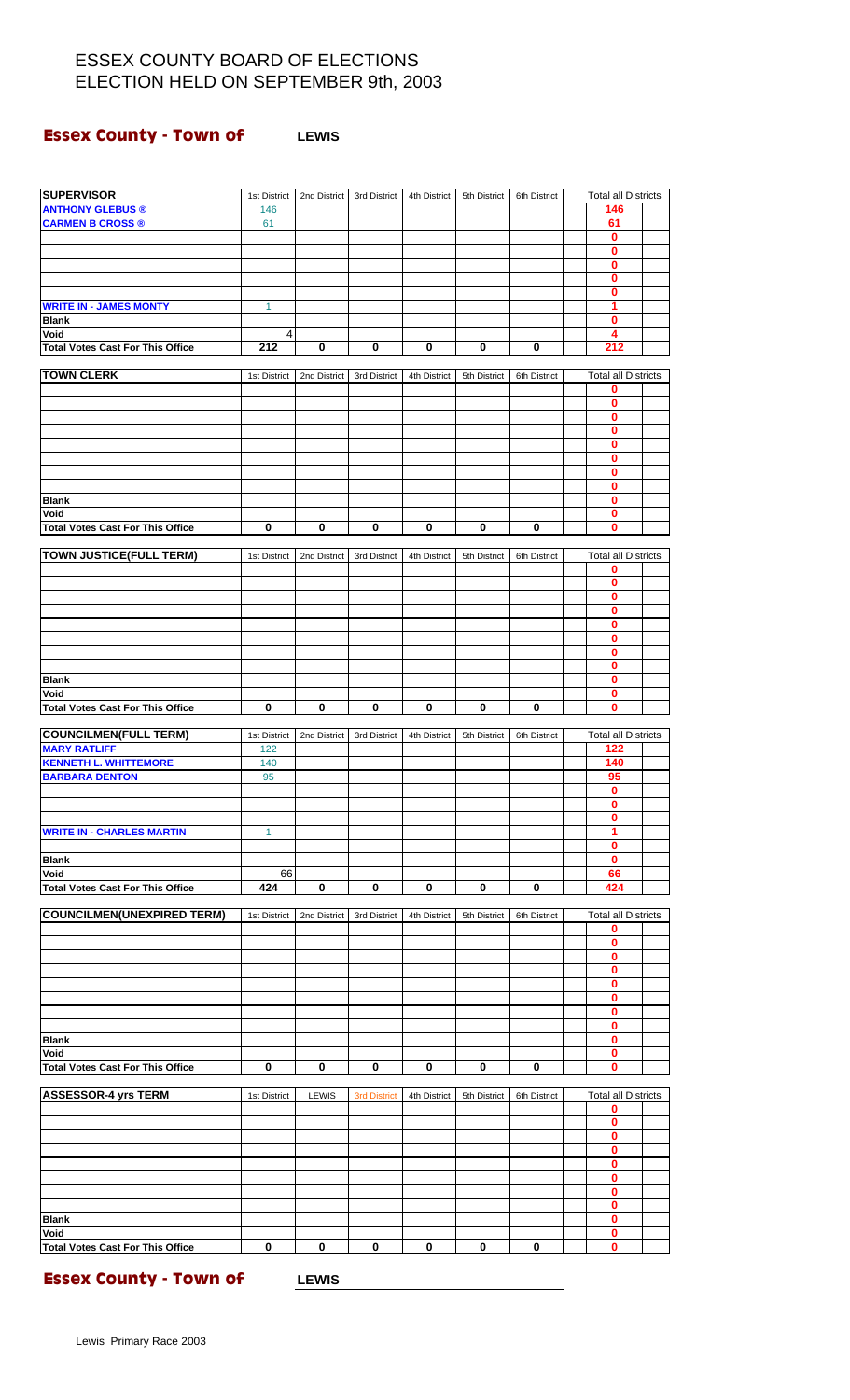### **Essex County - Town of LEWIS**

| <b>SUPERVISOR</b>                                     | 1st District | 2nd District | 3rd District        | 4th District | 5th District | 6th District | <b>Total all Districts</b>      |  |
|-------------------------------------------------------|--------------|--------------|---------------------|--------------|--------------|--------------|---------------------------------|--|
| <b>ANTHONY GLEBUS ®</b>                               | 146          |              |                     |              |              |              | 146                             |  |
| <b>CARMEN B CROSS ®</b>                               | 61           |              |                     |              |              |              | 61<br>0                         |  |
|                                                       |              |              |                     |              |              |              | 0                               |  |
|                                                       |              |              |                     |              |              |              | 0                               |  |
|                                                       |              |              |                     |              |              |              | 0                               |  |
| <b>WRITE IN - JAMES MONTY</b>                         | 1            |              |                     |              |              |              | 0<br>1                          |  |
| <b>Blank</b>                                          |              |              |                     |              |              |              | 0                               |  |
| Void                                                  | 4            |              |                     |              |              |              | 4                               |  |
| <b>Total Votes Cast For This Office</b>               | 212          | $\pmb{0}$    | $\bf{0}$            | 0            | 0            | 0            | 212                             |  |
| <b>TOWN CLERK</b>                                     | 1st District | 2nd District | 3rd District        | 4th District | 5th District | 6th District | <b>Total all Districts</b>      |  |
|                                                       |              |              |                     |              |              |              | 0                               |  |
|                                                       |              |              |                     |              |              |              | 0                               |  |
|                                                       |              |              |                     |              |              |              | 0<br>0                          |  |
|                                                       |              |              |                     |              |              |              | 0                               |  |
|                                                       |              |              |                     |              |              |              | 0                               |  |
|                                                       |              |              |                     |              |              |              | 0                               |  |
|                                                       |              |              |                     |              |              |              | 0<br>0                          |  |
| <b>Blank</b><br>Void                                  |              |              |                     |              |              |              | 0                               |  |
| <b>Total Votes Cast For This Office</b>               | $\bf{0}$     | $\pmb{0}$    | $\pmb{0}$           | 0            | 0            | $\bf{0}$     | 0                               |  |
|                                                       |              |              |                     |              |              |              |                                 |  |
| <b>TOWN JUSTICE(FULL TERM)</b>                        | 1st District | 2nd District | 3rd District        | 4th District | 5th District | 6th District | <b>Total all Districts</b><br>0 |  |
|                                                       |              |              |                     |              |              |              | 0                               |  |
|                                                       |              |              |                     |              |              |              | $\mathbf{0}$                    |  |
|                                                       |              |              |                     |              |              |              | 0                               |  |
|                                                       |              |              |                     |              |              |              | 0<br>0                          |  |
|                                                       |              |              |                     |              |              |              | 0                               |  |
|                                                       |              |              |                     |              |              |              | 0                               |  |
| <b>Blank</b>                                          |              |              |                     |              |              |              | 0                               |  |
| Void<br><b>Total Votes Cast For This Office</b>       | 0            | 0            | $\pmb{0}$           | $\pmb{0}$    | 0            | 0            | 0<br>0                          |  |
|                                                       |              |              |                     |              |              |              |                                 |  |
| <b>COUNCILMEN(FULL TERM)</b>                          | 1st District | 2nd District | 3rd District        | 4th District | 5th District | 6th District | <b>Total all Districts</b>      |  |
| <b>MARY RATLIFF</b>                                   | 122          |              |                     |              |              |              | 122<br>140                      |  |
| <b>KENNETH L. WHITTEMORE</b><br><b>BARBARA DENTON</b> | 140<br>95    |              |                     |              |              |              | 95                              |  |
|                                                       |              |              |                     |              |              |              | 0                               |  |
|                                                       |              |              |                     |              |              |              | $\overline{\mathbf{0}}$         |  |
| <b>WRITE IN - CHARLES MARTIN</b>                      | $\mathbf{1}$ |              |                     |              |              |              | 0<br>1                          |  |
|                                                       |              |              |                     |              |              |              | 0                               |  |
| <b>Blank</b>                                          |              |              |                     |              |              |              | 0                               |  |
| Void                                                  | 66<br>424    | $\mathbf 0$  | $\mathbf 0$         | $\bf{0}$     | 0            | 0            | 66<br>424                       |  |
| <b>Total Votes Cast For This Office</b>               |              |              |                     |              |              |              |                                 |  |
| <b>COUNCILMEN(UNEXPIRED TERM)</b>                     | 1st District | 2nd District | 3rd District        | 4th District | 5th District | 6th District | <b>Total all Districts</b>      |  |
|                                                       |              |              |                     |              |              |              | 0                               |  |
|                                                       |              |              |                     |              |              |              | 0<br>0                          |  |
|                                                       |              |              |                     |              |              |              | 0                               |  |
|                                                       |              |              |                     |              |              |              | 0                               |  |
|                                                       |              |              |                     |              |              |              | 0<br>0                          |  |
|                                                       |              |              |                     |              |              |              | 0                               |  |
| <b>Blank</b>                                          |              |              |                     |              |              |              | 0                               |  |
| Void                                                  |              |              |                     |              |              |              | 0                               |  |
| <b>Total Votes Cast For This Office</b>               | 0            | 0            | 0                   | 0            | 0            | 0            | 0                               |  |
| <b>ASSESSOR-4 yrs TERM</b>                            | 1st District | <b>LEWIS</b> | <b>3rd District</b> | 4th District | 5th District | 6th District | <b>Total all Districts</b>      |  |
|                                                       |              |              |                     |              |              |              | 0                               |  |
|                                                       |              |              |                     |              |              |              | 0                               |  |
|                                                       |              |              |                     |              |              |              | 0                               |  |
|                                                       |              |              |                     |              |              |              |                                 |  |
|                                                       |              |              |                     |              |              |              | 0<br>0                          |  |
|                                                       |              |              |                     |              |              |              | 0                               |  |
|                                                       |              |              |                     |              |              |              | 0                               |  |
|                                                       |              |              |                     |              |              |              | 0<br>0                          |  |
| <b>Blank</b><br>Void                                  |              |              |                     |              |              |              | 0                               |  |

**Essex County - Town of LEWIS**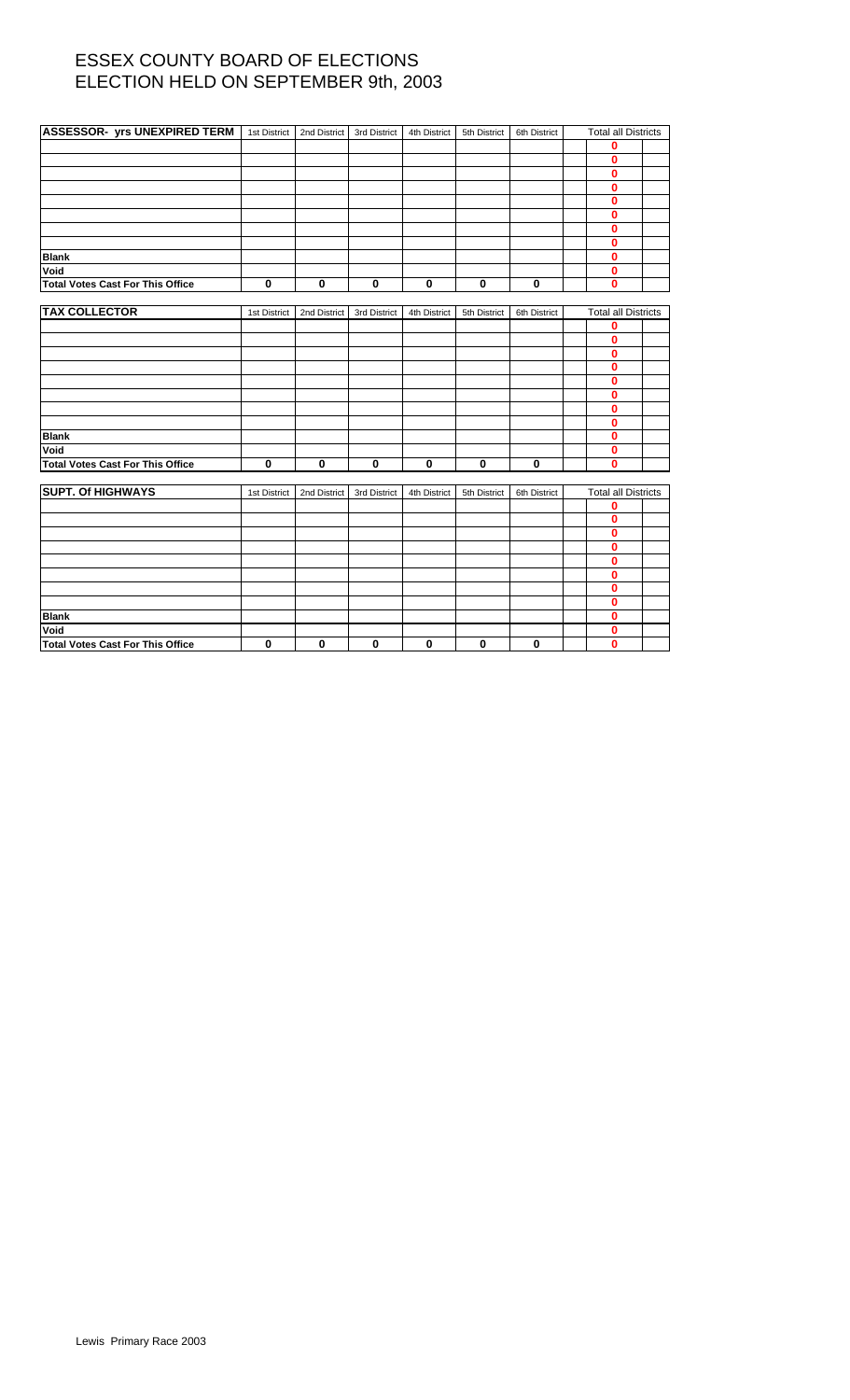| <b>ASSESSOR- yrs UNEXPIRED TERM</b>     | 1st District | 2nd District | 3rd District | 4th District | 5th District | 6th District | <b>Total all Districts</b> |  |
|-----------------------------------------|--------------|--------------|--------------|--------------|--------------|--------------|----------------------------|--|
|                                         |              |              |              |              |              |              | 0                          |  |
|                                         |              |              |              |              |              |              | 0                          |  |
|                                         |              |              |              |              |              |              | 0                          |  |
|                                         |              |              |              |              |              |              | $\bf{0}$                   |  |
|                                         |              |              |              |              |              |              | $\bf{0}$                   |  |
|                                         |              |              |              |              |              |              | 0                          |  |
|                                         |              |              |              |              |              |              | 0                          |  |
|                                         |              |              |              |              |              |              | $\bf{0}$                   |  |
| <b>Blank</b>                            |              |              |              |              |              |              | $\bf{0}$                   |  |
| Void                                    |              |              |              |              |              |              | $\bf{0}$                   |  |
| <b>Total Votes Cast For This Office</b> | $\bf{0}$     | $\bf{0}$     | $\mathbf 0$  | $\mathbf 0$  | $\mathbf 0$  | $\mathbf 0$  | $\bf{0}$                   |  |
|                                         |              |              |              |              |              |              |                            |  |
| <b>TAX COLLECTOR</b>                    | 1st District | 2nd District | 3rd District | 4th District | 5th District | 6th District | <b>Total all Districts</b> |  |
|                                         |              |              |              |              |              |              | 0                          |  |
|                                         |              |              |              |              |              |              | $\bf{0}$                   |  |
|                                         |              |              |              |              |              |              | 0                          |  |
|                                         |              |              |              |              |              |              | 0                          |  |
|                                         |              |              |              |              |              |              | 0                          |  |
|                                         |              |              |              |              |              |              | 0                          |  |
|                                         |              |              |              |              |              |              | 0                          |  |
|                                         |              |              |              |              |              |              | $\bf{0}$                   |  |
| <b>Blank</b>                            |              |              |              |              |              |              | 0                          |  |
| Void                                    |              |              |              |              |              |              | 0                          |  |
| <b>Total Votes Cast For This Office</b> | $\mathbf 0$  | 0            | $\mathbf 0$  | 0            | $\mathbf 0$  | $\mathbf 0$  | $\bf{0}$                   |  |
| <b>SUPT. Of HIGHWAYS</b>                |              |              |              |              |              |              |                            |  |
|                                         | 1st District | 2nd District | 3rd District | 4th District | 5th District | 6th District | <b>Total all Districts</b> |  |
|                                         |              |              |              |              |              |              | 0<br>$\bf{0}$              |  |
|                                         |              |              |              |              |              |              | 0                          |  |
|                                         |              |              |              |              |              |              | 0                          |  |
|                                         |              |              |              |              |              |              | 0                          |  |
|                                         |              |              |              |              |              |              | 0                          |  |
|                                         |              |              |              |              |              |              | 0                          |  |
|                                         |              |              |              |              |              |              | 0                          |  |
| <b>Blank</b>                            |              |              |              |              |              |              | 0                          |  |
| Void                                    |              |              |              |              |              |              | 0                          |  |
| <b>Total Votes Cast For This Office</b> | 0            | 0            | $\mathbf 0$  | $\bf{0}$     | $\mathbf 0$  | 0            | 0                          |  |
|                                         |              |              |              |              |              |              |                            |  |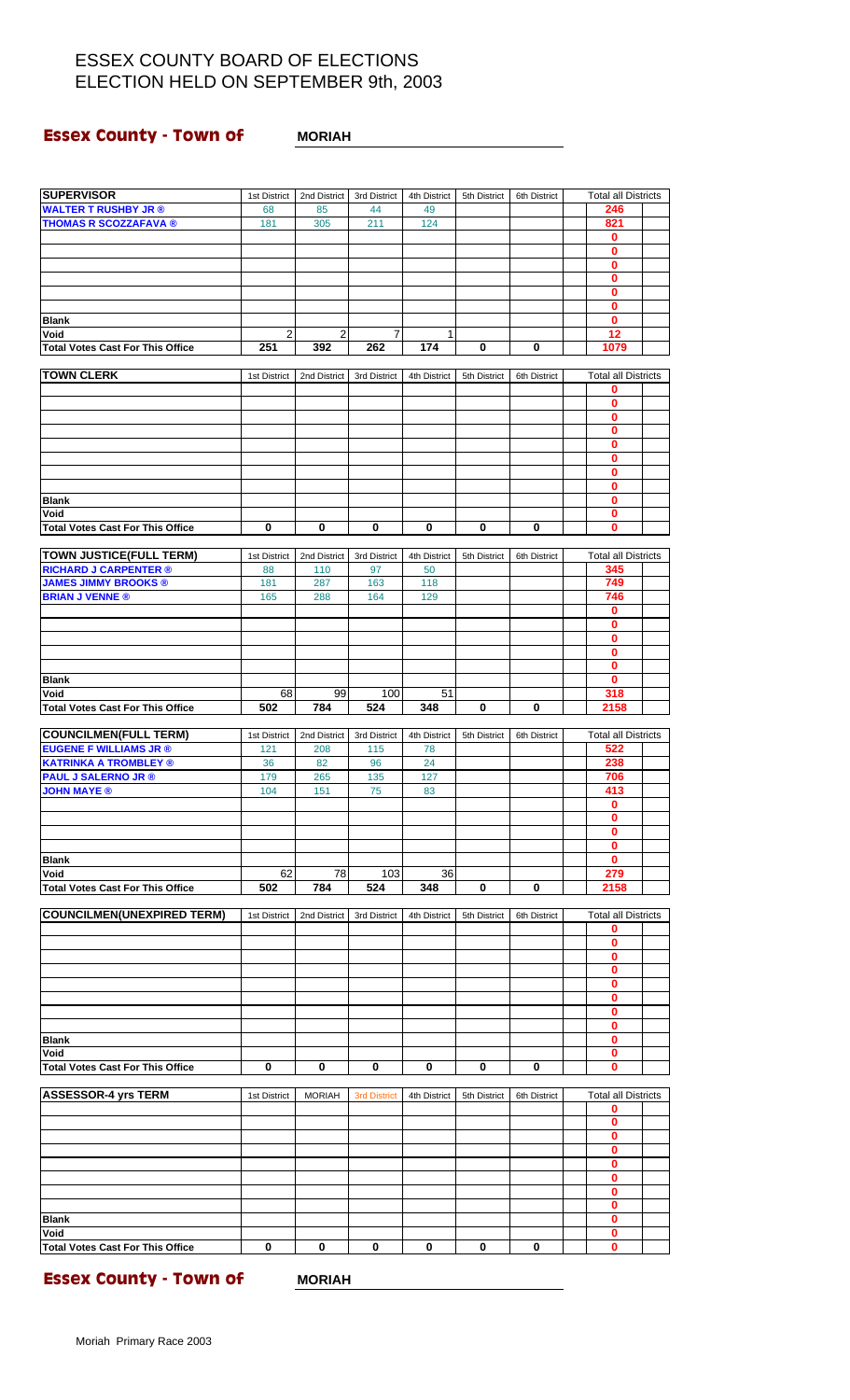#### **Essex County - Town of MORIAH**

| <b>WALTER T RUSHBY JR ®</b>             | 68             | 85            | 44                  | 49           |              |              | 246                             |  |
|-----------------------------------------|----------------|---------------|---------------------|--------------|--------------|--------------|---------------------------------|--|
| <b>THOMAS R SCOZZAFAVA ®</b>            | 181            | 305           | 211                 | 124          |              |              | 821                             |  |
|                                         |                |               |                     |              |              |              | 0                               |  |
|                                         |                |               |                     |              |              |              | 0                               |  |
|                                         |                |               |                     |              |              |              | $\mathbf 0$                     |  |
|                                         |                |               |                     |              |              |              | 0                               |  |
|                                         |                |               |                     |              |              |              | 0                               |  |
|                                         |                |               |                     |              |              |              | $\mathbf 0$                     |  |
| <b>Blank</b>                            |                |               |                     |              |              |              | 0                               |  |
| Void                                    | $\overline{2}$ | 2             | $\overline{7}$      | $\mathbf{1}$ |              |              | 12                              |  |
| <b>Total Votes Cast For This Office</b> | 251            | 392           | 262                 | 174          | 0            | 0            | 1079                            |  |
| <b>TOWN CLERK</b>                       |                |               |                     |              |              |              |                                 |  |
|                                         | 1st District   | 2nd District  | 3rd District        | 4th District | 5th District | 6th District | <b>Total all Districts</b><br>0 |  |
|                                         |                |               |                     |              |              |              | 0                               |  |
|                                         |                |               |                     |              |              |              | $\bf{0}$                        |  |
|                                         |                |               |                     |              |              |              | $\bf{0}$                        |  |
|                                         |                |               |                     |              |              |              | 0                               |  |
|                                         |                |               |                     |              |              |              | $\mathbf 0$                     |  |
|                                         |                |               |                     |              |              |              | $\bf{0}$                        |  |
|                                         |                |               |                     |              |              |              | 0                               |  |
| <b>Blank</b>                            |                |               |                     |              |              |              | $\bf{0}$                        |  |
| Void                                    |                |               |                     |              |              |              | 0                               |  |
| <b>Total Votes Cast For This Office</b> | 0              | $\bf{0}$      | $\mathbf 0$         | 0            | $\bf{0}$     | $\bf{0}$     | 0                               |  |
|                                         |                |               |                     |              |              |              |                                 |  |
| <b>TOWN JUSTICE(FULL TERM)</b>          | 1st District   | 2nd District  | 3rd District        | 4th District | 5th District | 6th District | <b>Total all Districts</b>      |  |
| <b>RICHARD J CARPENTER ®</b>            | 88             | 110           | 97                  | 50           |              |              | 345                             |  |
| <b>JAMES JIMMY BROOKS ®</b>             | 181            | 287           | 163                 | 118          |              |              | 749                             |  |
| <b>BRIAN J VENNE®</b>                   | 165            | 288           | 164                 | 129          |              |              | 746                             |  |
|                                         |                |               |                     |              |              |              | $\mathbf 0$                     |  |
|                                         |                |               |                     |              |              |              | 0                               |  |
|                                         |                |               |                     |              |              |              | 0                               |  |
|                                         |                |               |                     |              |              |              | $\mathbf 0$                     |  |
|                                         |                |               |                     |              |              |              | 0                               |  |
| <b>Blank</b>                            |                |               |                     |              |              |              | $\mathbf{0}$                    |  |
| Void                                    | 68             | 99            | 100                 | 51           |              |              | 318                             |  |
| <b>Total Votes Cast For This Office</b> | 502            | 784           | 524                 | 348          | 0            | 0            | 2158                            |  |
|                                         |                |               |                     |              |              |              |                                 |  |
| <b>COUNCILMEN(FULL TERM)</b>            | 1st District   | 2nd District  | 3rd District        | 4th District | 5th District | 6th District | <b>Total all Districts</b>      |  |
| <b>EUGENE F WILLIAMS JR ®</b>           | 121            | 208           | 115                 | 78           |              |              | 522                             |  |
| <b>KATRINKA A TROMBLEY ®</b>            | 36             | 82            | 96                  | 24           |              |              | 238                             |  |
| <b>PAUL J SALERNO JR ®</b>              | 179            | 265           | 135                 | 127          |              |              | 706                             |  |
| <b>JOHN MAYE ®</b>                      | 104            | 151           | 75                  | 83           |              |              | 413                             |  |
|                                         |                |               |                     |              |              |              | $\mathbf 0$                     |  |
|                                         |                |               |                     |              |              |              | 0                               |  |
|                                         |                |               |                     |              |              |              | 0                               |  |
|                                         |                |               |                     |              |              |              | $\bf{0}$                        |  |
| <b>Blank</b>                            |                |               |                     |              |              |              | 0                               |  |
| Void                                    | 62             | 78            | 103                 | 36           |              |              | 279                             |  |
| <b>Total Votes Cast For This Office</b> | 502            | 784           | 524                 | 348          | 0            | 0            | 2158                            |  |
|                                         |                |               |                     |              |              |              |                                 |  |
| <b>COUNCILMEN(UNEXPIRED TERM)</b>       | 1st District   | 2nd District  | 3rd District        | 4th District | 5th District | 6th District | <b>Total all Districts</b>      |  |
|                                         |                |               |                     |              |              |              | 0                               |  |
|                                         |                |               |                     |              |              |              | 0                               |  |
|                                         |                |               |                     |              |              |              | 0                               |  |
|                                         |                |               |                     |              |              |              | 0                               |  |
|                                         |                |               |                     |              |              |              | 0                               |  |
|                                         |                |               |                     |              |              |              | 0                               |  |
|                                         |                |               |                     |              |              |              | 0                               |  |
|                                         |                |               |                     |              |              |              | 0                               |  |
| <b>Blank</b>                            |                |               |                     |              |              |              | 0                               |  |
| Void                                    |                |               |                     |              |              |              | 0                               |  |
| <b>Total Votes Cast For This Office</b> | 0              | 0             | 0                   | 0            | 0            | 0            | 0                               |  |
|                                         |                |               |                     |              |              |              |                                 |  |
| <b>ASSESSOR-4 yrs TERM</b>              | 1st District   | <b>MORIAH</b> | <b>3rd District</b> | 4th District | 5th District | 6th District | <b>Total all Districts</b>      |  |
|                                         |                |               |                     |              |              |              | 0                               |  |
|                                         |                |               |                     |              |              |              | $\mathbf 0$                     |  |
|                                         |                |               |                     |              |              |              | 0                               |  |
|                                         |                |               |                     |              |              |              | $\bf{0}$                        |  |
|                                         |                |               |                     |              |              |              | 0                               |  |
|                                         |                |               |                     |              |              |              | 0                               |  |
|                                         |                |               |                     |              |              |              | 0                               |  |
|                                         |                |               |                     |              |              |              |                                 |  |
| <b>Blank</b>                            |                |               |                     |              |              |              | 0                               |  |
|                                         |                |               |                     |              |              |              | 0                               |  |
| Void                                    |                |               |                     |              |              |              | 0                               |  |

**SUPERVISOR** 1st District 2nd District 3rd District 4th District 5th District 6th District Total all Districts

**Essex County - Town of MORIAH**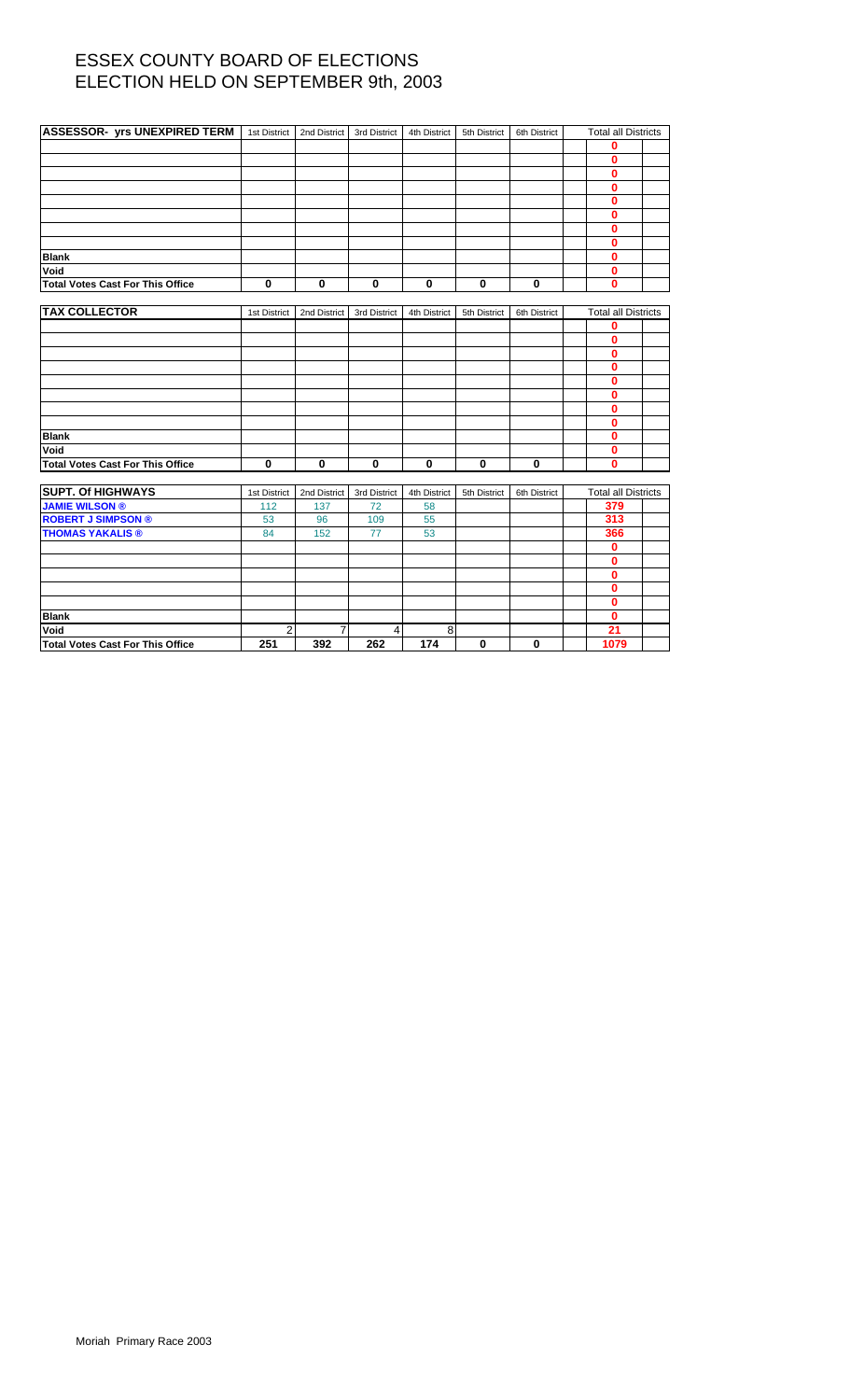| <b>ASSESSOR- yrs UNEXPIRED TERM</b>     | 1st District   | 2nd District   | 3rd District   | 4th District | 5th District | 6th District | <b>Total all Districts</b> |  |
|-----------------------------------------|----------------|----------------|----------------|--------------|--------------|--------------|----------------------------|--|
|                                         |                |                |                |              |              |              | $\mathbf 0$                |  |
|                                         |                |                |                |              |              |              | $\mathbf 0$                |  |
|                                         |                |                |                |              |              |              | $\mathbf 0$                |  |
|                                         |                |                |                |              |              |              | $\mathbf 0$                |  |
|                                         |                |                |                |              |              |              | $\mathbf 0$                |  |
|                                         |                |                |                |              |              |              | $\mathbf 0$                |  |
|                                         |                |                |                |              |              |              | $\mathbf 0$                |  |
|                                         |                |                |                |              |              |              | $\mathbf 0$                |  |
| <b>Blank</b>                            |                |                |                |              |              |              | $\mathbf{0}$               |  |
| Void                                    |                |                |                |              |              |              | $\mathbf 0$                |  |
| <b>Total Votes Cast For This Office</b> | 0              | $\mathbf 0$    | $\bf{0}$       | $\pmb{0}$    | $\mathbf 0$  | $\mathbf 0$  | $\mathbf 0$                |  |
|                                         |                |                |                |              |              |              |                            |  |
| <b>TAX COLLECTOR</b>                    | 1st District   | 2nd District   | 3rd District   | 4th District | 5th District | 6th District | <b>Total all Districts</b> |  |
|                                         |                |                |                |              |              |              | 0                          |  |
|                                         |                |                |                |              |              |              | $\mathbf{0}$               |  |
|                                         |                |                |                |              |              |              | $\mathbf 0$                |  |
|                                         |                |                |                |              |              |              | $\mathbf 0$                |  |
|                                         |                |                |                |              |              |              | $\mathbf 0$                |  |
|                                         |                |                |                |              |              |              | $\mathbf{0}$               |  |
|                                         |                |                |                |              |              |              | $\mathbf 0$                |  |
|                                         |                |                |                |              |              |              | $\mathbf 0$                |  |
| <b>Blank</b>                            |                |                |                |              |              |              | $\mathbf 0$                |  |
| Void                                    |                |                |                |              |              |              | $\mathbf 0$                |  |
| <b>Total Votes Cast For This Office</b> | 0              | $\mathbf 0$    | 0              | $\mathbf 0$  | $\mathbf 0$  | $\bf{0}$     | $\bf{0}$                   |  |
|                                         |                |                |                |              |              |              |                            |  |
| <b>SUPT. Of HIGHWAYS</b>                | 1st District   | 2nd District   | 3rd District   | 4th District | 5th District | 6th District | <b>Total all Districts</b> |  |
| <b>JAMIE WILSON ®</b>                   | 112            | 137            | 72             | 58           |              |              | 379                        |  |
| <b>ROBERT J SIMPSON ®</b>               | 53             | 96             | 109            | 55           |              |              | 313                        |  |
| <b>THOMAS YAKALIS ®</b>                 | 84             | 152            | 77             | 53           |              |              | 366                        |  |
|                                         |                |                |                |              |              |              | $\mathbf 0$                |  |
|                                         |                |                |                |              |              |              | $\mathbf 0$                |  |
|                                         |                |                |                |              |              |              | $\mathbf 0$                |  |
|                                         |                |                |                |              |              |              | $\mathbf 0$                |  |
|                                         |                |                |                |              |              |              | $\mathbf{0}$               |  |
| <b>Blank</b>                            |                |                |                |              |              |              | $\mathbf{0}$               |  |
| Void                                    | $\overline{2}$ | $\overline{7}$ | $\overline{4}$ | 8            |              |              | 21                         |  |

**Total Votes Cast For This Office 251 392 262 174 0 0 1079**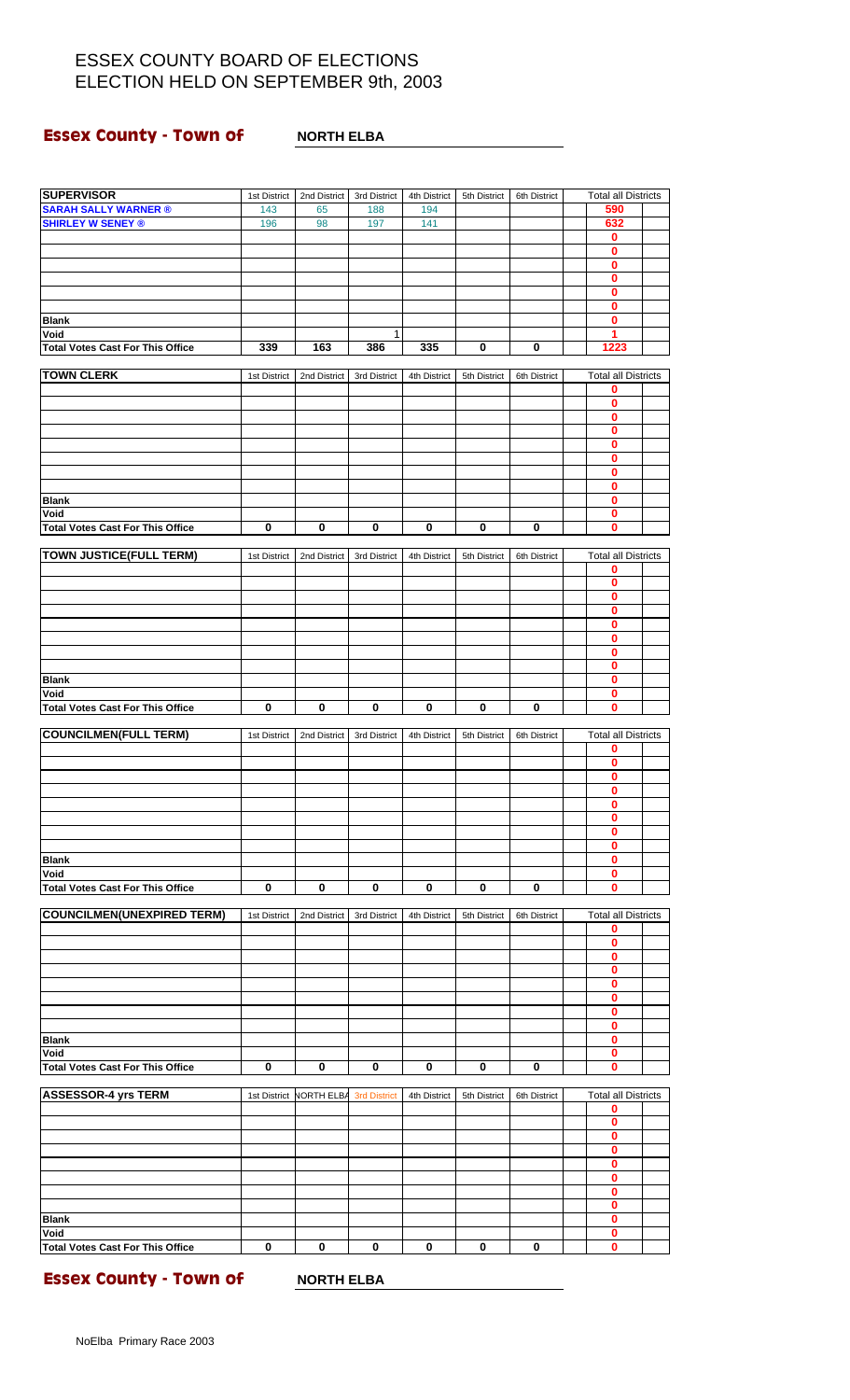### **Essex County - Town of MORTH ELBA**

| <b>SUPERVISOR</b>                       | 1st District | 2nd District                         | 3rd District | 4th District | 5th District | 6th District | <b>Total all Districts</b> |  |
|-----------------------------------------|--------------|--------------------------------------|--------------|--------------|--------------|--------------|----------------------------|--|
| <b>SARAH SALLY WARNER ®</b>             | 143          | 65                                   | 188          | 194          |              |              | 590                        |  |
| <b>SHIRLEY W SENEY ®</b>                | 196          | 98                                   | 197          | 141          |              |              | 632                        |  |
|                                         |              |                                      |              |              |              |              | 0                          |  |
|                                         |              |                                      |              |              |              |              | 0                          |  |
|                                         |              |                                      |              |              |              |              | 0                          |  |
|                                         |              |                                      |              |              |              |              | 0                          |  |
|                                         |              |                                      |              |              |              |              | 0                          |  |
|                                         |              |                                      |              |              |              |              | 0                          |  |
| <b>Blank</b>                            |              |                                      |              |              |              |              | 0                          |  |
| Void                                    |              |                                      | 1            |              |              |              | 1                          |  |
| <b>Total Votes Cast For This Office</b> | 339          | 163                                  | 386          | 335          | 0            | 0            | 1223                       |  |
|                                         |              |                                      |              |              |              |              |                            |  |
| <b>TOWN CLERK</b>                       | 1st District | 2nd District                         | 3rd District | 4th District | 5th District | 6th District | <b>Total all Districts</b> |  |
|                                         |              |                                      |              |              |              |              | 0                          |  |
|                                         |              |                                      |              |              |              |              | 0                          |  |
|                                         |              |                                      |              |              |              |              | 0                          |  |
|                                         |              |                                      |              |              |              |              | 0                          |  |
|                                         |              |                                      |              |              |              |              | 0                          |  |
|                                         |              |                                      |              |              |              |              | 0                          |  |
|                                         |              |                                      |              |              |              |              | 0                          |  |
|                                         |              |                                      |              |              |              |              | 0                          |  |
| <b>Blank</b>                            |              |                                      |              |              |              |              | 0                          |  |
| Void                                    |              |                                      |              |              |              |              | 0                          |  |
| <b>Total Votes Cast For This Office</b> | $\mathbf 0$  | $\bf{0}$                             | $\bf{0}$     | $\bf{0}$     | $\bf{0}$     | $\pmb{0}$    | Ō                          |  |
|                                         |              |                                      |              |              |              |              |                            |  |
| <b>TOWN JUSTICE(FULL TERM)</b>          | 1st District | 2nd District                         | 3rd District | 4th District | 5th District | 6th District | <b>Total all Districts</b> |  |
|                                         |              |                                      |              |              |              |              | 0                          |  |
|                                         |              |                                      |              |              |              |              | 0                          |  |
|                                         |              |                                      |              |              |              |              | 0                          |  |
|                                         |              |                                      |              |              |              |              | $\mathbf{0}$               |  |
|                                         |              |                                      |              |              |              |              | 0                          |  |
|                                         |              |                                      |              |              |              |              | 0                          |  |
|                                         |              |                                      |              |              |              |              | 0                          |  |
|                                         |              |                                      |              |              |              |              | 0                          |  |
| <b>Blank</b>                            |              |                                      |              |              |              |              | $\mathbf{0}$               |  |
| Void                                    |              |                                      |              |              |              |              | 0                          |  |
| <b>Total Votes Cast For This Office</b> | $\bf{0}$     | 0                                    | $\bf{0}$     | 0            | 0            | $\bf{0}$     | 0                          |  |
|                                         |              |                                      |              |              |              |              |                            |  |
| <b>COUNCILMEN(FULL TERM)</b>            | 1st District | 2nd District                         | 3rd District | 4th District | 5th District | 6th District | <b>Total all Districts</b> |  |
|                                         |              |                                      |              |              |              |              | 0                          |  |
|                                         |              |                                      |              |              |              |              | $\bf{0}$                   |  |
|                                         |              |                                      |              |              |              |              | 0                          |  |
|                                         |              |                                      |              |              |              |              | 0                          |  |
|                                         |              |                                      |              |              |              |              | 0                          |  |
|                                         |              |                                      |              |              |              |              | 0                          |  |
|                                         |              |                                      |              |              |              |              | 0                          |  |
|                                         |              |                                      |              |              |              |              | 0                          |  |
| <b>Blank</b>                            |              |                                      |              |              |              |              | 0                          |  |
| Void                                    |              |                                      |              |              |              |              | 0                          |  |
| <b>Total Votes Cast For This Office</b> | 0            | 0                                    | 0            | 0            | $\bf{0}$     | 0            | 0                          |  |
|                                         |              |                                      |              |              |              |              |                            |  |
| <b>COUNCILMEN(UNEXPIRED TERM)</b>       | 1st District | 2nd District                         | 3rd District | 4th District | 5th District | 6th District | <b>Total all Districts</b> |  |
|                                         |              |                                      |              |              |              |              | 0                          |  |
|                                         |              |                                      |              |              |              |              | 0                          |  |
|                                         |              |                                      |              |              |              |              | 0                          |  |
|                                         |              |                                      |              |              |              |              | 0                          |  |
|                                         |              |                                      |              |              |              |              | 0                          |  |
|                                         |              |                                      |              |              |              |              | 0                          |  |
|                                         |              |                                      |              |              |              |              | 0                          |  |
|                                         |              |                                      |              |              |              |              | 0                          |  |
| <b>Blank</b>                            |              |                                      |              |              |              |              | 0                          |  |
| Void                                    |              |                                      |              |              |              |              | 0                          |  |
| <b>Total Votes Cast For This Office</b> | $\bf{0}$     | $\bf{0}$                             | $\bf{0}$     | $\bf{0}$     | $\bf{0}$     | $\bf{0}$     | 0                          |  |
|                                         |              |                                      |              |              |              |              |                            |  |
| <b>ASSESSOR-4 yrs TERM</b>              |              | 1st District NORTH ELBA 3rd District |              | 4th District | 5th District | 6th District | <b>Total all Districts</b> |  |
|                                         |              |                                      |              |              |              |              | 0                          |  |
|                                         |              |                                      |              |              |              |              | 0                          |  |
|                                         |              |                                      |              |              |              |              | 0                          |  |
|                                         |              |                                      |              |              |              |              | 0                          |  |
|                                         |              |                                      |              |              |              |              | 0                          |  |
|                                         |              |                                      |              |              |              |              | 0                          |  |
|                                         |              |                                      |              |              |              |              | 0                          |  |
|                                         |              |                                      |              |              |              |              | 0                          |  |
| <b>Blank</b><br>Void                    |              |                                      |              |              |              |              | 0<br>0                     |  |
| <b>Total Votes Cast For This Office</b> | $\bf{0}$     | $\bf{0}$                             | 0            | 0            | 0            | 0            | 0                          |  |
|                                         |              |                                      |              |              |              |              |                            |  |

**Essex County - Town of MORTH ELBA**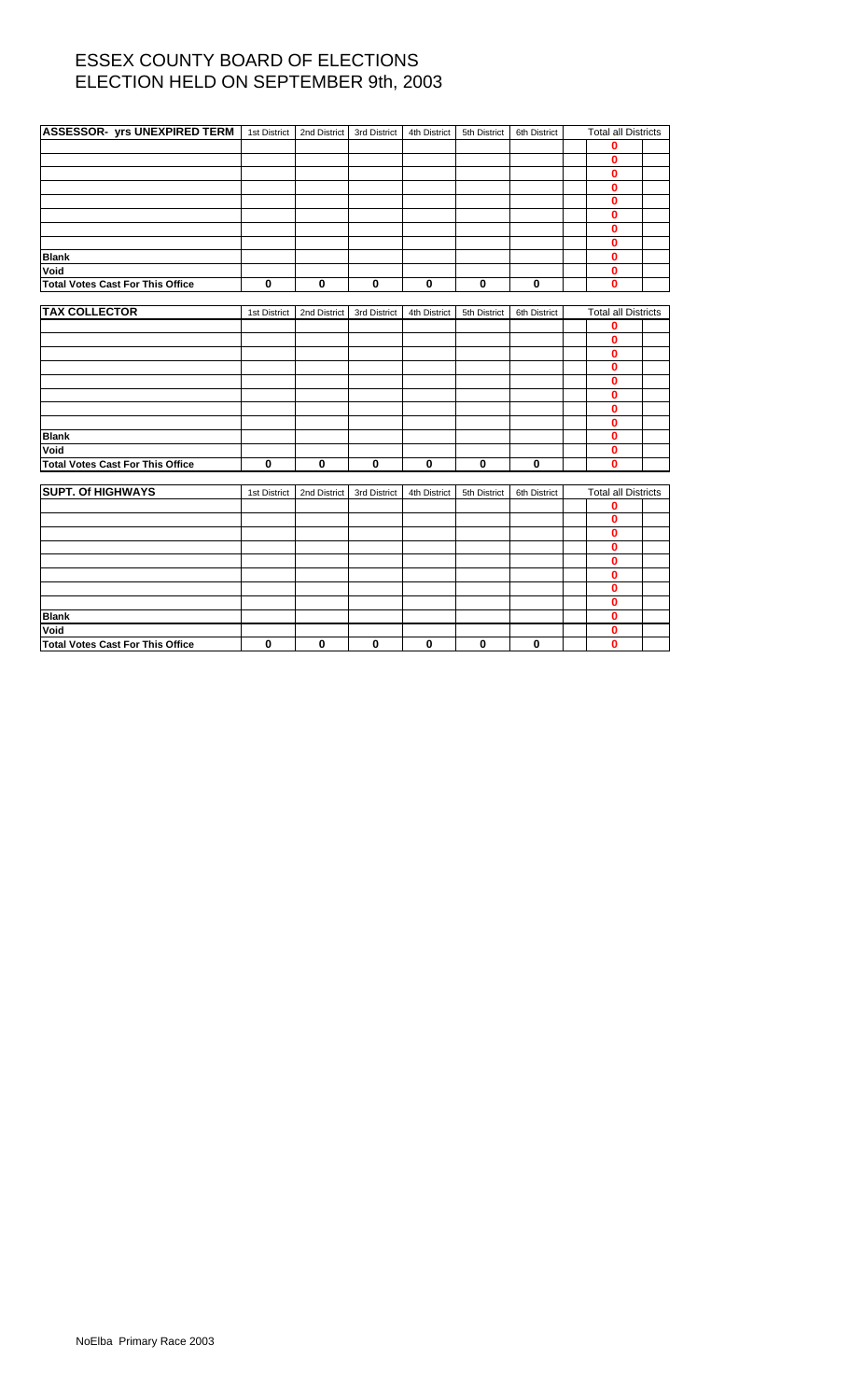| <b>ASSESSOR- yrs UNEXPIRED TERM</b> 1st District |              | 2nd District | 3rd District | 4th District | 5th District | 6th District | <b>Total all Districts</b> |  |
|--------------------------------------------------|--------------|--------------|--------------|--------------|--------------|--------------|----------------------------|--|
|                                                  |              |              |              |              |              |              | 0                          |  |
|                                                  |              |              |              |              |              |              | $\bf{0}$                   |  |
|                                                  |              |              |              |              |              |              | 0                          |  |
|                                                  |              |              |              |              |              |              | $\bf{0}$                   |  |
|                                                  |              |              |              |              |              |              | $\bf{0}$                   |  |
|                                                  |              |              |              |              |              |              | 0                          |  |
|                                                  |              |              |              |              |              |              | $\bf{0}$                   |  |
|                                                  |              |              |              |              |              |              | 0                          |  |
| <b>Blank</b>                                     |              |              |              |              |              |              | 0                          |  |
| Void                                             |              |              |              |              |              |              | 0                          |  |
| <b>Total Votes Cast For This Office</b>          | $\mathbf 0$  | 0            | $\mathbf 0$  | $\mathbf 0$  | $\mathbf 0$  | $\mathbf 0$  | $\bf{0}$                   |  |
|                                                  |              |              |              |              |              |              |                            |  |
| <b>TAX COLLECTOR</b>                             | 1st District | 2nd District | 3rd District | 4th District | 5th District | 6th District | <b>Total all Districts</b> |  |
|                                                  |              |              |              |              |              |              | 0                          |  |
|                                                  |              |              |              |              |              |              | 0                          |  |
|                                                  |              |              |              |              |              |              | $\bf{0}$                   |  |
|                                                  |              |              |              |              |              |              | 0                          |  |
|                                                  |              |              |              |              |              |              | $\bf{0}$                   |  |
|                                                  |              |              |              |              |              |              | 0                          |  |
|                                                  |              |              |              |              |              |              | 0                          |  |
|                                                  |              |              |              |              |              |              | 0                          |  |
| <b>Blank</b>                                     |              |              |              |              |              |              | $\bf{0}$                   |  |
| Void                                             |              |              |              |              |              |              | 0                          |  |
| <b>Total Votes Cast For This Office</b>          | $\mathbf 0$  | 0            | $\bf{0}$     | $\bf{0}$     | $\mathbf 0$  | $\bf{0}$     | $\mathbf{0}$               |  |
|                                                  |              |              |              |              |              |              |                            |  |
| <b>SUPT. Of HIGHWAYS</b>                         | 1st District | 2nd District | 3rd District | 4th District | 5th District | 6th District | <b>Total all Districts</b> |  |
|                                                  |              |              |              |              |              |              | 0                          |  |
|                                                  |              |              |              |              |              |              | $\mathbf{0}$               |  |
|                                                  |              |              |              |              |              |              | 0                          |  |
|                                                  |              |              |              |              |              |              | 0                          |  |
|                                                  |              |              |              |              |              |              | 0                          |  |
|                                                  |              |              |              |              |              |              | 0                          |  |
|                                                  |              |              |              |              |              |              | 0                          |  |
|                                                  |              |              |              |              |              |              | 0                          |  |
| <b>Blank</b>                                     |              |              |              |              |              |              | 0                          |  |
| Void                                             |              |              |              |              |              |              | 0                          |  |
| <b>Total Votes Cast For This Office</b>          | 0            | 0            | $\bf{0}$     | 0            | $\mathbf 0$  | 0            | $\mathbf{0}$               |  |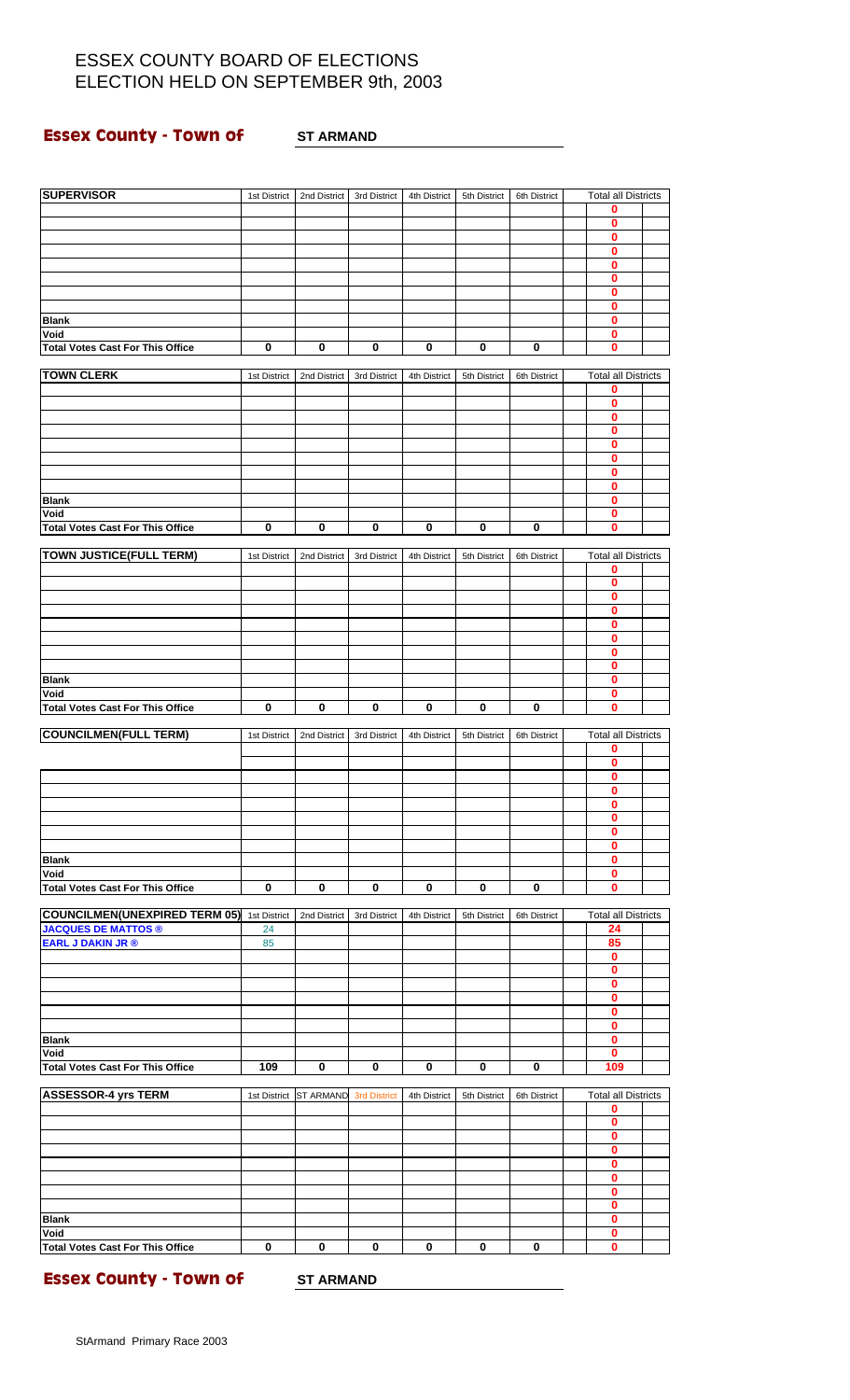### **Essex County - Town of 3T ARMAND**

| <b>SUPERVISOR</b>                               | 1st District | 2nd District           | 3rd District        | 4th District | 5th District | 6th District | <b>Total all Districts</b>   |  |
|-------------------------------------------------|--------------|------------------------|---------------------|--------------|--------------|--------------|------------------------------|--|
|                                                 |              |                        |                     |              |              |              | 0                            |  |
|                                                 |              |                        |                     |              |              |              | 0                            |  |
|                                                 |              |                        |                     |              |              |              | $\bf{0}$<br>$\mathbf{0}$     |  |
|                                                 |              |                        |                     |              |              |              | 0                            |  |
|                                                 |              |                        |                     |              |              |              | $\mathbf{0}$                 |  |
|                                                 |              |                        |                     |              |              |              | $\mathbf 0$                  |  |
| <b>Blank</b>                                    |              |                        |                     |              |              |              | 0<br>$\bf{0}$                |  |
| Void                                            |              |                        |                     |              |              |              | $\mathbf{0}$                 |  |
| <b>Total Votes Cast For This Office</b>         | 0            | 0                      | 0                   | 0            | 0            | 0            | 0                            |  |
| <b>TOWN CLERK</b>                               | 1st District | 2nd District           | 3rd District        | 4th District | 5th District | 6th District | <b>Total all Districts</b>   |  |
|                                                 |              |                        |                     |              |              |              | 0                            |  |
|                                                 |              |                        |                     |              |              |              | $\bf{0}$<br>0                |  |
|                                                 |              |                        |                     |              |              |              | $\bf{0}$                     |  |
|                                                 |              |                        |                     |              |              |              | $\bf{0}$                     |  |
|                                                 |              |                        |                     |              |              |              | $\bf{0}$                     |  |
|                                                 |              |                        |                     |              |              |              | 0<br>$\bf{0}$                |  |
| <b>Blank</b>                                    |              |                        |                     |              |              |              | 0                            |  |
| Void                                            |              |                        |                     |              |              |              | 0                            |  |
| <b>Total Votes Cast For This Office</b>         | $\mathbf 0$  | 0                      | 0                   | 0            | 0            | 0            | 0                            |  |
| <b>TOWN JUSTICE(FULL TERM)</b>                  | 1st District | 2nd District           | 3rd District        | 4th District | 5th District | 6th District | <b>Total all Districts</b>   |  |
|                                                 |              |                        |                     |              |              |              | 0                            |  |
|                                                 |              |                        |                     |              |              |              | 0                            |  |
|                                                 |              |                        |                     |              |              |              | $\bf{0}$<br>$\bf{0}$         |  |
|                                                 |              |                        |                     |              |              |              | 0                            |  |
|                                                 |              |                        |                     |              |              |              | $\bf{0}$                     |  |
|                                                 |              |                        |                     |              |              |              | 0<br>$\bf{0}$                |  |
| <b>Blank</b>                                    |              |                        |                     |              |              |              | $\mathbf{0}$                 |  |
| Void                                            |              |                        |                     |              |              |              | 0                            |  |
| <b>Total Votes Cast For This Office</b>         | $\mathbf 0$  | $\mathbf 0$            | $\pmb{0}$           | 0            | 0            | 0            | $\mathbf{0}$                 |  |
| <b>COUNCILMEN(FULL TERM)</b>                    | 1st District | 2nd District           | 3rd District        | 4th District | 5th District | 6th District | <b>Total all Districts</b>   |  |
|                                                 |              |                        |                     |              |              |              | 0                            |  |
|                                                 |              |                        |                     |              |              |              | $\bf{0}$<br>$\bf{0}$         |  |
|                                                 |              |                        |                     |              |              |              | $\bf{0}$                     |  |
|                                                 |              |                        |                     |              |              |              | U                            |  |
|                                                 |              |                        |                     |              |              |              | $\mathbf 0$                  |  |
|                                                 |              |                        |                     |              |              |              | 0<br>$\bf{0}$                |  |
| <b>Blank</b>                                    |              |                        |                     |              |              |              | $\overline{\mathbf{0}}$      |  |
| Void                                            |              |                        |                     |              |              |              | $\mathbf 0$                  |  |
| <b>Total Votes Cast For This Office</b>         | $\pmb{0}$    | 0                      | 0                   | 0            | 0            | 0            | $\bf{0}$                     |  |
| <b>COUNCILMEN(UNEXPIRED TERM 05)</b>            | 1st District | 2nd District           | 3rd District        | 4th District | 5th District | 6th District | <b>Total all Districts</b>   |  |
| <b>JACQUES DE MATTOS ®</b>                      | 24           |                        |                     |              |              |              | 24                           |  |
| <b>EARL J DAKIN JR ®</b>                        | 85           |                        |                     |              |              |              | 85<br>0                      |  |
|                                                 |              |                        |                     |              |              |              | $\pmb{0}$                    |  |
|                                                 |              |                        |                     |              |              |              | $\mathbf 0$                  |  |
|                                                 |              |                        |                     |              |              |              | 0<br>$\overline{\mathbf{0}}$ |  |
|                                                 |              |                        |                     |              |              |              | $\pmb{0}$                    |  |
| <b>Blank</b>                                    |              |                        |                     |              |              |              | 0                            |  |
| Void                                            | 109          | $\mathbf 0$            | $\mathbf 0$         | $\mathbf 0$  | $\mathbf 0$  | $\mathbf 0$  | $\mathbf{0}$<br>109          |  |
| <b>Total Votes Cast For This Office</b>         |              |                        |                     |              |              |              |                              |  |
| <b>ASSESSOR-4 yrs TERM</b>                      |              | 1st District ST ARMAND | <b>3rd District</b> | 4th District | 5th District | 6th District | <b>Total all Districts</b>   |  |
|                                                 |              |                        |                     |              |              |              | 0<br>$\bf{0}$                |  |
|                                                 |              |                        |                     |              |              |              | $\overline{\mathbf{0}}$      |  |
|                                                 |              |                        |                     |              |              |              | $\mathbf 0$                  |  |
|                                                 |              |                        |                     |              |              |              | $\pmb{0}$                    |  |
|                                                 |              |                        |                     |              |              |              | $\mathbf{0}$<br>$\mathbf 0$  |  |
|                                                 |              |                        |                     |              |              |              | $\mathbf 0$                  |  |
| <b>Blank</b>                                    |              |                        |                     |              |              |              | $\overline{\mathbf{0}}$      |  |
| Void<br><b>Total Votes Cast For This Office</b> | 0            | 0                      | 0                   | 0            | 0            | 0            | 0<br>$\mathbf 0$             |  |
|                                                 |              |                        |                     |              |              |              |                              |  |

**Essex County - Town of ST ARMAND**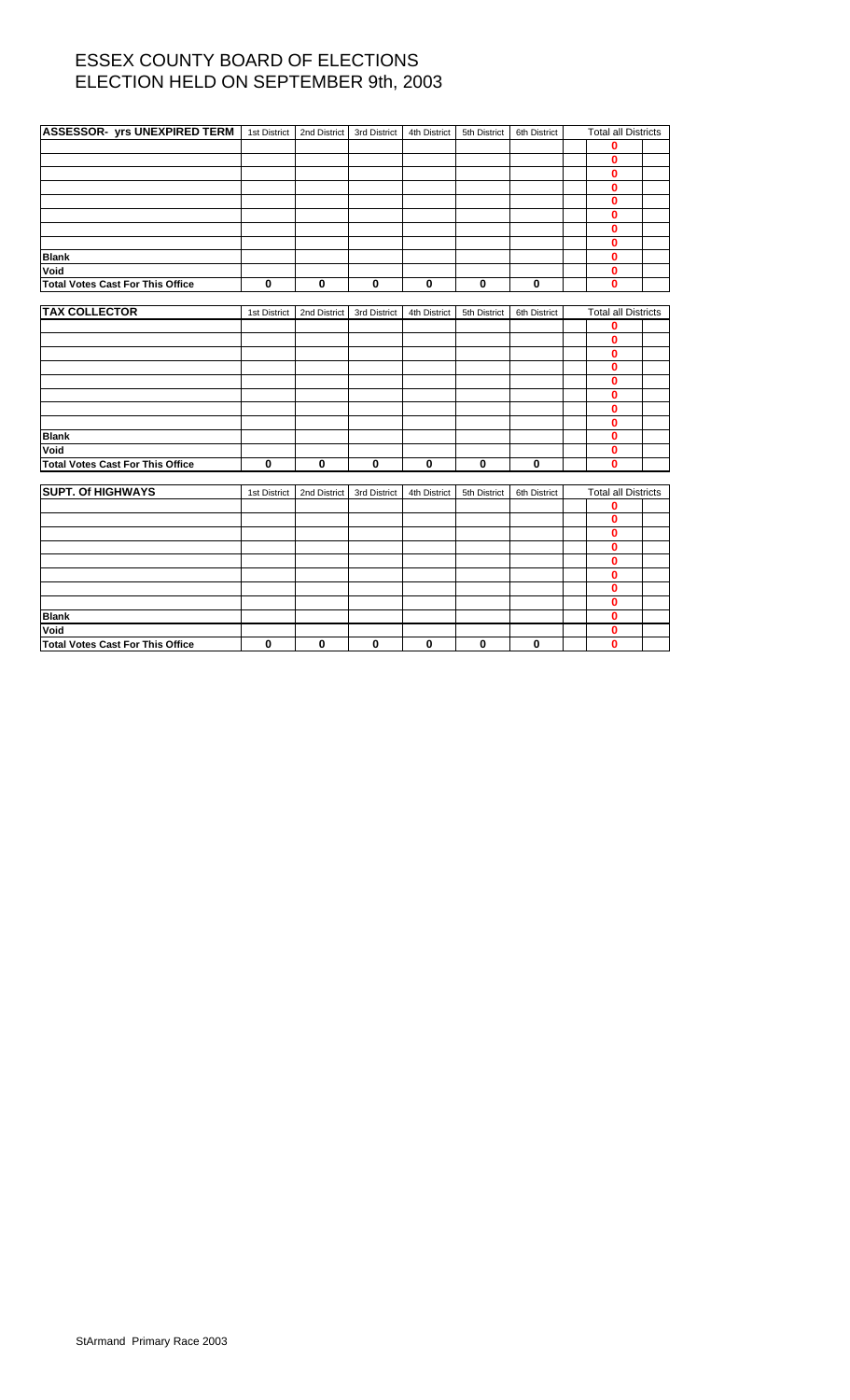| <b>ASSESSOR- yrs UNEXPIRED TERM</b> 1st District |              | 2nd District | 3rd District | 4th District | 5th District | 6th District | <b>Total all Districts</b> |  |
|--------------------------------------------------|--------------|--------------|--------------|--------------|--------------|--------------|----------------------------|--|
|                                                  |              |              |              |              |              |              | 0                          |  |
|                                                  |              |              |              |              |              |              | $\mathbf{0}$               |  |
|                                                  |              |              |              |              |              |              | 0                          |  |
|                                                  |              |              |              |              |              |              | $\bf{0}$                   |  |
|                                                  |              |              |              |              |              |              | $\mathbf{0}$               |  |
|                                                  |              |              |              |              |              |              | 0                          |  |
|                                                  |              |              |              |              |              |              | $\bf{0}$                   |  |
|                                                  |              |              |              |              |              |              | 0                          |  |
| <b>Blank</b>                                     |              |              |              |              |              |              | 0                          |  |
| Void                                             |              |              |              |              |              |              | 0                          |  |
| <b>Total Votes Cast For This Office</b>          | $\mathbf 0$  | 0            | $\mathbf 0$  | $\mathbf 0$  | $\mathbf 0$  | $\mathbf 0$  | $\bf{0}$                   |  |
|                                                  |              |              |              |              |              |              |                            |  |
| <b>TAX COLLECTOR</b>                             | 1st District | 2nd District | 3rd District | 4th District | 5th District | 6th District | <b>Total all Districts</b> |  |
|                                                  |              |              |              |              |              |              | 0                          |  |
|                                                  |              |              |              |              |              |              | 0                          |  |
|                                                  |              |              |              |              |              |              | $\bf{0}$                   |  |
|                                                  |              |              |              |              |              |              | 0                          |  |
|                                                  |              |              |              |              |              |              | $\bf{0}$                   |  |
|                                                  |              |              |              |              |              |              | 0                          |  |
|                                                  |              |              |              |              |              |              | 0                          |  |
|                                                  |              |              |              |              |              |              | 0                          |  |
| <b>Blank</b>                                     |              |              |              |              |              |              | $\bf{0}$                   |  |
| Void                                             |              |              |              |              |              |              | 0                          |  |
| <b>Total Votes Cast For This Office</b>          | $\mathbf 0$  | 0            | $\bf{0}$     | $\bf{0}$     | $\mathbf 0$  | $\bf{0}$     | $\mathbf{0}$               |  |
|                                                  |              |              |              |              |              |              |                            |  |
| <b>SUPT. Of HIGHWAYS</b>                         | 1st District | 2nd District | 3rd District | 4th District | 5th District | 6th District | <b>Total all Districts</b> |  |
|                                                  |              |              |              |              |              |              | 0                          |  |
|                                                  |              |              |              |              |              |              | $\mathbf{0}$               |  |
|                                                  |              |              |              |              |              |              | 0                          |  |
|                                                  |              |              |              |              |              |              | 0                          |  |
|                                                  |              |              |              |              |              |              | 0                          |  |
|                                                  |              |              |              |              |              |              | 0                          |  |
|                                                  |              |              |              |              |              |              | 0                          |  |
|                                                  |              |              |              |              |              |              | 0                          |  |
| <b>Blank</b>                                     |              |              |              |              |              |              | 0                          |  |
| Void                                             |              |              |              |              |              |              | 0                          |  |
| <b>Total Votes Cast For This Office</b>          | 0            | 0            | $\bf{0}$     | 0            | $\mathbf 0$  | 0            | $\mathbf{0}$               |  |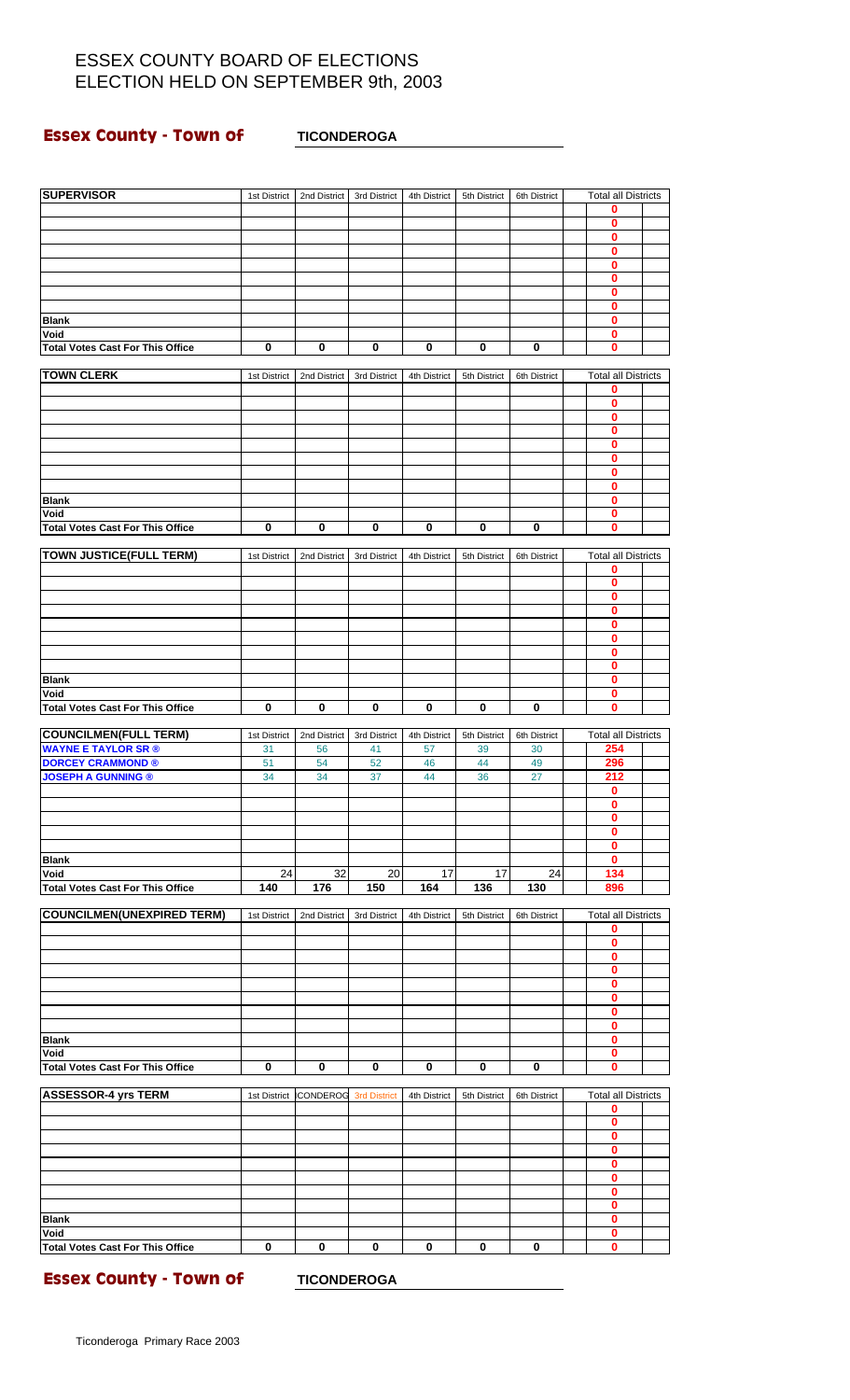### **Essex County - Town of <b>TICONDEROGA**

| <b>SUPERVISOR</b>                               | 1st District | 2nd District     | 3rd District        | 4th District | 5th District | 6th District | <b>Total all Districts</b>      |  |
|-------------------------------------------------|--------------|------------------|---------------------|--------------|--------------|--------------|---------------------------------|--|
|                                                 |              |                  |                     |              |              |              | 0                               |  |
|                                                 |              |                  |                     |              |              |              | 0<br>0                          |  |
|                                                 |              |                  |                     |              |              |              | $\bf{0}$                        |  |
|                                                 |              |                  |                     |              |              |              | 0                               |  |
|                                                 |              |                  |                     |              |              |              | 0                               |  |
|                                                 |              |                  |                     |              |              |              | 0<br>0                          |  |
| <b>Blank</b>                                    |              |                  |                     |              |              |              | 0                               |  |
| Void                                            |              |                  |                     |              |              |              | 0                               |  |
| <b>Total Votes Cast For This Office</b>         | 0            | 0                | 0                   | 0            | 0            | $\bf{0}$     | 0                               |  |
| <b>TOWN CLERK</b>                               | 1st District | 2nd District     | 3rd District        | 4th District | 5th District | 6th District | <b>Total all Districts</b>      |  |
|                                                 |              |                  |                     |              |              |              | 0                               |  |
|                                                 |              |                  |                     |              |              |              | 0                               |  |
|                                                 |              |                  |                     |              |              |              | 0                               |  |
|                                                 |              |                  |                     |              |              |              | 0<br>0                          |  |
|                                                 |              |                  |                     |              |              |              | 0                               |  |
|                                                 |              |                  |                     |              |              |              | 0                               |  |
|                                                 |              |                  |                     |              |              |              | 0                               |  |
| <b>Blank</b><br>Void                            |              |                  |                     |              |              |              | 0<br>0                          |  |
| <b>Total Votes Cast For This Office</b>         | $\bf{0}$     | 0                | 0                   | 0            | 0            | 0            | 0                               |  |
|                                                 |              |                  |                     |              |              |              |                                 |  |
| <b>TOWN JUSTICE(FULL TERM)</b>                  | 1st District | 2nd District     | 3rd District        | 4th District | 5th District | 6th District | <b>Total all Districts</b>      |  |
|                                                 |              |                  |                     |              |              |              | 0<br>0                          |  |
|                                                 |              |                  |                     |              |              |              | 0                               |  |
|                                                 |              |                  |                     |              |              |              | 0                               |  |
|                                                 |              |                  |                     |              |              |              | 0                               |  |
|                                                 |              |                  |                     |              |              |              | 0<br>$\bf{0}$                   |  |
|                                                 |              |                  |                     |              |              |              | 0                               |  |
| <b>Blank</b>                                    |              |                  |                     |              |              |              | 0                               |  |
| Void                                            |              |                  |                     |              |              |              | 0                               |  |
| <b>Total Votes Cast For This Office</b>         | 0            | 0                | 0                   | 0            | $\bf{0}$     | 0            | 0                               |  |
| <b>COUNCILMEN(FULL TERM)</b>                    | 1st District | 2nd District     | 3rd District        | 4th District | 5th District | 6th District | <b>Total all Districts</b>      |  |
| <b>WAYNE E TAYLOR SR ®</b>                      | 31           | 56               | 41                  | 57           | 39           | 30           | 254                             |  |
| <b>DORCEY CRAMMOND ®</b>                        | 51           | 54               | 52                  | 46           | 44           | 49           | 296                             |  |
| <b>JOSEPH A GUNNING ®</b>                       | 34           | 34               | 37                  | 44           | 36           | 27           | 212<br>0                        |  |
|                                                 |              |                  |                     |              |              |              | 0                               |  |
|                                                 |              |                  |                     |              |              |              | 0                               |  |
|                                                 |              |                  |                     |              |              |              | 0                               |  |
| <b>Blank</b>                                    |              |                  |                     |              |              |              | 0<br>0                          |  |
| Void                                            | 24           | 32               | 20                  | 17           | 17           | 24           | 134                             |  |
| <b>Total Votes Cast For This Office</b>         | 140          | 176              | 150                 | 164          | 136          | 130          | 896                             |  |
|                                                 |              |                  |                     |              |              |              |                                 |  |
| <b>COUNCILMEN(UNEXPIRED TERM)</b>               | 1st District | 2nd District     | 3rd District        | 4th District | 5th District | 6th District | <b>Total all Districts</b><br>0 |  |
|                                                 |              |                  |                     |              |              |              | $\mathbf 0$                     |  |
|                                                 |              |                  |                     |              |              |              | 0                               |  |
|                                                 |              |                  |                     |              |              |              | 0                               |  |
|                                                 |              |                  |                     |              |              |              | 0<br>0                          |  |
|                                                 |              |                  |                     |              |              |              | 0                               |  |
|                                                 |              |                  |                     |              |              |              | 0                               |  |
| <b>Blank</b>                                    |              |                  |                     |              |              |              | 0                               |  |
| Void<br><b>Total Votes Cast For This Office</b> | $\mathbf 0$  | 0                | 0                   | 0            | 0            | 0            | 0<br>0                          |  |
|                                                 |              |                  |                     |              |              |              |                                 |  |
| <b>ASSESSOR-4 yrs TERM</b>                      | 1st District | <b>ICONDEROG</b> | <b>3rd District</b> | 4th District | 5th District | 6th District | <b>Total all Districts</b>      |  |
|                                                 |              |                  |                     |              |              |              | 0                               |  |
|                                                 |              |                  |                     |              |              |              | 0<br>0                          |  |
|                                                 |              |                  |                     |              |              |              | 0                               |  |
|                                                 |              |                  |                     |              |              |              | 0                               |  |
|                                                 |              |                  |                     |              |              |              | 0                               |  |
|                                                 |              |                  |                     |              |              |              | 0<br>0                          |  |
| <b>Blank</b>                                    |              |                  |                     |              |              |              | 0                               |  |
| Void                                            |              |                  |                     |              |              |              | 0                               |  |
| <b>Total Votes Cast For This Office</b>         | $\mathbf 0$  | $\pmb{0}$        | $\mathbf 0$         | $\bf{0}$     | $\bf{0}$     | 0            | 0                               |  |

**Essex County - Town of FICONDEROGA**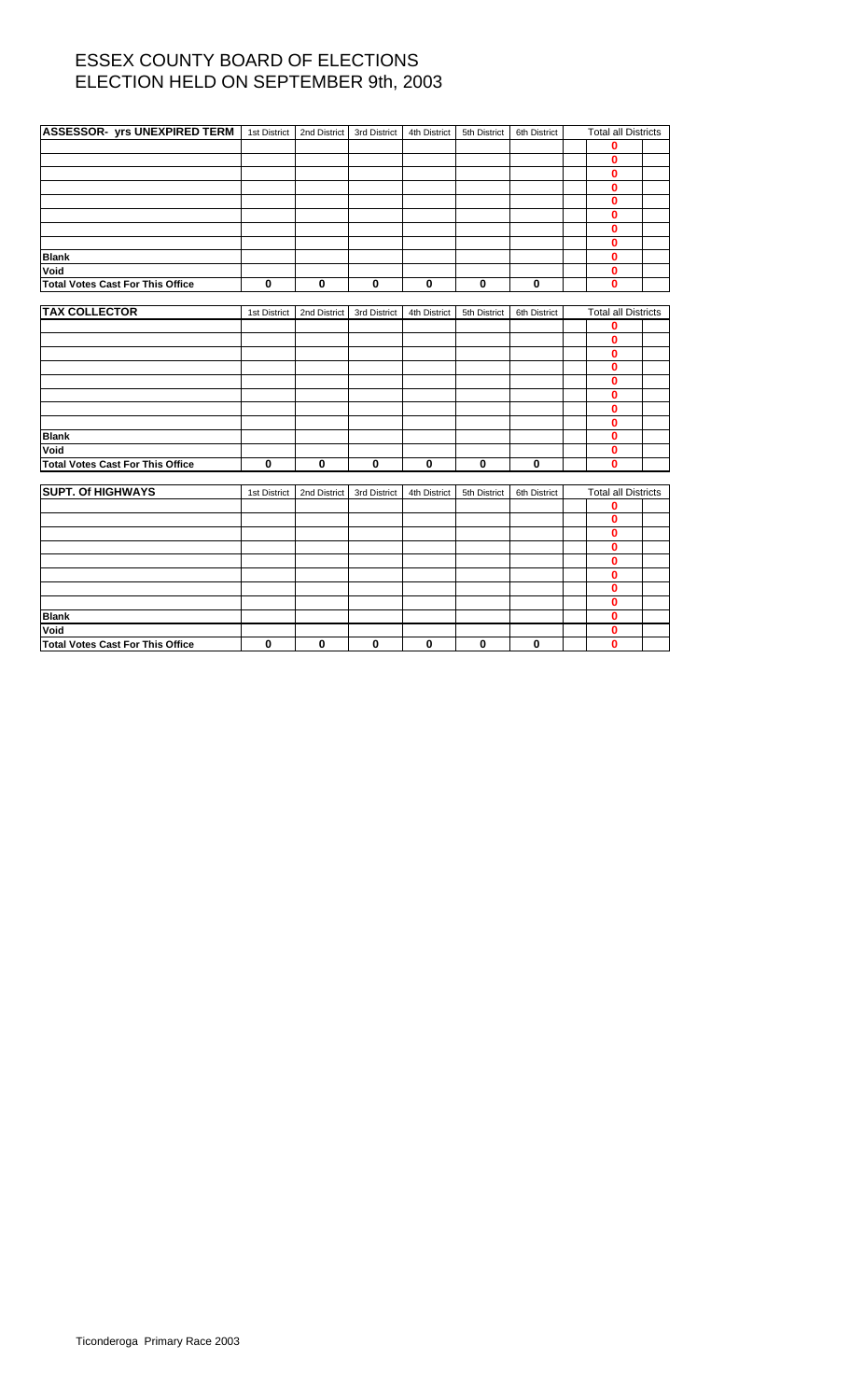| <b>ASSESSOR- yrs UNEXPIRED TERM</b>     | 1st District | 2nd District | 3rd District | 4th District | 5th District | 6th District | <b>Total all Districts</b> |  |
|-----------------------------------------|--------------|--------------|--------------|--------------|--------------|--------------|----------------------------|--|
|                                         |              |              |              |              |              |              | 0                          |  |
|                                         |              |              |              |              |              |              | 0                          |  |
|                                         |              |              |              |              |              |              | 0                          |  |
|                                         |              |              |              |              |              |              | $\bf{0}$                   |  |
|                                         |              |              |              |              |              |              | $\bf{0}$                   |  |
|                                         |              |              |              |              |              |              | 0                          |  |
|                                         |              |              |              |              |              |              | 0                          |  |
|                                         |              |              |              |              |              |              | $\bf{0}$                   |  |
| <b>Blank</b>                            |              |              |              |              |              |              | $\bf{0}$                   |  |
| Void                                    |              |              |              |              |              |              | $\bf{0}$                   |  |
| <b>Total Votes Cast For This Office</b> | $\bf{0}$     | $\bf{0}$     | $\mathbf 0$  | $\mathbf 0$  | $\mathbf 0$  | $\mathbf 0$  | $\bf{0}$                   |  |
|                                         |              |              |              |              |              |              |                            |  |
| <b>TAX COLLECTOR</b>                    | 1st District | 2nd District | 3rd District | 4th District | 5th District | 6th District | <b>Total all Districts</b> |  |
|                                         |              |              |              |              |              |              | 0                          |  |
|                                         |              |              |              |              |              |              | $\bf{0}$                   |  |
|                                         |              |              |              |              |              |              | 0                          |  |
|                                         |              |              |              |              |              |              | 0                          |  |
|                                         |              |              |              |              |              |              | 0                          |  |
|                                         |              |              |              |              |              |              | 0                          |  |
|                                         |              |              |              |              |              |              | 0                          |  |
|                                         |              |              |              |              |              |              | $\bf{0}$                   |  |
| <b>Blank</b>                            |              |              |              |              |              |              | 0                          |  |
| Void                                    |              |              |              |              |              |              | 0                          |  |
| <b>Total Votes Cast For This Office</b> | $\mathbf 0$  | 0            | $\mathbf 0$  | 0            | $\mathbf 0$  | $\mathbf 0$  | $\mathbf{0}$               |  |
| <b>SUPT. Of HIGHWAYS</b>                |              |              |              |              |              |              |                            |  |
|                                         | 1st District | 2nd District | 3rd District | 4th District | 5th District | 6th District | <b>Total all Districts</b> |  |
|                                         |              |              |              |              |              |              | 0<br>$\bf{0}$              |  |
|                                         |              |              |              |              |              |              | 0                          |  |
|                                         |              |              |              |              |              |              | 0                          |  |
|                                         |              |              |              |              |              |              | 0                          |  |
|                                         |              |              |              |              |              |              | 0                          |  |
|                                         |              |              |              |              |              |              | 0                          |  |
|                                         |              |              |              |              |              |              | 0                          |  |
| <b>Blank</b>                            |              |              |              |              |              |              | 0                          |  |
| Void                                    |              |              |              |              |              |              | 0                          |  |
| <b>Total Votes Cast For This Office</b> | 0            | 0            | $\mathbf 0$  | $\bf{0}$     | $\mathbf 0$  | 0            | 0                          |  |
|                                         |              |              |              |              |              |              |                            |  |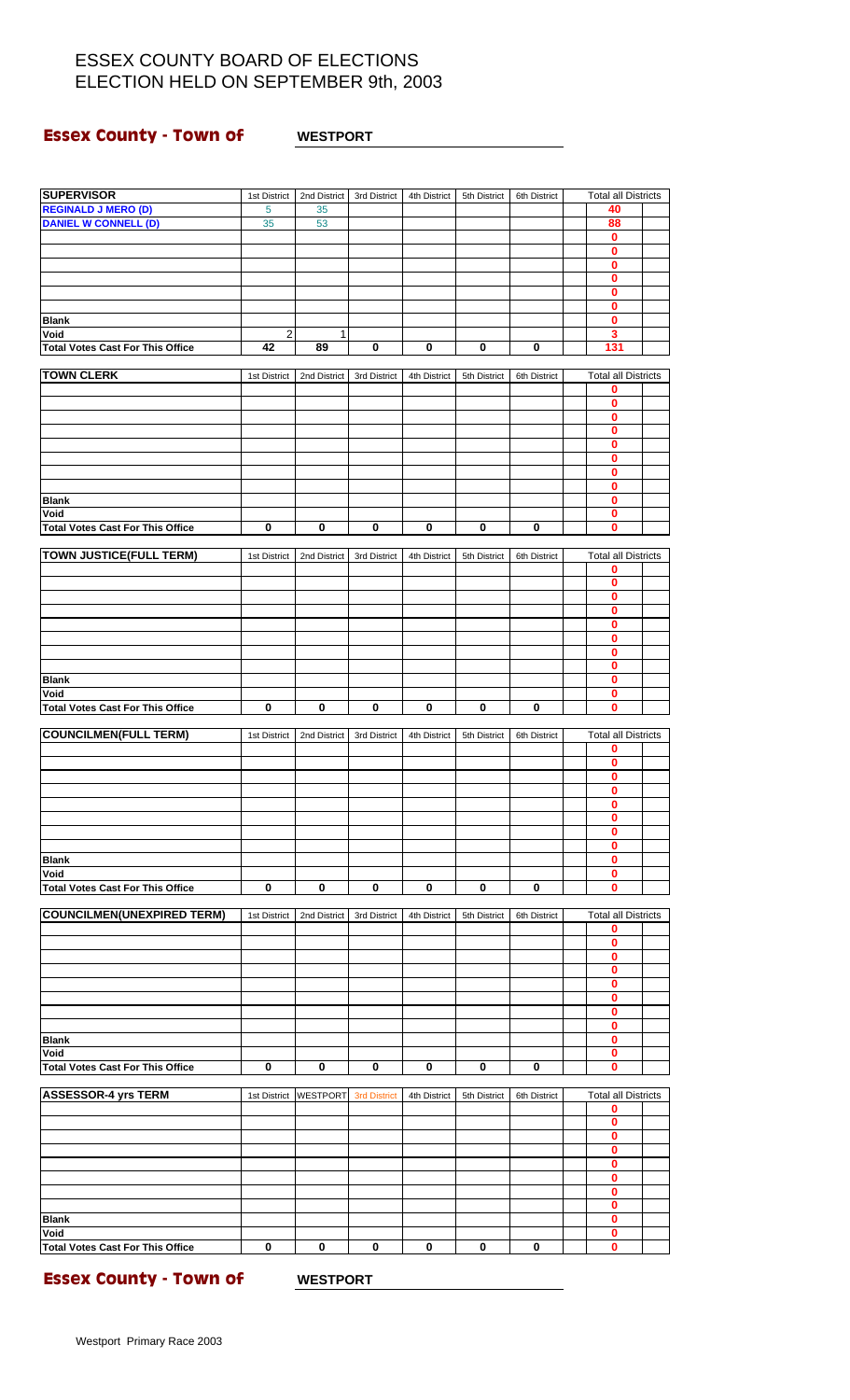### **Essex County - Town of WESTPORT**

| <b>SUPERVISOR</b>                               | 1st District                  | 2nd District    | 3rd District            | 4th District | 5th District | 6th District | <b>Total all Districts</b>  |  |
|-------------------------------------------------|-------------------------------|-----------------|-------------------------|--------------|--------------|--------------|-----------------------------|--|
| <b>REGINALD J MERO (D)</b>                      | 5                             | 35              |                         |              |              |              | 40                          |  |
| <b>DANIEL W CONNELL (D)</b>                     | 35                            | 53              |                         |              |              |              | 88                          |  |
|                                                 |                               |                 |                         |              |              |              | $\mathbf 0$<br>0            |  |
|                                                 |                               |                 |                         |              |              |              | 0                           |  |
|                                                 |                               |                 |                         |              |              |              | 0                           |  |
|                                                 |                               |                 |                         |              |              |              | 0                           |  |
|                                                 |                               |                 |                         |              |              |              | $\bf{0}$                    |  |
| <b>Blank</b><br>Void                            |                               |                 |                         |              |              |              | 0                           |  |
| <b>Total Votes Cast For This Office</b>         | $\overline{\mathbf{c}}$<br>42 | 1<br>89         | $\pmb{0}$               | $\pmb{0}$    | 0            | $\pmb{0}$    | 3<br>131                    |  |
|                                                 |                               |                 |                         |              |              |              |                             |  |
| <b>TOWN CLERK</b>                               | 1st District                  | 2nd District    | 3rd District            | 4th District | 5th District | 6th District | <b>Total all Districts</b>  |  |
|                                                 |                               |                 |                         |              |              |              | 0                           |  |
|                                                 |                               |                 |                         |              |              |              | 0                           |  |
|                                                 |                               |                 |                         |              |              |              | 0<br>0                      |  |
|                                                 |                               |                 |                         |              |              |              | 0                           |  |
|                                                 |                               |                 |                         |              |              |              | 0                           |  |
|                                                 |                               |                 |                         |              |              |              | 0                           |  |
|                                                 |                               |                 |                         |              |              |              | 0                           |  |
| <b>Blank</b><br>Void                            |                               |                 |                         |              |              |              | 0<br>0                      |  |
| <b>Total Votes Cast For This Office</b>         | $\pmb{0}$                     | 0               | $\bf{0}$                | $\pmb{0}$    | $\pmb{0}$    | $\pmb{0}$    | 0                           |  |
|                                                 |                               |                 |                         |              |              |              |                             |  |
| <b>TOWN JUSTICE(FULL TERM)</b>                  | 1st District                  | 2nd District    | 3rd District            | 4th District | 5th District | 6th District | <b>Total all Districts</b>  |  |
|                                                 |                               |                 |                         |              |              |              | 0                           |  |
|                                                 |                               |                 |                         |              |              |              | $\mathbf 0$<br>$\mathbf{0}$ |  |
|                                                 |                               |                 |                         |              |              |              | 0                           |  |
|                                                 |                               |                 |                         |              |              |              | 0                           |  |
|                                                 |                               |                 |                         |              |              |              | 0                           |  |
|                                                 |                               |                 |                         |              |              |              | 0                           |  |
| <b>Blank</b>                                    |                               |                 |                         |              |              |              | 0<br>0                      |  |
| Void                                            |                               |                 |                         |              |              |              | $\mathbf 0$                 |  |
| <b>Total Votes Cast For This Office</b>         | $\bf{0}$                      | $\bf{0}$        | $\overline{\mathbf{0}}$ | $\pmb{0}$    | $\mathbf 0$  | $\mathbf 0$  | 0                           |  |
|                                                 |                               |                 |                         |              |              |              |                             |  |
| <b>COUNCILMEN(FULL TERM)</b>                    | 1st District                  | 2nd District    | 3rd District            | 4th District | 5th District | 6th District | <b>Total all Districts</b>  |  |
|                                                 |                               |                 |                         |              |              |              | 0<br>0                      |  |
|                                                 |                               |                 |                         |              |              |              | 0                           |  |
|                                                 |                               |                 |                         |              |              |              | 0                           |  |
|                                                 |                               |                 |                         |              |              |              | $\mathbf 0$                 |  |
|                                                 |                               |                 |                         |              |              |              | 0<br>0                      |  |
|                                                 |                               |                 |                         |              |              |              | 0                           |  |
| <b>Blank</b>                                    |                               |                 |                         |              |              |              | 0                           |  |
| Void                                            |                               |                 |                         |              |              |              | 0                           |  |
| <b>Total Votes Cast For This Office</b>         | $\mathbf 0$                   | $\mathbf 0$     | $\mathbf 0$             | $\bf{0}$     | 0            | $\mathbf 0$  | 0                           |  |
| <b>COUNCILMEN(UNEXPIRED TERM)</b>               |                               | 2nd District    |                         |              |              |              | <b>Total all Districts</b>  |  |
|                                                 | 1st District                  |                 | 3rd District            | 4th District | 5th District | 6th District | 0                           |  |
|                                                 |                               |                 |                         |              |              |              | 0                           |  |
|                                                 |                               |                 |                         |              |              |              | 0                           |  |
|                                                 |                               |                 |                         |              |              |              | 0                           |  |
|                                                 |                               |                 |                         |              |              |              | 0<br>0                      |  |
|                                                 |                               |                 |                         |              |              |              | $\mathbf 0$                 |  |
|                                                 |                               |                 |                         |              |              |              | 0                           |  |
| <b>Blank</b>                                    |                               |                 |                         |              |              |              | $\mathbf 0$                 |  |
| Void                                            |                               |                 |                         |              |              |              | 0                           |  |
| <b>Total Votes Cast For This Office</b>         | 0                             | 0               | $\pmb{0}$               | 0            | 0            | 0            | 0                           |  |
| <b>ASSESSOR-4 yrs TERM</b>                      | 1st District                  | <b>WESTPORT</b> | <b>3rd District</b>     | 4th District | 5th District | 6th District | <b>Total all Districts</b>  |  |
|                                                 |                               |                 |                         |              |              |              | 0                           |  |
|                                                 |                               |                 |                         |              |              |              | 0                           |  |
|                                                 |                               |                 |                         |              |              |              | 0                           |  |
|                                                 |                               |                 |                         |              |              |              | 0<br>0                      |  |
|                                                 |                               |                 |                         |              |              |              | 0                           |  |
|                                                 |                               |                 |                         |              |              |              | 0                           |  |
|                                                 |                               |                 |                         |              |              |              | 0                           |  |
| <b>Blank</b>                                    |                               |                 |                         |              |              |              | 0                           |  |
| Void<br><b>Total Votes Cast For This Office</b> | $\mathbf 0$                   | $\mathbf 0$     | $\mathbf 0$             | $\bf{0}$     | $\mathbf 0$  | $\bf{0}$     | 0<br>$\mathbf{0}$           |  |
|                                                 |                               |                 |                         |              |              |              |                             |  |

**Essex County - Town of WESTPORT**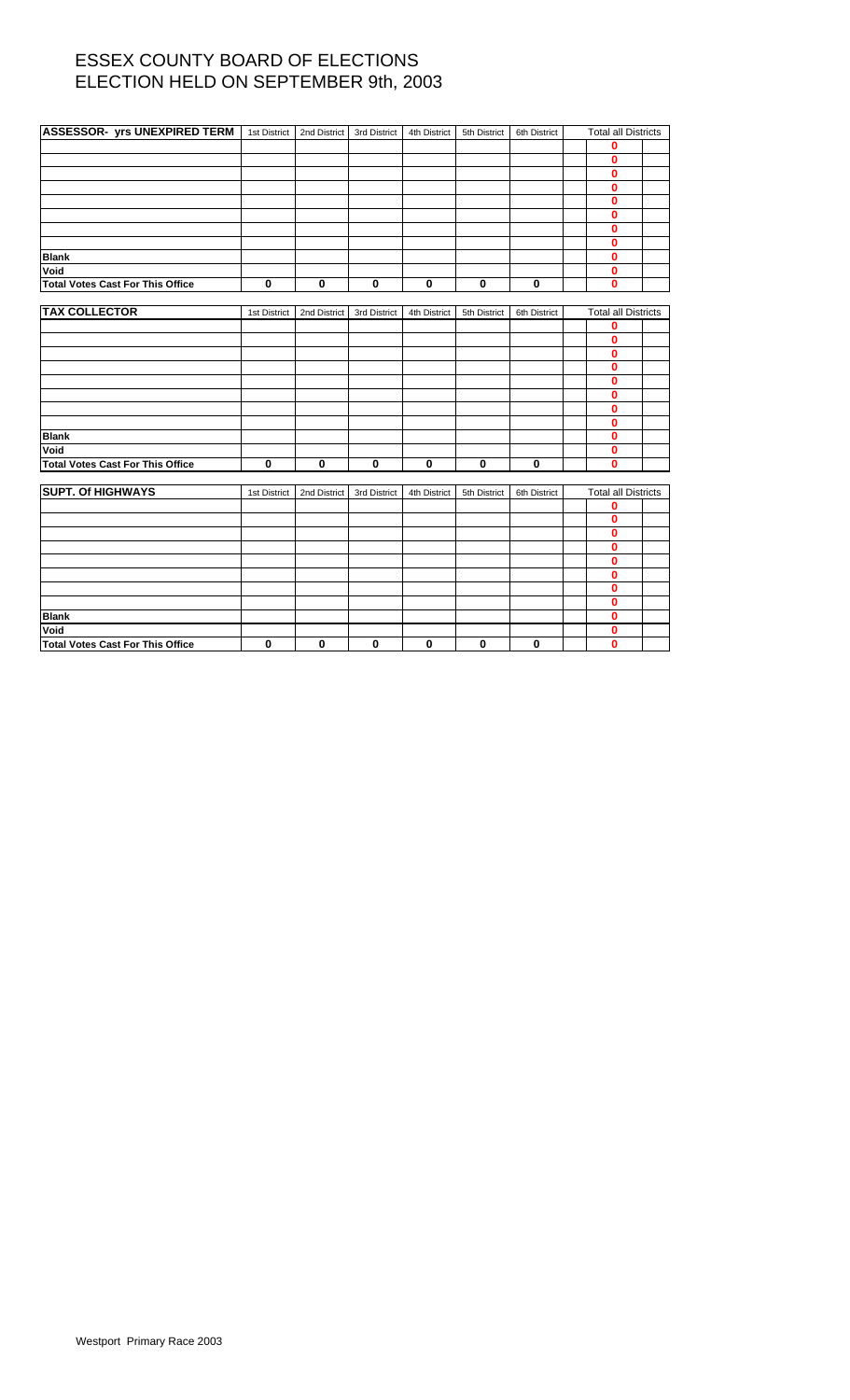| <b>ASSESSOR- yrs UNEXPIRED TERM</b> 1st District |              | 2nd District | 3rd District | 4th District | 5th District | 6th District | <b>Total all Districts</b> |  |
|--------------------------------------------------|--------------|--------------|--------------|--------------|--------------|--------------|----------------------------|--|
|                                                  |              |              |              |              |              |              | 0                          |  |
|                                                  |              |              |              |              |              |              | 0                          |  |
|                                                  |              |              |              |              |              |              | $\mathbf{0}$               |  |
|                                                  |              |              |              |              |              |              | 0                          |  |
|                                                  |              |              |              |              |              |              | 0                          |  |
|                                                  |              |              |              |              |              |              | $\bf{0}$                   |  |
|                                                  |              |              |              |              |              |              | $\mathbf{0}$               |  |
|                                                  |              |              |              |              |              |              | 0                          |  |
| <b>Blank</b>                                     |              |              |              |              |              |              | 0                          |  |
| Void                                             |              |              |              |              |              |              | 0                          |  |
| <b>Total Votes Cast For This Office</b>          | $\mathbf 0$  | 0            | $\mathbf 0$  | 0            | $\mathbf 0$  | $\mathbf 0$  | $\bf{0}$                   |  |
|                                                  |              |              |              |              |              |              |                            |  |
| <b>TAX COLLECTOR</b>                             | 1st District | 2nd District | 3rd District | 4th District | 5th District | 6th District | <b>Total all Districts</b> |  |
|                                                  |              |              |              |              |              |              | 0                          |  |
|                                                  |              |              |              |              |              |              | 0                          |  |
|                                                  |              |              |              |              |              |              | 0                          |  |
|                                                  |              |              |              |              |              |              | 0                          |  |
|                                                  |              |              |              |              |              |              | 0                          |  |
|                                                  |              |              |              |              |              |              | 0                          |  |
|                                                  |              |              |              |              |              |              | 0                          |  |
|                                                  |              |              |              |              |              |              | 0                          |  |
| <b>Blank</b>                                     |              |              |              |              |              |              | 0                          |  |
| Void                                             |              |              |              |              |              |              | 0                          |  |
| <b>Total Votes Cast For This Office</b>          | $\mathbf 0$  | $\bf{0}$     | $\bf{0}$     | $\bf{0}$     | $\mathbf 0$  | $\bf{0}$     | $\mathbf{0}$               |  |
|                                                  |              |              |              |              |              |              |                            |  |
| <b>SUPT. Of HIGHWAYS</b>                         | 1st District | 2nd District | 3rd District | 4th District | 5th District | 6th District | <b>Total all Districts</b> |  |
|                                                  |              |              |              |              |              |              | 0                          |  |
|                                                  |              |              |              |              |              |              | 0                          |  |
|                                                  |              |              |              |              |              |              | $\bf{0}$                   |  |
|                                                  |              |              |              |              |              |              | 0                          |  |
|                                                  |              |              |              |              |              |              | 0                          |  |
|                                                  |              |              |              |              |              |              | 0                          |  |
|                                                  |              |              |              |              |              |              | 0                          |  |
|                                                  |              |              |              |              |              |              | 0                          |  |
| <b>Blank</b>                                     |              |              |              |              |              |              | 0                          |  |
| Void                                             |              |              |              |              |              |              | 0                          |  |
| <b>Total Votes Cast For This Office</b>          | $\mathbf 0$  | 0            | $\bf{0}$     | 0            | $\mathbf 0$  | $\mathbf 0$  | $\bf{0}$                   |  |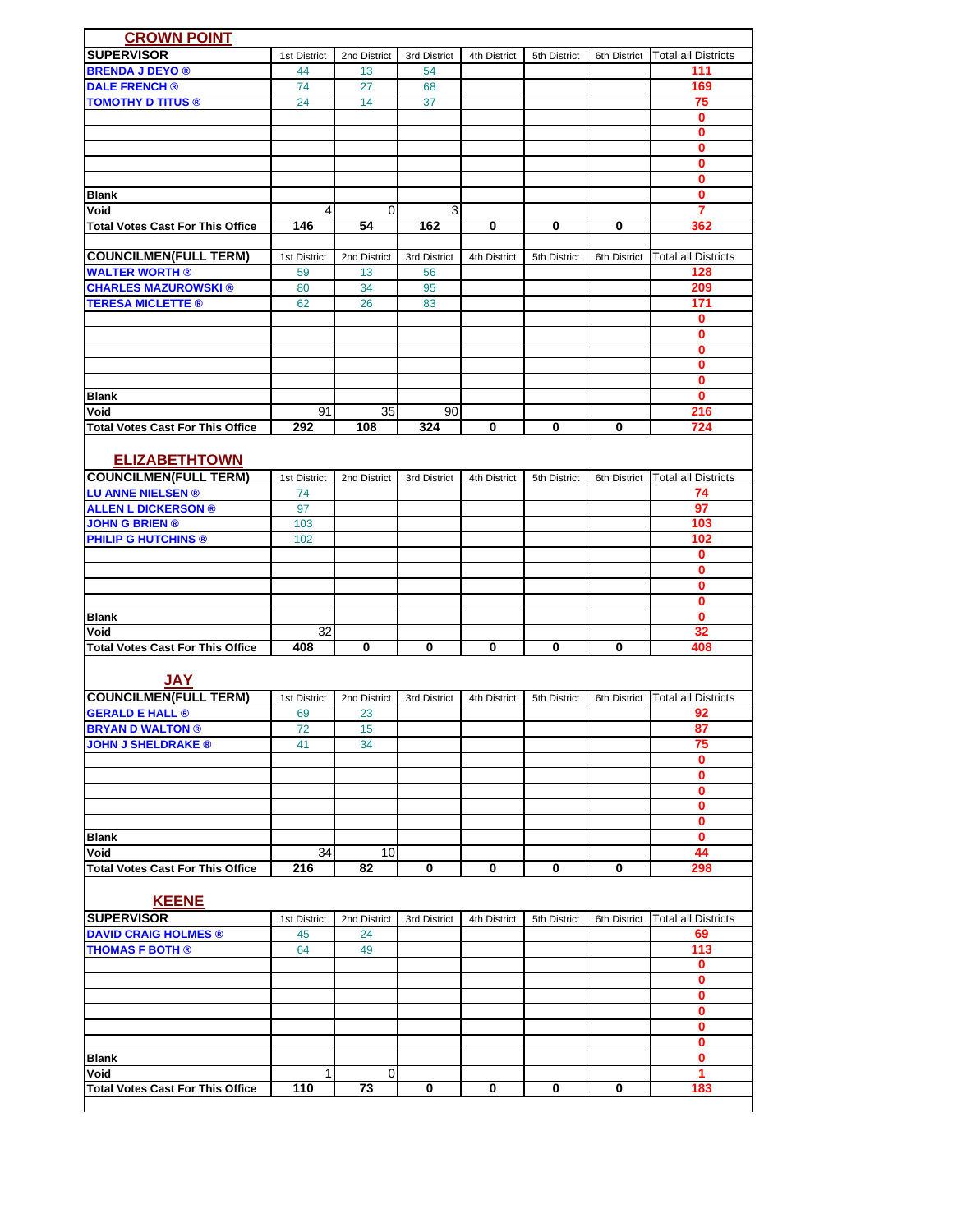| <b>SUPERVISOR</b><br><b>Total all Districts</b><br>1st District<br>2nd District<br>3rd District<br>4th District<br>5th District<br>6th District<br><b>BRENDA J DEYO ®</b><br>111<br>44<br>13<br>54<br><b>DALE FRENCH®</b><br>169<br>74<br>27<br>68<br><b>TOMOTHY D TITUS ®</b><br>14<br>37<br>75<br>24<br>0<br>0<br>$\bf{0}$<br>0<br>0<br>$\mathbf{0}$<br><b>Blank</b><br>3<br>Void<br>4<br>0<br>7<br>146<br>162<br>0<br>0<br>0<br><b>Total Votes Cast For This Office</b><br>54<br>362<br><b>COUNCILMEN(FULL TERM)</b><br><b>Total all Districts</b><br>1st District<br>2nd District<br>3rd District<br>4th District<br>5th District<br>6th District<br><b>WALTER WORTH ®</b><br>59<br>13<br>56<br>128<br><b>CHARLES MAZUROWSKI®</b><br>34<br>209<br>80<br>95<br>171<br><b>TERESA MICLETTE ®</b><br>62<br>26<br>83<br>0<br>0<br>0<br>$\mathbf 0$<br>$\mathbf 0$<br>$\mathbf{0}$<br><b>Blank</b><br>91<br>35<br>Void<br>90<br>216<br>0<br>0<br>0<br>724<br><b>Total Votes Cast For This Office</b><br>292<br>108<br>324<br><b>ELIZABETHTOWN</b><br><b>COUNCILMEN(FULL TERM)</b><br><b>Total all Districts</b><br>1st District<br>2nd District<br>3rd District<br>4th District<br>5th District<br>6th District<br><b>LU ANNE NIELSEN®</b><br>74<br>74<br>97<br><b>ALLEN L DICKERSON ®</b><br>97<br><b>JOHN G BRIEN ®</b><br>103<br>103<br><b>PHILIP G HUTCHINS ®</b><br>102<br>102<br>$\mathbf 0$<br>$\mathbf 0$<br>0<br>$\mathbf 0$<br>$\mathbf 0$<br><b>Blank</b><br>32<br>32<br>Void<br>408<br>0<br>0<br>0<br>0<br>0<br>408<br><b>Total Votes Cast For This Office</b><br><b>JAY</b><br><b>COUNCILMEN(FULL TERM)</b><br>3rd District<br><b>Total all Districts</b><br>1st District<br>2nd District<br>4th District<br>5th District<br>6th District<br><b>GERALD E HALL ®</b><br>23<br>92<br>69<br><b>BRYAN D WALTON ®</b><br>72<br>15<br>87<br>75<br><b>JOHN J SHELDRAKE ®</b><br>41<br>34<br>$\mathbf 0$<br>0<br>$\mathbf 0$<br>$\mathbf 0$<br>0<br>$\mathbf 0$<br><b>Blank</b><br>Void<br>34<br>10<br>44<br>0<br>216<br>82<br>0<br>0<br>0<br><b>Total Votes Cast For This Office</b><br>298<br><b>KEENE</b><br><b>SUPERVISOR</b><br><b>Total all Districts</b><br>2nd District<br>3rd District<br>4th District<br>6th District<br>1st District<br>5th District<br><b>DAVID CRAIG HOLMES ®</b><br>45<br>24<br>69<br>113<br><b>THOMAS F BOTH ®</b><br>49<br>64<br>$\mathbf 0$<br>0<br>$\mathbf 0$<br>$\mathbf 0$<br>0<br>$\mathbf 0$<br><b>Blank</b><br>$\mathbf 0$<br>$\mathbf{1}$<br>Void<br>1<br>0<br>110<br>0<br>0<br>0<br>183<br>73<br>0<br><b>Total Votes Cast For This Office</b> | <b>CROWN POINT</b> |  |  |  |  |
|--------------------------------------------------------------------------------------------------------------------------------------------------------------------------------------------------------------------------------------------------------------------------------------------------------------------------------------------------------------------------------------------------------------------------------------------------------------------------------------------------------------------------------------------------------------------------------------------------------------------------------------------------------------------------------------------------------------------------------------------------------------------------------------------------------------------------------------------------------------------------------------------------------------------------------------------------------------------------------------------------------------------------------------------------------------------------------------------------------------------------------------------------------------------------------------------------------------------------------------------------------------------------------------------------------------------------------------------------------------------------------------------------------------------------------------------------------------------------------------------------------------------------------------------------------------------------------------------------------------------------------------------------------------------------------------------------------------------------------------------------------------------------------------------------------------------------------------------------------------------------------------------------------------------------------------------------------------------------------------------------------------------------------------------------------------------------------------------------------------------------------------------------------------------------------------------------------------------------------------------------------------------------------------------------------------------------------------------------------------------------------------------------------------------------------------------------------------------------------------------------------------------------------------------------------------------------------------------|--------------------|--|--|--|--|
|                                                                                                                                                                                                                                                                                                                                                                                                                                                                                                                                                                                                                                                                                                                                                                                                                                                                                                                                                                                                                                                                                                                                                                                                                                                                                                                                                                                                                                                                                                                                                                                                                                                                                                                                                                                                                                                                                                                                                                                                                                                                                                                                                                                                                                                                                                                                                                                                                                                                                                                                                                                            |                    |  |  |  |  |
|                                                                                                                                                                                                                                                                                                                                                                                                                                                                                                                                                                                                                                                                                                                                                                                                                                                                                                                                                                                                                                                                                                                                                                                                                                                                                                                                                                                                                                                                                                                                                                                                                                                                                                                                                                                                                                                                                                                                                                                                                                                                                                                                                                                                                                                                                                                                                                                                                                                                                                                                                                                            |                    |  |  |  |  |
|                                                                                                                                                                                                                                                                                                                                                                                                                                                                                                                                                                                                                                                                                                                                                                                                                                                                                                                                                                                                                                                                                                                                                                                                                                                                                                                                                                                                                                                                                                                                                                                                                                                                                                                                                                                                                                                                                                                                                                                                                                                                                                                                                                                                                                                                                                                                                                                                                                                                                                                                                                                            |                    |  |  |  |  |
|                                                                                                                                                                                                                                                                                                                                                                                                                                                                                                                                                                                                                                                                                                                                                                                                                                                                                                                                                                                                                                                                                                                                                                                                                                                                                                                                                                                                                                                                                                                                                                                                                                                                                                                                                                                                                                                                                                                                                                                                                                                                                                                                                                                                                                                                                                                                                                                                                                                                                                                                                                                            |                    |  |  |  |  |
|                                                                                                                                                                                                                                                                                                                                                                                                                                                                                                                                                                                                                                                                                                                                                                                                                                                                                                                                                                                                                                                                                                                                                                                                                                                                                                                                                                                                                                                                                                                                                                                                                                                                                                                                                                                                                                                                                                                                                                                                                                                                                                                                                                                                                                                                                                                                                                                                                                                                                                                                                                                            |                    |  |  |  |  |
|                                                                                                                                                                                                                                                                                                                                                                                                                                                                                                                                                                                                                                                                                                                                                                                                                                                                                                                                                                                                                                                                                                                                                                                                                                                                                                                                                                                                                                                                                                                                                                                                                                                                                                                                                                                                                                                                                                                                                                                                                                                                                                                                                                                                                                                                                                                                                                                                                                                                                                                                                                                            |                    |  |  |  |  |
|                                                                                                                                                                                                                                                                                                                                                                                                                                                                                                                                                                                                                                                                                                                                                                                                                                                                                                                                                                                                                                                                                                                                                                                                                                                                                                                                                                                                                                                                                                                                                                                                                                                                                                                                                                                                                                                                                                                                                                                                                                                                                                                                                                                                                                                                                                                                                                                                                                                                                                                                                                                            |                    |  |  |  |  |
|                                                                                                                                                                                                                                                                                                                                                                                                                                                                                                                                                                                                                                                                                                                                                                                                                                                                                                                                                                                                                                                                                                                                                                                                                                                                                                                                                                                                                                                                                                                                                                                                                                                                                                                                                                                                                                                                                                                                                                                                                                                                                                                                                                                                                                                                                                                                                                                                                                                                                                                                                                                            |                    |  |  |  |  |
|                                                                                                                                                                                                                                                                                                                                                                                                                                                                                                                                                                                                                                                                                                                                                                                                                                                                                                                                                                                                                                                                                                                                                                                                                                                                                                                                                                                                                                                                                                                                                                                                                                                                                                                                                                                                                                                                                                                                                                                                                                                                                                                                                                                                                                                                                                                                                                                                                                                                                                                                                                                            |                    |  |  |  |  |
|                                                                                                                                                                                                                                                                                                                                                                                                                                                                                                                                                                                                                                                                                                                                                                                                                                                                                                                                                                                                                                                                                                                                                                                                                                                                                                                                                                                                                                                                                                                                                                                                                                                                                                                                                                                                                                                                                                                                                                                                                                                                                                                                                                                                                                                                                                                                                                                                                                                                                                                                                                                            |                    |  |  |  |  |
|                                                                                                                                                                                                                                                                                                                                                                                                                                                                                                                                                                                                                                                                                                                                                                                                                                                                                                                                                                                                                                                                                                                                                                                                                                                                                                                                                                                                                                                                                                                                                                                                                                                                                                                                                                                                                                                                                                                                                                                                                                                                                                                                                                                                                                                                                                                                                                                                                                                                                                                                                                                            |                    |  |  |  |  |
|                                                                                                                                                                                                                                                                                                                                                                                                                                                                                                                                                                                                                                                                                                                                                                                                                                                                                                                                                                                                                                                                                                                                                                                                                                                                                                                                                                                                                                                                                                                                                                                                                                                                                                                                                                                                                                                                                                                                                                                                                                                                                                                                                                                                                                                                                                                                                                                                                                                                                                                                                                                            |                    |  |  |  |  |
|                                                                                                                                                                                                                                                                                                                                                                                                                                                                                                                                                                                                                                                                                                                                                                                                                                                                                                                                                                                                                                                                                                                                                                                                                                                                                                                                                                                                                                                                                                                                                                                                                                                                                                                                                                                                                                                                                                                                                                                                                                                                                                                                                                                                                                                                                                                                                                                                                                                                                                                                                                                            |                    |  |  |  |  |
|                                                                                                                                                                                                                                                                                                                                                                                                                                                                                                                                                                                                                                                                                                                                                                                                                                                                                                                                                                                                                                                                                                                                                                                                                                                                                                                                                                                                                                                                                                                                                                                                                                                                                                                                                                                                                                                                                                                                                                                                                                                                                                                                                                                                                                                                                                                                                                                                                                                                                                                                                                                            |                    |  |  |  |  |
|                                                                                                                                                                                                                                                                                                                                                                                                                                                                                                                                                                                                                                                                                                                                                                                                                                                                                                                                                                                                                                                                                                                                                                                                                                                                                                                                                                                                                                                                                                                                                                                                                                                                                                                                                                                                                                                                                                                                                                                                                                                                                                                                                                                                                                                                                                                                                                                                                                                                                                                                                                                            |                    |  |  |  |  |
|                                                                                                                                                                                                                                                                                                                                                                                                                                                                                                                                                                                                                                                                                                                                                                                                                                                                                                                                                                                                                                                                                                                                                                                                                                                                                                                                                                                                                                                                                                                                                                                                                                                                                                                                                                                                                                                                                                                                                                                                                                                                                                                                                                                                                                                                                                                                                                                                                                                                                                                                                                                            |                    |  |  |  |  |
|                                                                                                                                                                                                                                                                                                                                                                                                                                                                                                                                                                                                                                                                                                                                                                                                                                                                                                                                                                                                                                                                                                                                                                                                                                                                                                                                                                                                                                                                                                                                                                                                                                                                                                                                                                                                                                                                                                                                                                                                                                                                                                                                                                                                                                                                                                                                                                                                                                                                                                                                                                                            |                    |  |  |  |  |
|                                                                                                                                                                                                                                                                                                                                                                                                                                                                                                                                                                                                                                                                                                                                                                                                                                                                                                                                                                                                                                                                                                                                                                                                                                                                                                                                                                                                                                                                                                                                                                                                                                                                                                                                                                                                                                                                                                                                                                                                                                                                                                                                                                                                                                                                                                                                                                                                                                                                                                                                                                                            |                    |  |  |  |  |
|                                                                                                                                                                                                                                                                                                                                                                                                                                                                                                                                                                                                                                                                                                                                                                                                                                                                                                                                                                                                                                                                                                                                                                                                                                                                                                                                                                                                                                                                                                                                                                                                                                                                                                                                                                                                                                                                                                                                                                                                                                                                                                                                                                                                                                                                                                                                                                                                                                                                                                                                                                                            |                    |  |  |  |  |
|                                                                                                                                                                                                                                                                                                                                                                                                                                                                                                                                                                                                                                                                                                                                                                                                                                                                                                                                                                                                                                                                                                                                                                                                                                                                                                                                                                                                                                                                                                                                                                                                                                                                                                                                                                                                                                                                                                                                                                                                                                                                                                                                                                                                                                                                                                                                                                                                                                                                                                                                                                                            |                    |  |  |  |  |
|                                                                                                                                                                                                                                                                                                                                                                                                                                                                                                                                                                                                                                                                                                                                                                                                                                                                                                                                                                                                                                                                                                                                                                                                                                                                                                                                                                                                                                                                                                                                                                                                                                                                                                                                                                                                                                                                                                                                                                                                                                                                                                                                                                                                                                                                                                                                                                                                                                                                                                                                                                                            |                    |  |  |  |  |
|                                                                                                                                                                                                                                                                                                                                                                                                                                                                                                                                                                                                                                                                                                                                                                                                                                                                                                                                                                                                                                                                                                                                                                                                                                                                                                                                                                                                                                                                                                                                                                                                                                                                                                                                                                                                                                                                                                                                                                                                                                                                                                                                                                                                                                                                                                                                                                                                                                                                                                                                                                                            |                    |  |  |  |  |
|                                                                                                                                                                                                                                                                                                                                                                                                                                                                                                                                                                                                                                                                                                                                                                                                                                                                                                                                                                                                                                                                                                                                                                                                                                                                                                                                                                                                                                                                                                                                                                                                                                                                                                                                                                                                                                                                                                                                                                                                                                                                                                                                                                                                                                                                                                                                                                                                                                                                                                                                                                                            |                    |  |  |  |  |
|                                                                                                                                                                                                                                                                                                                                                                                                                                                                                                                                                                                                                                                                                                                                                                                                                                                                                                                                                                                                                                                                                                                                                                                                                                                                                                                                                                                                                                                                                                                                                                                                                                                                                                                                                                                                                                                                                                                                                                                                                                                                                                                                                                                                                                                                                                                                                                                                                                                                                                                                                                                            |                    |  |  |  |  |
|                                                                                                                                                                                                                                                                                                                                                                                                                                                                                                                                                                                                                                                                                                                                                                                                                                                                                                                                                                                                                                                                                                                                                                                                                                                                                                                                                                                                                                                                                                                                                                                                                                                                                                                                                                                                                                                                                                                                                                                                                                                                                                                                                                                                                                                                                                                                                                                                                                                                                                                                                                                            |                    |  |  |  |  |
|                                                                                                                                                                                                                                                                                                                                                                                                                                                                                                                                                                                                                                                                                                                                                                                                                                                                                                                                                                                                                                                                                                                                                                                                                                                                                                                                                                                                                                                                                                                                                                                                                                                                                                                                                                                                                                                                                                                                                                                                                                                                                                                                                                                                                                                                                                                                                                                                                                                                                                                                                                                            |                    |  |  |  |  |
|                                                                                                                                                                                                                                                                                                                                                                                                                                                                                                                                                                                                                                                                                                                                                                                                                                                                                                                                                                                                                                                                                                                                                                                                                                                                                                                                                                                                                                                                                                                                                                                                                                                                                                                                                                                                                                                                                                                                                                                                                                                                                                                                                                                                                                                                                                                                                                                                                                                                                                                                                                                            |                    |  |  |  |  |
|                                                                                                                                                                                                                                                                                                                                                                                                                                                                                                                                                                                                                                                                                                                                                                                                                                                                                                                                                                                                                                                                                                                                                                                                                                                                                                                                                                                                                                                                                                                                                                                                                                                                                                                                                                                                                                                                                                                                                                                                                                                                                                                                                                                                                                                                                                                                                                                                                                                                                                                                                                                            |                    |  |  |  |  |
|                                                                                                                                                                                                                                                                                                                                                                                                                                                                                                                                                                                                                                                                                                                                                                                                                                                                                                                                                                                                                                                                                                                                                                                                                                                                                                                                                                                                                                                                                                                                                                                                                                                                                                                                                                                                                                                                                                                                                                                                                                                                                                                                                                                                                                                                                                                                                                                                                                                                                                                                                                                            |                    |  |  |  |  |
|                                                                                                                                                                                                                                                                                                                                                                                                                                                                                                                                                                                                                                                                                                                                                                                                                                                                                                                                                                                                                                                                                                                                                                                                                                                                                                                                                                                                                                                                                                                                                                                                                                                                                                                                                                                                                                                                                                                                                                                                                                                                                                                                                                                                                                                                                                                                                                                                                                                                                                                                                                                            |                    |  |  |  |  |
|                                                                                                                                                                                                                                                                                                                                                                                                                                                                                                                                                                                                                                                                                                                                                                                                                                                                                                                                                                                                                                                                                                                                                                                                                                                                                                                                                                                                                                                                                                                                                                                                                                                                                                                                                                                                                                                                                                                                                                                                                                                                                                                                                                                                                                                                                                                                                                                                                                                                                                                                                                                            |                    |  |  |  |  |
|                                                                                                                                                                                                                                                                                                                                                                                                                                                                                                                                                                                                                                                                                                                                                                                                                                                                                                                                                                                                                                                                                                                                                                                                                                                                                                                                                                                                                                                                                                                                                                                                                                                                                                                                                                                                                                                                                                                                                                                                                                                                                                                                                                                                                                                                                                                                                                                                                                                                                                                                                                                            |                    |  |  |  |  |
|                                                                                                                                                                                                                                                                                                                                                                                                                                                                                                                                                                                                                                                                                                                                                                                                                                                                                                                                                                                                                                                                                                                                                                                                                                                                                                                                                                                                                                                                                                                                                                                                                                                                                                                                                                                                                                                                                                                                                                                                                                                                                                                                                                                                                                                                                                                                                                                                                                                                                                                                                                                            |                    |  |  |  |  |
|                                                                                                                                                                                                                                                                                                                                                                                                                                                                                                                                                                                                                                                                                                                                                                                                                                                                                                                                                                                                                                                                                                                                                                                                                                                                                                                                                                                                                                                                                                                                                                                                                                                                                                                                                                                                                                                                                                                                                                                                                                                                                                                                                                                                                                                                                                                                                                                                                                                                                                                                                                                            |                    |  |  |  |  |
|                                                                                                                                                                                                                                                                                                                                                                                                                                                                                                                                                                                                                                                                                                                                                                                                                                                                                                                                                                                                                                                                                                                                                                                                                                                                                                                                                                                                                                                                                                                                                                                                                                                                                                                                                                                                                                                                                                                                                                                                                                                                                                                                                                                                                                                                                                                                                                                                                                                                                                                                                                                            |                    |  |  |  |  |
|                                                                                                                                                                                                                                                                                                                                                                                                                                                                                                                                                                                                                                                                                                                                                                                                                                                                                                                                                                                                                                                                                                                                                                                                                                                                                                                                                                                                                                                                                                                                                                                                                                                                                                                                                                                                                                                                                                                                                                                                                                                                                                                                                                                                                                                                                                                                                                                                                                                                                                                                                                                            |                    |  |  |  |  |
|                                                                                                                                                                                                                                                                                                                                                                                                                                                                                                                                                                                                                                                                                                                                                                                                                                                                                                                                                                                                                                                                                                                                                                                                                                                                                                                                                                                                                                                                                                                                                                                                                                                                                                                                                                                                                                                                                                                                                                                                                                                                                                                                                                                                                                                                                                                                                                                                                                                                                                                                                                                            |                    |  |  |  |  |
|                                                                                                                                                                                                                                                                                                                                                                                                                                                                                                                                                                                                                                                                                                                                                                                                                                                                                                                                                                                                                                                                                                                                                                                                                                                                                                                                                                                                                                                                                                                                                                                                                                                                                                                                                                                                                                                                                                                                                                                                                                                                                                                                                                                                                                                                                                                                                                                                                                                                                                                                                                                            |                    |  |  |  |  |
|                                                                                                                                                                                                                                                                                                                                                                                                                                                                                                                                                                                                                                                                                                                                                                                                                                                                                                                                                                                                                                                                                                                                                                                                                                                                                                                                                                                                                                                                                                                                                                                                                                                                                                                                                                                                                                                                                                                                                                                                                                                                                                                                                                                                                                                                                                                                                                                                                                                                                                                                                                                            |                    |  |  |  |  |
|                                                                                                                                                                                                                                                                                                                                                                                                                                                                                                                                                                                                                                                                                                                                                                                                                                                                                                                                                                                                                                                                                                                                                                                                                                                                                                                                                                                                                                                                                                                                                                                                                                                                                                                                                                                                                                                                                                                                                                                                                                                                                                                                                                                                                                                                                                                                                                                                                                                                                                                                                                                            |                    |  |  |  |  |
|                                                                                                                                                                                                                                                                                                                                                                                                                                                                                                                                                                                                                                                                                                                                                                                                                                                                                                                                                                                                                                                                                                                                                                                                                                                                                                                                                                                                                                                                                                                                                                                                                                                                                                                                                                                                                                                                                                                                                                                                                                                                                                                                                                                                                                                                                                                                                                                                                                                                                                                                                                                            |                    |  |  |  |  |
|                                                                                                                                                                                                                                                                                                                                                                                                                                                                                                                                                                                                                                                                                                                                                                                                                                                                                                                                                                                                                                                                                                                                                                                                                                                                                                                                                                                                                                                                                                                                                                                                                                                                                                                                                                                                                                                                                                                                                                                                                                                                                                                                                                                                                                                                                                                                                                                                                                                                                                                                                                                            |                    |  |  |  |  |
|                                                                                                                                                                                                                                                                                                                                                                                                                                                                                                                                                                                                                                                                                                                                                                                                                                                                                                                                                                                                                                                                                                                                                                                                                                                                                                                                                                                                                                                                                                                                                                                                                                                                                                                                                                                                                                                                                                                                                                                                                                                                                                                                                                                                                                                                                                                                                                                                                                                                                                                                                                                            |                    |  |  |  |  |
|                                                                                                                                                                                                                                                                                                                                                                                                                                                                                                                                                                                                                                                                                                                                                                                                                                                                                                                                                                                                                                                                                                                                                                                                                                                                                                                                                                                                                                                                                                                                                                                                                                                                                                                                                                                                                                                                                                                                                                                                                                                                                                                                                                                                                                                                                                                                                                                                                                                                                                                                                                                            |                    |  |  |  |  |
|                                                                                                                                                                                                                                                                                                                                                                                                                                                                                                                                                                                                                                                                                                                                                                                                                                                                                                                                                                                                                                                                                                                                                                                                                                                                                                                                                                                                                                                                                                                                                                                                                                                                                                                                                                                                                                                                                                                                                                                                                                                                                                                                                                                                                                                                                                                                                                                                                                                                                                                                                                                            |                    |  |  |  |  |
|                                                                                                                                                                                                                                                                                                                                                                                                                                                                                                                                                                                                                                                                                                                                                                                                                                                                                                                                                                                                                                                                                                                                                                                                                                                                                                                                                                                                                                                                                                                                                                                                                                                                                                                                                                                                                                                                                                                                                                                                                                                                                                                                                                                                                                                                                                                                                                                                                                                                                                                                                                                            |                    |  |  |  |  |
|                                                                                                                                                                                                                                                                                                                                                                                                                                                                                                                                                                                                                                                                                                                                                                                                                                                                                                                                                                                                                                                                                                                                                                                                                                                                                                                                                                                                                                                                                                                                                                                                                                                                                                                                                                                                                                                                                                                                                                                                                                                                                                                                                                                                                                                                                                                                                                                                                                                                                                                                                                                            |                    |  |  |  |  |
|                                                                                                                                                                                                                                                                                                                                                                                                                                                                                                                                                                                                                                                                                                                                                                                                                                                                                                                                                                                                                                                                                                                                                                                                                                                                                                                                                                                                                                                                                                                                                                                                                                                                                                                                                                                                                                                                                                                                                                                                                                                                                                                                                                                                                                                                                                                                                                                                                                                                                                                                                                                            |                    |  |  |  |  |
|                                                                                                                                                                                                                                                                                                                                                                                                                                                                                                                                                                                                                                                                                                                                                                                                                                                                                                                                                                                                                                                                                                                                                                                                                                                                                                                                                                                                                                                                                                                                                                                                                                                                                                                                                                                                                                                                                                                                                                                                                                                                                                                                                                                                                                                                                                                                                                                                                                                                                                                                                                                            |                    |  |  |  |  |
|                                                                                                                                                                                                                                                                                                                                                                                                                                                                                                                                                                                                                                                                                                                                                                                                                                                                                                                                                                                                                                                                                                                                                                                                                                                                                                                                                                                                                                                                                                                                                                                                                                                                                                                                                                                                                                                                                                                                                                                                                                                                                                                                                                                                                                                                                                                                                                                                                                                                                                                                                                                            |                    |  |  |  |  |
|                                                                                                                                                                                                                                                                                                                                                                                                                                                                                                                                                                                                                                                                                                                                                                                                                                                                                                                                                                                                                                                                                                                                                                                                                                                                                                                                                                                                                                                                                                                                                                                                                                                                                                                                                                                                                                                                                                                                                                                                                                                                                                                                                                                                                                                                                                                                                                                                                                                                                                                                                                                            |                    |  |  |  |  |
|                                                                                                                                                                                                                                                                                                                                                                                                                                                                                                                                                                                                                                                                                                                                                                                                                                                                                                                                                                                                                                                                                                                                                                                                                                                                                                                                                                                                                                                                                                                                                                                                                                                                                                                                                                                                                                                                                                                                                                                                                                                                                                                                                                                                                                                                                                                                                                                                                                                                                                                                                                                            |                    |  |  |  |  |
|                                                                                                                                                                                                                                                                                                                                                                                                                                                                                                                                                                                                                                                                                                                                                                                                                                                                                                                                                                                                                                                                                                                                                                                                                                                                                                                                                                                                                                                                                                                                                                                                                                                                                                                                                                                                                                                                                                                                                                                                                                                                                                                                                                                                                                                                                                                                                                                                                                                                                                                                                                                            |                    |  |  |  |  |
|                                                                                                                                                                                                                                                                                                                                                                                                                                                                                                                                                                                                                                                                                                                                                                                                                                                                                                                                                                                                                                                                                                                                                                                                                                                                                                                                                                                                                                                                                                                                                                                                                                                                                                                                                                                                                                                                                                                                                                                                                                                                                                                                                                                                                                                                                                                                                                                                                                                                                                                                                                                            |                    |  |  |  |  |
|                                                                                                                                                                                                                                                                                                                                                                                                                                                                                                                                                                                                                                                                                                                                                                                                                                                                                                                                                                                                                                                                                                                                                                                                                                                                                                                                                                                                                                                                                                                                                                                                                                                                                                                                                                                                                                                                                                                                                                                                                                                                                                                                                                                                                                                                                                                                                                                                                                                                                                                                                                                            |                    |  |  |  |  |
|                                                                                                                                                                                                                                                                                                                                                                                                                                                                                                                                                                                                                                                                                                                                                                                                                                                                                                                                                                                                                                                                                                                                                                                                                                                                                                                                                                                                                                                                                                                                                                                                                                                                                                                                                                                                                                                                                                                                                                                                                                                                                                                                                                                                                                                                                                                                                                                                                                                                                                                                                                                            |                    |  |  |  |  |
|                                                                                                                                                                                                                                                                                                                                                                                                                                                                                                                                                                                                                                                                                                                                                                                                                                                                                                                                                                                                                                                                                                                                                                                                                                                                                                                                                                                                                                                                                                                                                                                                                                                                                                                                                                                                                                                                                                                                                                                                                                                                                                                                                                                                                                                                                                                                                                                                                                                                                                                                                                                            |                    |  |  |  |  |
|                                                                                                                                                                                                                                                                                                                                                                                                                                                                                                                                                                                                                                                                                                                                                                                                                                                                                                                                                                                                                                                                                                                                                                                                                                                                                                                                                                                                                                                                                                                                                                                                                                                                                                                                                                                                                                                                                                                                                                                                                                                                                                                                                                                                                                                                                                                                                                                                                                                                                                                                                                                            |                    |  |  |  |  |
|                                                                                                                                                                                                                                                                                                                                                                                                                                                                                                                                                                                                                                                                                                                                                                                                                                                                                                                                                                                                                                                                                                                                                                                                                                                                                                                                                                                                                                                                                                                                                                                                                                                                                                                                                                                                                                                                                                                                                                                                                                                                                                                                                                                                                                                                                                                                                                                                                                                                                                                                                                                            |                    |  |  |  |  |
|                                                                                                                                                                                                                                                                                                                                                                                                                                                                                                                                                                                                                                                                                                                                                                                                                                                                                                                                                                                                                                                                                                                                                                                                                                                                                                                                                                                                                                                                                                                                                                                                                                                                                                                                                                                                                                                                                                                                                                                                                                                                                                                                                                                                                                                                                                                                                                                                                                                                                                                                                                                            |                    |  |  |  |  |
|                                                                                                                                                                                                                                                                                                                                                                                                                                                                                                                                                                                                                                                                                                                                                                                                                                                                                                                                                                                                                                                                                                                                                                                                                                                                                                                                                                                                                                                                                                                                                                                                                                                                                                                                                                                                                                                                                                                                                                                                                                                                                                                                                                                                                                                                                                                                                                                                                                                                                                                                                                                            |                    |  |  |  |  |
|                                                                                                                                                                                                                                                                                                                                                                                                                                                                                                                                                                                                                                                                                                                                                                                                                                                                                                                                                                                                                                                                                                                                                                                                                                                                                                                                                                                                                                                                                                                                                                                                                                                                                                                                                                                                                                                                                                                                                                                                                                                                                                                                                                                                                                                                                                                                                                                                                                                                                                                                                                                            |                    |  |  |  |  |
|                                                                                                                                                                                                                                                                                                                                                                                                                                                                                                                                                                                                                                                                                                                                                                                                                                                                                                                                                                                                                                                                                                                                                                                                                                                                                                                                                                                                                                                                                                                                                                                                                                                                                                                                                                                                                                                                                                                                                                                                                                                                                                                                                                                                                                                                                                                                                                                                                                                                                                                                                                                            |                    |  |  |  |  |
|                                                                                                                                                                                                                                                                                                                                                                                                                                                                                                                                                                                                                                                                                                                                                                                                                                                                                                                                                                                                                                                                                                                                                                                                                                                                                                                                                                                                                                                                                                                                                                                                                                                                                                                                                                                                                                                                                                                                                                                                                                                                                                                                                                                                                                                                                                                                                                                                                                                                                                                                                                                            |                    |  |  |  |  |
|                                                                                                                                                                                                                                                                                                                                                                                                                                                                                                                                                                                                                                                                                                                                                                                                                                                                                                                                                                                                                                                                                                                                                                                                                                                                                                                                                                                                                                                                                                                                                                                                                                                                                                                                                                                                                                                                                                                                                                                                                                                                                                                                                                                                                                                                                                                                                                                                                                                                                                                                                                                            |                    |  |  |  |  |
|                                                                                                                                                                                                                                                                                                                                                                                                                                                                                                                                                                                                                                                                                                                                                                                                                                                                                                                                                                                                                                                                                                                                                                                                                                                                                                                                                                                                                                                                                                                                                                                                                                                                                                                                                                                                                                                                                                                                                                                                                                                                                                                                                                                                                                                                                                                                                                                                                                                                                                                                                                                            |                    |  |  |  |  |
|                                                                                                                                                                                                                                                                                                                                                                                                                                                                                                                                                                                                                                                                                                                                                                                                                                                                                                                                                                                                                                                                                                                                                                                                                                                                                                                                                                                                                                                                                                                                                                                                                                                                                                                                                                                                                                                                                                                                                                                                                                                                                                                                                                                                                                                                                                                                                                                                                                                                                                                                                                                            |                    |  |  |  |  |
|                                                                                                                                                                                                                                                                                                                                                                                                                                                                                                                                                                                                                                                                                                                                                                                                                                                                                                                                                                                                                                                                                                                                                                                                                                                                                                                                                                                                                                                                                                                                                                                                                                                                                                                                                                                                                                                                                                                                                                                                                                                                                                                                                                                                                                                                                                                                                                                                                                                                                                                                                                                            |                    |  |  |  |  |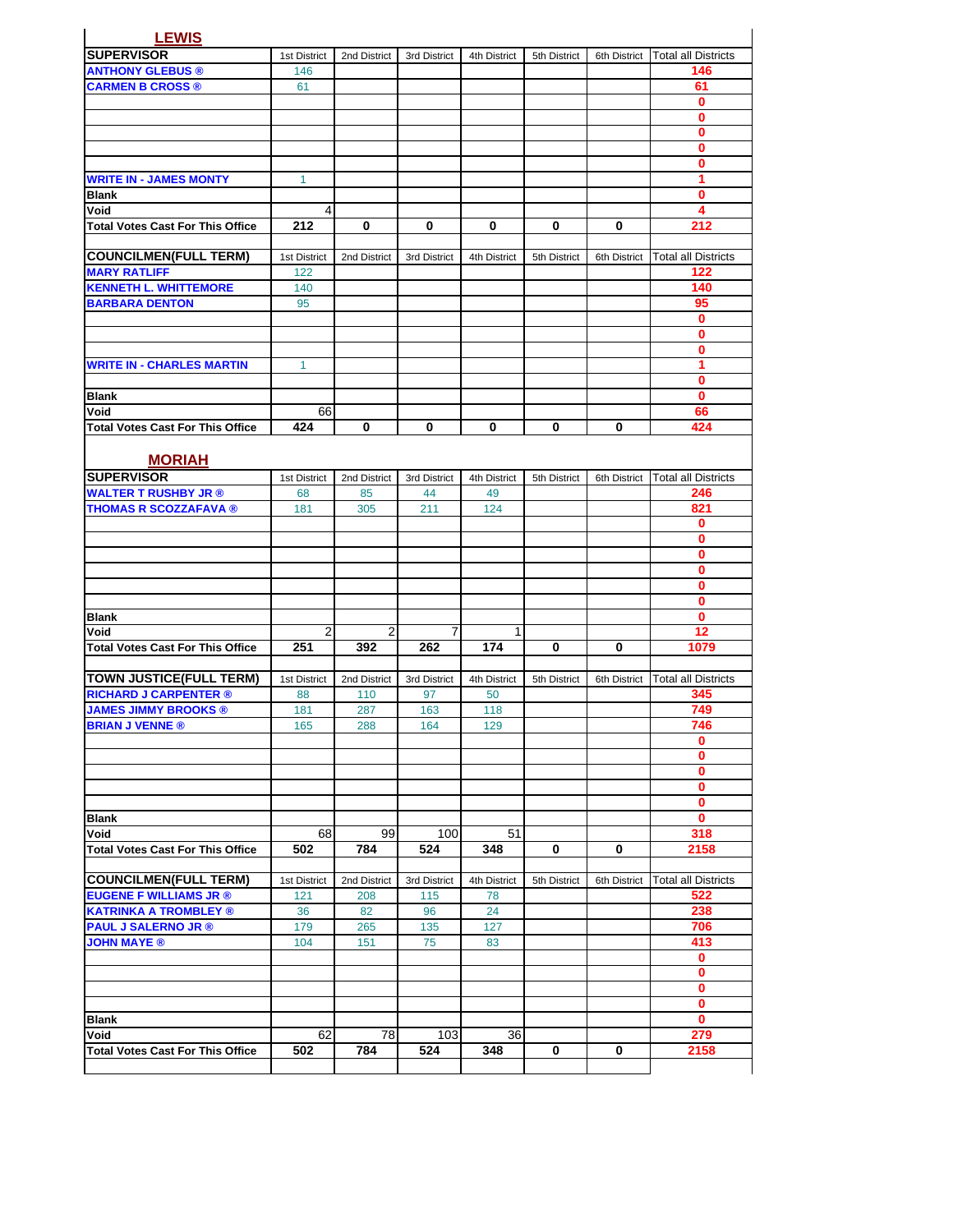| <b>LEWIS</b>                                    |              |              |              |              |              |              |                            |
|-------------------------------------------------|--------------|--------------|--------------|--------------|--------------|--------------|----------------------------|
| <b>SUPERVISOR</b>                               | 1st District | 2nd District | 3rd District | 4th District | 5th District | 6th District | <b>Total all Districts</b> |
| <b>ANTHONY GLEBUS ®</b>                         | 146          |              |              |              |              |              | 146                        |
| <b>CARMEN B CROSS ®</b>                         | 61           |              |              |              |              |              | 61                         |
|                                                 |              |              |              |              |              |              | 0                          |
|                                                 |              |              |              |              |              |              | 0                          |
|                                                 |              |              |              |              |              |              | $\bf{0}$                   |
|                                                 |              |              |              |              |              |              | 0                          |
|                                                 |              |              |              |              |              |              | $\bf{0}$                   |
| <b>WRITE IN - JAMES MONTY</b>                   | 1            |              |              |              |              |              | 1                          |
| <b>Blank</b>                                    |              |              |              |              |              |              | 0                          |
| Void                                            | 4            |              |              |              |              |              | 4                          |
| <b>Total Votes Cast For This Office</b>         | 212          | 0            | 0            | 0            | 0            | 0            | 212                        |
|                                                 |              |              |              |              |              |              |                            |
| <b>COUNCILMEN(FULL TERM)</b>                    | 1st District | 2nd District | 3rd District | 4th District | 5th District | 6th District | <b>Total all Districts</b> |
| <b>MARY RATLIFF</b>                             | 122          |              |              |              |              |              | 122                        |
| <b>KENNETH L. WHITTEMORE</b>                    | 140          |              |              |              |              |              | 140                        |
| <b>BARBARA DENTON</b>                           | 95           |              |              |              |              |              | 95                         |
|                                                 |              |              |              |              |              |              | $\bf{0}$                   |
|                                                 |              |              |              |              |              |              | 0                          |
|                                                 |              |              |              |              |              |              | $\bf{0}$                   |
| <b>WRITE IN - CHARLES MARTIN</b>                | $\mathbf{1}$ |              |              |              |              |              | 1                          |
| <b>Blank</b>                                    |              |              |              |              |              |              | 0                          |
| Void                                            |              |              |              |              |              |              | 0                          |
|                                                 | 66<br>424    | 0            | 0            | 0            | 0            | 0            | 66<br>424                  |
| <b>Total Votes Cast For This Office</b>         |              |              |              |              |              |              |                            |
|                                                 |              |              |              |              |              |              |                            |
| <b>MORIAH</b>                                   |              |              |              |              |              |              |                            |
| <b>SUPERVISOR</b>                               | 1st District | 2nd District | 3rd District | 4th District | 5th District | 6th District | <b>Total all Districts</b> |
| <b>WALTER T RUSHBY JR ®</b>                     | 68           | 85           | 44           | 49           |              |              | 246                        |
| <b>THOMAS R SCOZZAFAVA ®</b>                    | 181          | 305          | 211          | 124          |              |              | 821                        |
|                                                 |              |              |              |              |              |              | 0                          |
|                                                 |              |              |              |              |              |              | 0<br>$\bf{0}$              |
|                                                 |              |              |              |              |              |              | 0                          |
|                                                 |              |              |              |              |              |              | 0                          |
|                                                 |              |              |              |              |              |              | $\bf{0}$                   |
| <b>Blank</b>                                    |              |              |              |              |              |              | 0                          |
| Void                                            | 2            | 2            | 7            | 1            |              |              | 12                         |
| <b>Total Votes Cast For This Office</b>         | 251          | 392          | 262          | 174          | 0            | 0            | 1079                       |
|                                                 |              |              |              |              |              |              |                            |
| <b>TOWN JUSTICE(FULL TERM)</b>                  | 1st District | 2nd District | 3rd District | 4th District | 5th District | 6th District | <b>Total all Districts</b> |
| <b>RICHARD J CARPENTER ®</b>                    | 88           | 110          | 97           | 50           |              |              | 345                        |
| <b>JAMES JIMMY BROOKS ®</b>                     | 181          | 287          | 163          | 118          |              |              | 749                        |
| <b>BRIAN J VENNE ®</b>                          | 165          | 288          | 164          | 129          |              |              | 746                        |
|                                                 |              |              |              |              |              |              | $\mathbf 0$                |
|                                                 |              |              |              |              |              |              | 0                          |
|                                                 |              |              |              |              |              |              | 0                          |
|                                                 |              |              |              |              |              |              | $\mathbf{0}$               |
|                                                 |              |              |              |              |              |              | 0                          |
| <b>Blank</b>                                    |              |              |              |              |              |              | $\mathbf{0}$               |
| Void                                            | 68           | 99           | 100          | 51           |              |              | 318                        |
| <b>Total Votes Cast For This Office</b>         | 502          | 784          | 524          | 348          | 0            | 0            | 2158                       |
|                                                 |              |              |              |              |              |              |                            |
| <b>COUNCILMEN(FULL TERM)</b>                    | 1st District | 2nd District | 3rd District | 4th District | 5th District | 6th District | <b>Total all Districts</b> |
| <b>EUGENE F WILLIAMS JR ®</b>                   | 121          | 208          | 115          | 78           |              |              | 522                        |
| <b>KATRINKA A TROMBLEY ®</b>                    | 36           | 82           | 96           | 24           |              |              | 238                        |
| <b>PAUL J SALERNO JR ®</b>                      | 179          | 265          | 135          | 127          |              |              | 706                        |
| <b>JOHN MAYE ®</b>                              | 104          | 151          | 75           | 83           |              |              | 413                        |
|                                                 |              |              |              |              |              |              | $\mathbf{0}$               |
|                                                 |              |              |              |              |              |              | $\mathbf{0}$               |
|                                                 |              |              |              |              |              |              | $\mathbf 0$                |
|                                                 |              |              |              |              |              |              | $\mathbf 0$                |
| <b>Blank</b>                                    |              |              |              |              |              |              | $\mathbf{0}$               |
| Void<br><b>Total Votes Cast For This Office</b> | 62<br>502    | 78<br>784    | 103<br>524   | 36<br>348    | 0            | 0            | 279<br>2158                |
|                                                 |              |              |              |              |              |              |                            |
|                                                 |              |              |              |              |              |              |                            |